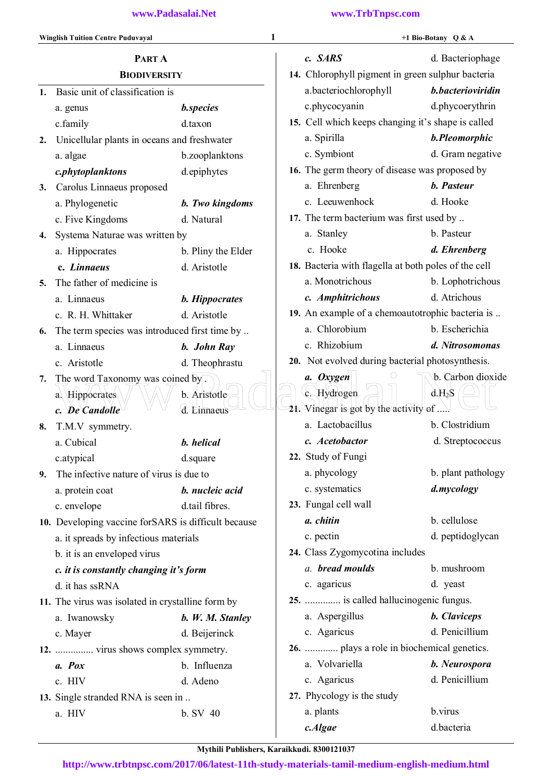|    | <b>Winglish Tuition Centre Puduvayal</b>            |                       | 1 |                                                      | +1 Bio-Botany Q & A |
|----|-----------------------------------------------------|-----------------------|---|------------------------------------------------------|---------------------|
|    | PART A                                              |                       |   | c. SARS                                              | d. Bacteriophage    |
|    | <b>BIODIVERSITY</b>                                 |                       |   | 14. Chlorophyll pigment in green sulphur bacteria    |                     |
| 1. | Basic unit of classification is                     |                       |   | a.bacteriochlorophyll                                | b.bacterioviridin   |
|    | a. genus                                            | <b>b.species</b>      |   | c.phycocyanin                                        | d.phycoerythrin     |
|    | c.family                                            | d.taxon               |   | 15. Cell which keeps changing it's shape is called   |                     |
| 2. | Unicellular plants in oceans and freshwater         |                       |   | a. Spirilla                                          | b.Pleomorphic       |
|    | a. algae                                            | b.zooplanktons        |   | c. Symbiont                                          | d. Gram negative    |
|    | c.phytoplanktons                                    | d.epiphytes           |   | 16. The germ theory of disease was proposed by       |                     |
| 3. | Carolus Linnaeus proposed                           |                       |   | a. Ehrenberg                                         | b. Pasteur          |
|    | a. Phylogenetic                                     | b. Two kingdoms       |   | c. Leeuwenhock                                       | d. Hooke            |
|    | c. Five Kingdoms                                    | d. Natural            |   | 17. The term bacterium was first used by             |                     |
| 4. | Systema Naturae was written by                      |                       |   | a. Stanley                                           | b. Pasteur          |
|    | a. Hippocrates                                      | b. Pliny the Elder    |   | c. Hooke                                             | d. Ehrenberg        |
|    | c. Linnaeus                                         | d. Aristotle          |   | 18. Bacteria with flagella at both poles of the cell |                     |
| 5. | The father of medicine is                           |                       |   | a. Monotrichous                                      | b. Lophotrichous    |
|    | a. Linnaeus                                         | <b>b.</b> Hippocrates |   | c. Amphitrichous                                     | d. Atrichous        |
|    | c. R. H. Whittaker                                  | d. Aristotle          |   | 19. An example of a chemoautotrophic bacteria is     |                     |
| 6. | The term species was introduced first time by       |                       |   | a. Chlorobium                                        | b. Escherichia      |
|    | a. Linnaeus                                         | b. John Ray           |   | c. Rhizobium                                         | d. Nitrosomonas     |
|    | c. Aristotle                                        | d. Theophrastu        |   | 20. Not evolved during bacterial photosynthesis.     |                     |
| 7. | The word Taxonomy was coined by.                    |                       |   | a. Oxygen                                            | b. Carbon dioxide   |
|    | a. Hippocrates                                      | b. Aristotle          |   | c. Hydrogen                                          | $d.H_2S$            |
|    | c. De Candolle                                      | d. Linnaeus           |   | 21. Vinegar is got by the activity of $\ldots$ .     |                     |
| 8. | T.M.V symmetry.                                     |                       |   | a. Lactobacillus                                     | b. Clostridium      |
|    | a. Cubical                                          | b. helical            |   | c. Acetobactor                                       | d. Streptococcus    |
|    | c.atypical                                          | d.square              |   | 22. Study of Fungi                                   |                     |
| 9. | The infective nature of virus is due to             |                       |   | a. phycology                                         | b. plant pathology  |
|    | a. protein coat                                     | b. nucleic acid       |   | c. systematics                                       | d.mycology          |
|    | c. envelope                                         | d.tail fibres.        |   | 23. Fungal cell wall                                 |                     |
|    | 10. Developing vaccine forSARS is difficult because |                       |   | a. chitin                                            | b. cellulose        |
|    | a. it spreads by infectious materials               |                       |   | c. pectin                                            | d. peptidoglycan    |
|    | b. it is an enveloped virus                         |                       |   | 24. Class Zygomycotina includes                      |                     |
|    | c. it is constantly changing it's form              |                       |   | a. bread moulds                                      | b. mushroom         |
|    | d. it has ssRNA                                     |                       |   | c. agaricus                                          | d. yeast            |
|    | 11. The virus was isolated in crystalline form by   |                       |   | 25.  is called hallucinogenic fungus.                |                     |
|    | a. Iwanowsky                                        | b. W. M. Stanley      |   | a. Aspergillus                                       | <b>b.</b> Claviceps |
|    | c. Mayer                                            | d. Beijerinck         |   | c. Agaricus                                          | d. Penicillium      |
|    | 12.  virus shows complex symmetry.                  |                       |   | 26.  plays a role in biochemical genetics.           |                     |
|    | a. Pox                                              | b. Influenza          |   | a. Volvariella                                       | b. Neurospora       |
|    | c. HIV                                              | d. Adeno              |   | c. Agaricus                                          | d. Penicillium      |
|    | 13. Single stranded RNA is seen in                  |                       |   | 27. Phycology is the study                           |                     |
|    | a. HIV                                              | b. SV 40              |   | a. plants                                            | b.virus             |
|    |                                                     |                       |   | c.Algae                                              | d.bacteria          |

Mythili Publishers, Karaikkudi. 8300121037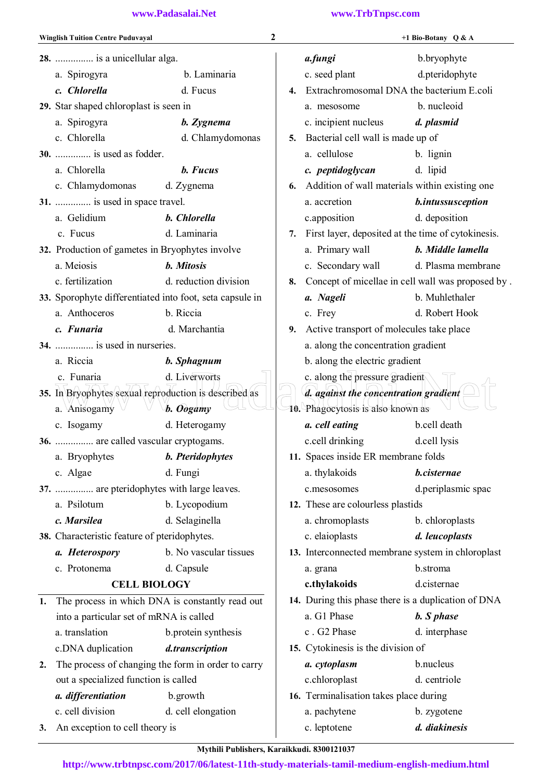|    | <b>Winglish Tuition Centre Puduvayal</b>                 | $\overline{2}$          |    |                                                     | +1 Bio-Botany Q & A                               |
|----|----------------------------------------------------------|-------------------------|----|-----------------------------------------------------|---------------------------------------------------|
|    | 28.  is a unicellular alga.                              |                         |    | a.fungi                                             | b.bryophyte                                       |
|    | a. Spirogyra                                             | b. Laminaria            |    | c. seed plant                                       | d.pteridophyte                                    |
|    | c. Chlorella                                             | d. Fucus                | 4. | Extrachromosomal DNA the bacterium E.coli           |                                                   |
|    | 29. Star shaped chloroplast is seen in                   |                         |    | a. mesosome                                         | b. nucleoid                                       |
|    | a. Spirogyra                                             | b. Zygnema              |    | c. incipient nucleus                                | d. plasmid                                        |
|    | c. Chlorella                                             | d. Chlamydomonas        | 5. | Bacterial cell wall is made up of                   |                                                   |
|    | 30.  is used as fodder.                                  |                         |    | a. cellulose                                        | b. lignin                                         |
|    | a. Chlorella                                             | b. Fucus                |    | c. peptidoglycan                                    | d. lipid                                          |
|    | c. Chlamydomonas d. Zygnema                              |                         | 6. | Addition of wall materials within existing one      |                                                   |
|    | 31.  is used in space travel.                            |                         |    | a. accretion                                        | b.intussusception                                 |
|    | a. Gelidium                                              | b. Chlorella            |    | c.apposition                                        | d. deposition                                     |
|    | c. Fucus                                                 | d. Laminaria            | 7. | First layer, deposited at the time of cytokinesis.  |                                                   |
|    | 32. Production of gametes in Bryophytes involve          |                         |    | a. Primary wall                                     | b. Middle lamella                                 |
|    | a. Meiosis                                               | b. Mitosis              |    | c. Secondary wall                                   | d. Plasma membrane                                |
|    | c. fertilization                                         | d. reduction division   | 8. |                                                     | Concept of micellae in cell wall was proposed by. |
|    | 33. Sporophyte differentiated into foot, seta capsule in |                         |    | a. Nageli                                           | b. Muhlethaler                                    |
|    | a. Anthoceros                                            | b. Riccia               |    | c. Frey                                             | d. Robert Hook                                    |
|    | c. Funaria                                               | d. Marchantia           | 9. | Active transport of molecules take place            |                                                   |
|    | 34.  is used in nurseries.                               |                         |    | a. along the concentration gradient                 |                                                   |
|    | a. Riccia                                                | b. Sphagnum             |    | b. along the electric gradient                      |                                                   |
|    | c. Funaria                                               | d. Liverworts           |    | c. along the pressure gradient                      |                                                   |
|    | 35. In Bryophytes sexual reproduction is described as    |                         |    | d. against the concentration gradient               |                                                   |
|    | a. Anisogamy $\vee$                                      | b. Oogamy               |    | 10. Phagocytosis is also known as                   |                                                   |
|    | c. Isogamy                                               | d. Heterogamy           |    | a. cell eating                                      | b.cell death                                      |
|    | 36.  are called vascular cryptogams.                     |                         |    | c.cell drinking                                     | d.cell lysis                                      |
|    | a. Bryophytes                                            | <b>b.</b> Pteridophytes |    | 11. Spaces inside ER membrane folds                 |                                                   |
|    | c. Algae                                                 | d. Fungi                |    | a. thylakoids                                       | b.cisternae                                       |
|    | 37.  are pteridophytes with large leaves.                |                         |    | c.mesosomes                                         | d.periplasmic spac                                |
|    | a. Psilotum                                              | b. Lycopodium           |    | 12. These are colourless plastids                   |                                                   |
|    | c. Marsilea                                              | d. Selaginella          |    | a. chromoplasts                                     | b. chloroplasts                                   |
|    | 38. Characteristic feature of pteridophytes.             |                         |    | c. elaioplasts                                      | d. leucoplasts                                    |
|    | a. Heterospory                                           | b. No vascular tissues  |    | 13. Interconnected membrane system in chloroplast   |                                                   |
|    | c. Protonema                                             | d. Capsule              |    | a. grana                                            | b.stroma                                          |
|    | <b>CELL BIOLOGY</b>                                      |                         |    | c.thylakoids                                        | d.cisternae                                       |
| 1. | The process in which DNA is constantly read out          |                         |    | 14. During this phase there is a duplication of DNA |                                                   |
|    | into a particular set of mRNA is called                  |                         |    | a. G1 Phase                                         | b. S phase                                        |
|    | a. translation                                           | b.protein synthesis     |    | c. G2 Phase                                         | d. interphase                                     |
|    | c.DNA duplication                                        | d.transcription         |    | 15. Cytokinesis is the division of                  |                                                   |
| 2. | The process of changing the form in order to carry       |                         |    | a. cytoplasm                                        | b.nucleus                                         |
|    | out a specialized function is called                     |                         |    | c.chloroplast                                       | d. centriole                                      |
|    | a. differentiation                                       | b.growth                |    | 16. Terminalisation takes place during              |                                                   |
|    | c. cell division                                         | d. cell elongation      |    | a. pachytene                                        | b. zygotene                                       |
| 3. | An exception to cell theory is                           |                         |    | c. leptotene                                        | d. diakinesis                                     |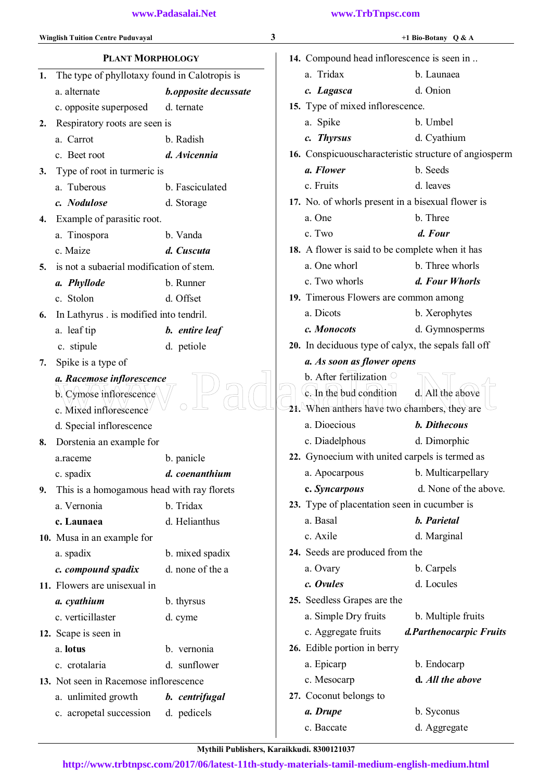c. acropetal succession d. pedicels

| <b>Winglish Tuition Centre Puduvayal</b> |                                               | 3                    | +1 Bio-Botany Q & A                        |                                                     |                                                        |
|------------------------------------------|-----------------------------------------------|----------------------|--------------------------------------------|-----------------------------------------------------|--------------------------------------------------------|
| <b>PLANT MORPHOLOGY</b>                  |                                               |                      | 14. Compound head inflorescence is seen in |                                                     |                                                        |
| 1.                                       | The type of phyllotaxy found in Calotropis is |                      |                                            | a. Tridax                                           | b. Launaea                                             |
|                                          | a. alternate                                  | b.opposite decussate |                                            | c. Lagasca                                          | d. Onion                                               |
|                                          | c. opposite superposed                        | d. ternate           |                                            | 15. Type of mixed inflorescence.                    |                                                        |
| 2.                                       | Respiratory roots are seen is                 |                      |                                            | a. Spike                                            | b. Umbel                                               |
|                                          | a. Carrot                                     | b. Radish            |                                            | c. Thyrsus                                          | d. Cyathium                                            |
|                                          | c. Beet root                                  | d. Avicennia         |                                            |                                                     | 16. Conspicuous characteristic structure of angiosperm |
| 3.                                       | Type of root in turmeric is                   |                      |                                            | a. Flower                                           | b. Seeds                                               |
|                                          | a. Tuberous                                   | b. Fasciculated      |                                            | c. Fruits                                           | d. leaves                                              |
|                                          | c. Nodulose                                   | d. Storage           |                                            | 17. No. of whorls present in a bisexual flower is   |                                                        |
| 4.                                       | Example of parasitic root.                    |                      |                                            | a. One                                              | b. Three                                               |
|                                          | a. Tinospora                                  | b. Vanda             |                                            | c. Two                                              | d. Four                                                |
|                                          | c. Maize                                      | d. Cuscuta           |                                            | 18. A flower is said to be complete when it has     |                                                        |
| 5.                                       | is not a subaerial modification of stem.      |                      |                                            | a. One whorl                                        | b. Three whorls                                        |
|                                          | a. Phyllode                                   | b. Runner            |                                            | c. Two whorls                                       | d. Four Whorls                                         |
|                                          | c. Stolon                                     | d. Offset            |                                            | 19. Timerous Flowers are common among               |                                                        |
| 6.                                       | In Lathyrus . is modified into tendril.       |                      |                                            | a. Dicots                                           | b. Xerophytes                                          |
|                                          | a. leaf tip                                   | b. entire leaf       |                                            | c. Monocots                                         | d. Gymnosperms                                         |
|                                          | c. stipule                                    | d. petiole           |                                            | 20. In deciduous type of calyx, the sepals fall off |                                                        |
| 7.                                       | Spike is a type of                            |                      |                                            | a. As soon as flower opens                          |                                                        |
|                                          | a. Racemose inflorescence                     |                      |                                            | b. After fertilization                              |                                                        |
|                                          | b. Cymose inflorescence                       |                      |                                            | c. In the bud condition                             | d. All the above                                       |
|                                          | c. Mixed inflorescence                        |                      |                                            | 21. When anthers have two chambers, they are        |                                                        |
|                                          | d. Special inflorescence                      |                      |                                            | a. Dioecious                                        | <b>b.</b> Dithecous                                    |
| 8.                                       | Dorstenia an example for                      |                      |                                            | c. Diadelphous                                      | d. Dimorphic                                           |
|                                          | a.raceme                                      | b. panicle           |                                            | 22. Gynoecium with united carpels is termed as      |                                                        |
|                                          | c. spadix                                     | d. coenanthium       |                                            | a. Apocarpous                                       | b. Multicarpellary                                     |
| 9.                                       | This is a homogamous head with ray florets    |                      |                                            | c. Syncarpous                                       | d. None of the above.                                  |
|                                          | a. Vernonia                                   | b. Tridax            |                                            | 23. Type of placentation seen in cucumber is        |                                                        |
|                                          | c. Launaea                                    | d. Helianthus        |                                            | a. Basal                                            | <b>b.</b> Parietal                                     |
|                                          | 10. Musa in an example for                    |                      |                                            | c. Axile                                            | d. Marginal                                            |
|                                          | a. spadix                                     | b. mixed spadix      |                                            | 24. Seeds are produced from the                     |                                                        |
|                                          | c. compound spadix                            | d. none of the a     |                                            | a. Ovary                                            | b. Carpels                                             |
|                                          | 11. Flowers are unisexual in                  |                      |                                            | c. Ovules                                           | d. Locules                                             |
|                                          | a. cyathium                                   | b. thyrsus           |                                            | 25. Seedless Grapes are the                         |                                                        |
|                                          | c. verticillaster                             | d. cyme              |                                            | a. Simple Dry fruits                                | b. Multiple fruits                                     |
|                                          | 12. Scape is seen in                          |                      |                                            | c. Aggregate fruits                                 | d.Parthenocarpic Fruits                                |
|                                          | a. lotus                                      | b. vernonia          |                                            | 26. Edible portion in berry                         |                                                        |
|                                          | c. crotalaria                                 | d. sunflower         |                                            | a. Epicarp                                          | b. Endocarp                                            |
|                                          | 13. Not seen in Racemose inflorescence        |                      |                                            | c. Mesocarp                                         | d. All the above                                       |
|                                          | a. unlimited growth                           | b. centrifugal       |                                            | 27. Coconut belongs to                              |                                                        |

*a. Drupe* b. Syconus c. Baccate d. Aggregate

Mythili Publishers, Karaikkudi. 8300121037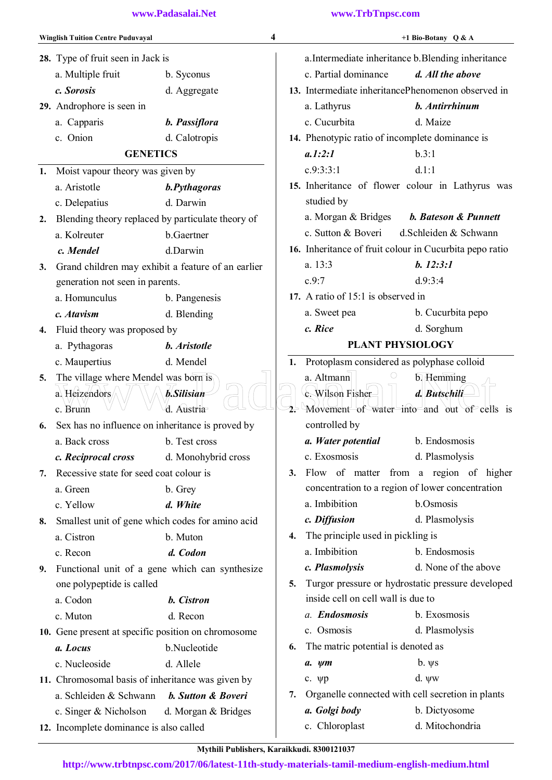|    | 28. Type of fruit seen in Jack is<br>a. Multiple fruit<br>c. Sorosis | b. Syconus                |    | a.Intermediate inheritance b.Blending inheritance       |                                                   |
|----|----------------------------------------------------------------------|---------------------------|----|---------------------------------------------------------|---------------------------------------------------|
|    |                                                                      |                           |    |                                                         |                                                   |
|    |                                                                      |                           |    | c. Partial dominance                                    | d. All the above                                  |
|    |                                                                      | d. Aggregate              |    | 13. Intermediate inheritancePhenomenon observed in      |                                                   |
|    | 29. Androphore is seen in                                            |                           |    | a. Lathyrus                                             | b. Antirrhinum                                    |
|    | a. Capparis                                                          | b. Passiflora             |    | c. Cucurbita                                            | d. Maize                                          |
|    | c. Onion                                                             | d. Calotropis             |    | 14. Phenotypic ratio of incomplete dominance is         |                                                   |
|    | <b>GENETICS</b>                                                      |                           |    | a.1:2:1                                                 | b.3:1                                             |
| 1. | Moist vapour theory was given by                                     |                           |    | c.9:3:3:1                                               | d.1:1                                             |
|    | a. Aristotle                                                         | b.Pythagoras              |    |                                                         | 15. Inheritance of flower colour in Lathyrus was  |
|    | c. Delepatius                                                        | d. Darwin                 |    | studied by                                              |                                                   |
| 2. | Blending theory replaced by particulate theory of                    |                           |    | a. Morgan & Bridges                                     | <b>b. Bateson &amp; Punnett</b>                   |
|    | a. Kolreuter                                                         | b.Gaertner                |    | c. Sutton & Boveri                                      | d.Schleiden & Schwann                             |
|    | c. Mendel                                                            | d.Darwin                  |    | 16. Inheritance of fruit colour in Cucurbita pepo ratio |                                                   |
| 3. | Grand children may exhibit a feature of an earlier                   |                           |    | a. 13:3                                                 | b. 12:3:1                                         |
|    | generation not seen in parents.                                      |                           |    | c.9:7                                                   | d.9:3:4                                           |
|    | a. Homunculus                                                        | b. Pangenesis             |    | 17. A ratio of 15:1 is observed in                      |                                                   |
|    | c. Atavism                                                           | d. Blending               |    | a. Sweet pea                                            | b. Cucurbita pepo                                 |
| 4. | Fluid theory was proposed by                                         |                           |    | c. Rice                                                 | d. Sorghum                                        |
|    | a. Pythagoras                                                        | b. Aristotle              |    | PLANT PHYSIOLOGY                                        |                                                   |
|    | c. Maupertius                                                        | d. Mendel                 | 1. | Protoplasm considered as polyphase colloid              |                                                   |
| 5. | The village where Mendel was born is                                 |                           |    | a. Altmann                                              | b. Hemming                                        |
|    | a. Heizendors                                                        | <b>b.Silisian</b>         |    | c. Wilson Fisher                                        | d. Butschili                                      |
|    | c. Brunn                                                             | d. Austria                |    |                                                         | Movement of water into and out of cells is        |
| 6. | Sex has no influence on inheritance is proved by                     |                           |    | controlled by                                           |                                                   |
|    | a. Back cross                                                        | b. Test cross             |    | a. Water potential                                      | b. Endosmosis                                     |
|    | c. Reciprocal cross                                                  | d. Monohybrid cross       |    | c. Exosmosis                                            | d. Plasmolysis                                    |
| 7. | Recessive state for seed coat colour is                              |                           | 3. |                                                         | Flow of matter from a region of higher            |
|    | a. Green                                                             | b. Grey                   |    | concentration to a region of lower concentration        |                                                   |
|    | c. Yellow                                                            | d. White                  |    | a. Imbibition                                           | b.Osmosis                                         |
| 8. | Smallest unit of gene which codes for amino acid                     |                           |    | c. Diffusion                                            | d. Plasmolysis                                    |
|    | a. Cistron                                                           | b. Muton                  | 4. | The principle used in pickling is                       |                                                   |
|    | c. Recon                                                             | d. Codon                  |    | a. Imbibition                                           | b. Endosmosis                                     |
| 9. | Functional unit of a gene which can synthesize                       |                           |    | c. Plasmolysis                                          | d. None of the above                              |
|    | one polypeptide is called                                            |                           | 5. |                                                         | Turgor pressure or hydrostatic pressure developed |
|    | a. Codon                                                             | b. Cistron                |    | inside cell on cell wall is due to                      |                                                   |
|    | c. Muton                                                             | d. Recon                  |    | a. Endosmosis                                           | b. Exosmosis                                      |
|    | 10. Gene present at specific position on chromosome                  |                           |    | c. Osmosis                                              | d. Plasmolysis                                    |
|    | a. Locus                                                             | b.Nucleotide              | 6. | The matric potential is denoted as                      |                                                   |
|    | c. Nucleoside                                                        | d. Allele                 |    | $a. \ ym$                                               | $b. \psi s$                                       |
|    | 11. Chromosomal basis of inheritance was given by                    |                           |    | c. $\psi$ p                                             | d. $\psi w$                                       |
|    | a. Schleiden & Schwann                                               | <b>b.</b> Sutton & Boveri | 7. | Organelle connected with cell secretion in plants       |                                                   |
|    | c. Singer & Nicholson                                                | d. Morgan $&$ Bridges     |    | a. Golgi body                                           | b. Dictyosome                                     |
|    | 12. Incomplete dominance is also called                              |                           |    | c. Chloroplast                                          | d. Mitochondria                                   |
|    |                                                                      |                           |    |                                                         |                                                   |

Mythili Publishers, Karaikkudi. 8300121037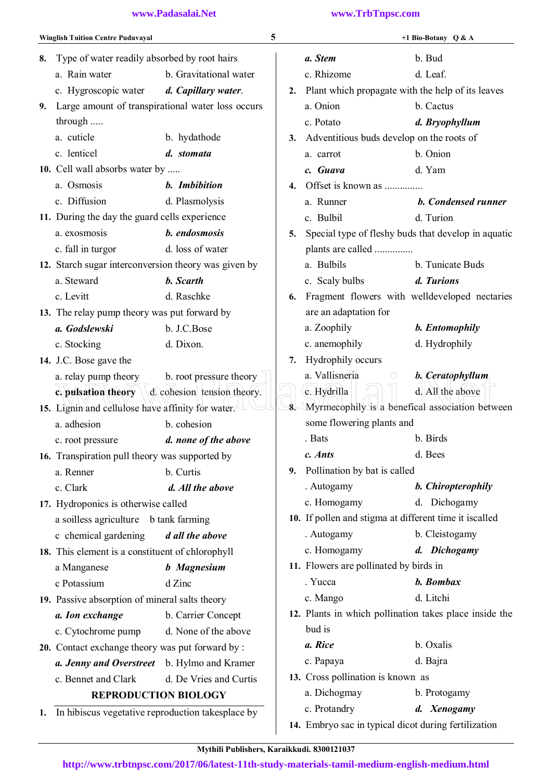|    | <b>Winglish Tuition Centre Puduvayal</b>             |                             | 5        |                                                        | +1 Bio-Botany Q & A                                    |
|----|------------------------------------------------------|-----------------------------|----------|--------------------------------------------------------|--------------------------------------------------------|
| 8. | Type of water readily absorbed by root hairs         |                             |          | a. Stem                                                | b. Bud                                                 |
|    | a. Rain water                                        | b. Gravitational water      |          | c. Rhizome                                             | d. Leaf.                                               |
|    | c. Hygroscopic water                                 | d. Capillary water.         | 2.       |                                                        | Plant which propagate with the help of its leaves      |
| 9. | Large amount of transpirational water loss occurs    |                             |          | a. Onion                                               | b. Cactus                                              |
|    | through                                              |                             |          | c. Potato                                              | d. Bryophyllum                                         |
|    | a. cuticle                                           | b. hydathode                | 3.       | Adventitious buds develop on the roots of              |                                                        |
|    | c. lenticel                                          | d. stomata                  |          | a. carrot                                              | b. Onion                                               |
|    | 10. Cell wall absorbs water by                       |                             |          | c. Guava                                               | d. Yam                                                 |
|    | a. Osmosis                                           | b. Imbibition               | 4.       | Offset is known as                                     |                                                        |
|    | c. Diffusion                                         | d. Plasmolysis              |          | a. Runner                                              | <b>b.</b> Condensed runner                             |
|    | 11. During the day the guard cells experience        |                             |          | c. Bulbil                                              | d. Turion                                              |
|    | a. exosmosis                                         | b. endosmosis               | 5.       |                                                        | Special type of fleshy buds that develop in aquatic    |
|    | c. fall in turgor                                    | d. loss of water            |          | plants are called                                      |                                                        |
|    | 12. Starch sugar interconversion theory was given by |                             |          | a. Bulbils                                             | b. Tunicate Buds                                       |
|    | a. Steward                                           | <b>b.</b> Scarth            |          | c. Scaly bulbs                                         | d. Turions                                             |
|    | c. Levitt                                            | d. Raschke                  | 6.       |                                                        | Fragment flowers with welldeveloped nectaries          |
|    | 13. The relay pump theory was put forward by         |                             |          | are an adaptation for                                  |                                                        |
|    | a. Godslewski                                        | b. J.C.Bose                 |          | a. Zoophily                                            | b. Entomophily                                         |
|    | c. Stocking                                          | d. Dixon.                   |          | c. anemophily                                          | d. Hydrophily                                          |
|    | 14. J.C. Bose gave the                               |                             | 7.       | Hydrophily occurs                                      |                                                        |
|    | a. relay pump theory                                 | b. root pressure theory     |          | a. Vallisneria<br>$\circ$                              | $b. Ceratophyllum$                                     |
|    | c. pulsation theory                                  | d, cohesion tension theory. |          | c. Hydrilla                                            | d. All the above                                       |
|    | 15. Lignin and cellulose have affinity for water.    |                             | $\delta$ |                                                        | Myrmecophily is a benefical association between        |
|    | a. adhesion                                          | b. cohesion                 |          | some flowering plants and                              |                                                        |
|    | c. root pressure                                     | d. none of the above        |          | . Bats                                                 | b. Birds                                               |
|    | 16. Transpiration pull theory was supported by       |                             |          | c. Ants                                                | d. Bees                                                |
|    | a. Renner                                            | b. Curtis                   | 9.       | Pollination by bat is called                           |                                                        |
|    | c. Clark                                             | d. All the above            |          | . Autogamy                                             | b. Chiropterophily                                     |
|    | 17. Hydroponics is otherwise called                  |                             |          | c. Homogamy                                            | d. Dichogamy                                           |
|    | a soilless agriculture b tank farming                |                             |          | 10. If pollen and stigma at different time it iscalled |                                                        |
|    | c chemical gardening                                 | d all the above             |          | . Autogamy                                             | b. Cleistogamy                                         |
|    | 18. This element is a constituent of chlorophyll     |                             |          | c. Homogamy                                            | d. Dichogamy                                           |
|    | a Manganese                                          | <b>b</b> Magnesium          |          | 11. Flowers are pollinated by birds in                 |                                                        |
|    | c Potassium                                          | d Zinc                      |          | . Yucca                                                | b. Bombax                                              |
|    | 19. Passive absorption of mineral salts theory       |                             |          | c. Mango                                               | d. Litchi                                              |
|    | a. Ion exchange                                      | b. Carrier Concept          |          |                                                        | 12. Plants in which pollination takes place inside the |
|    | c. Cytochrome pump                                   | d. None of the above        |          | bud is                                                 |                                                        |
|    | 20. Contact exchange theory was put forward by:      |                             |          | a. Rice                                                | b. Oxalis                                              |
|    | a. Jenny and Overstreet                              | b. Hylmo and Kramer         |          | c. Papaya                                              | d. Bajra                                               |
|    | c. Bennet and Clark                                  | d. De Vries and Curtis      |          | 13. Cross pollination is known as                      |                                                        |
|    | <b>REPRODUCTION BIOLOGY</b>                          |                             |          | a. Dichogmay                                           | b. Protogamy                                           |
|    | 1. In hibiscus vegetative reproduction takesplace by |                             |          | c. Protandry                                           | d. Xenogamy                                            |
|    |                                                      |                             |          | 14. Embryo sac in typical dicot during fertilization   |                                                        |
|    |                                                      |                             |          |                                                        |                                                        |

Mythili Publishers, Karaikkudi. 8300121037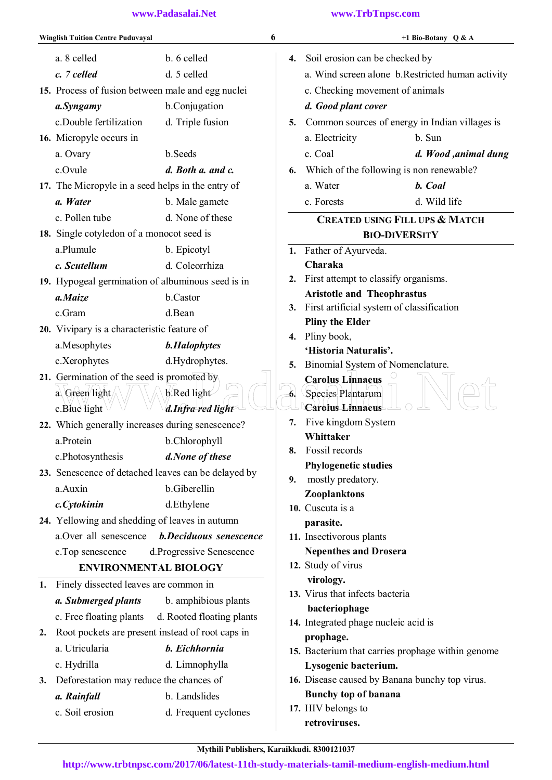|    | <b>Winglish Tuition Centre Puduvayal</b>          |                                                     | 6  |                                                             | +1 Bio-Botany $Q & A$                             |
|----|---------------------------------------------------|-----------------------------------------------------|----|-------------------------------------------------------------|---------------------------------------------------|
|    | a. 8 celled                                       | b. 6 celled                                         |    | 4. Soil erosion can be checked by                           |                                                   |
|    | c. 7 celled                                       | d. 5 celled                                         |    |                                                             | a. Wind screen alone b. Restricted human activity |
|    | 15. Process of fusion between male and egg nuclei |                                                     |    | c. Checking movement of animals                             |                                                   |
|    | a.Syngamy                                         | b.Conjugation                                       |    | d. Good plant cover                                         |                                                   |
|    | c.Double fertilization                            | d. Triple fusion                                    | 5. |                                                             | Common sources of energy in Indian villages is    |
|    | 16. Micropyle occurs in                           |                                                     |    | a. Electricity                                              | b. Sun                                            |
|    | a. Ovary                                          | b.Seeds                                             |    | c. Coal                                                     | d. Wood ,animal dung                              |
|    | c.Ovule                                           | d. Both a. and c.                                   | 6. | Which of the following is non renewable?                    |                                                   |
|    | 17. The Micropyle in a seed helps in the entry of |                                                     |    | a. Water                                                    | b. Coal                                           |
|    | a. Water                                          | b. Male gamete                                      |    | c. Forests                                                  | d. Wild life                                      |
|    | c. Pollen tube                                    | d. None of these                                    |    |                                                             | <b>CREATED USING FILL UPS &amp; MATCH</b>         |
|    | 18. Single cotyledon of a monocot seed is         |                                                     |    |                                                             | <b>BIO-DIVERSITY</b>                              |
|    | a.Plumule                                         | b. Epicotyl                                         |    | 1. Father of Ayurveda.                                      |                                                   |
|    | c. Scutellum                                      | d. Coleorrhiza                                      |    | Charaka                                                     |                                                   |
|    | 19. Hypogeal germination of albuminous seed is in |                                                     |    | 2. First attempt to classify organisms.                     |                                                   |
|    | a.Maize                                           | b.Castor                                            |    | <b>Aristotle and Theophrastus</b>                           |                                                   |
|    | c.Gram                                            | d.Bean                                              |    | 3. First artificial system of classification                |                                                   |
|    | 20. Vivipary is a characteristic feature of       |                                                     |    | <b>Pliny the Elder</b>                                      |                                                   |
|    | a.Mesophytes                                      | <b>b.Halophytes</b>                                 |    | 4. Pliny book,                                              |                                                   |
|    | c.Xerophytes                                      | d.Hydrophytes.                                      |    | 'Historia Naturalis'.                                       |                                                   |
|    | 21. Germination of the seed is promoted by        |                                                     | 5. | Binomial System of Nomenclature.<br><b>Carolus Linnaeus</b> |                                                   |
|    | a. Green light                                    | $b$ . Red light                                     |    | Species Plantarum                                           |                                                   |
|    | $c$ . Blue light                                  | d.Infra red light                                   |    | Carolus Linnaeus                                            |                                                   |
|    | 22. Which generally increases during senescence?  |                                                     | 7. | Five kingdom System                                         |                                                   |
|    | a Protein                                         | b.Chlorophyll                                       |    | Whittaker                                                   |                                                   |
|    | c.Photosynthesis                                  | d.None of these                                     | 8. | Fossil records                                              |                                                   |
|    |                                                   | 23. Senescence of detached leaves can be delayed by |    | <b>Phylogenetic studies</b>                                 |                                                   |
|    | a.Auxin                                           | b.Giberellin                                        | 9. | mostly predatory.                                           |                                                   |
|    | c.Cytokinin                                       | d.Ethylene                                          |    | Zooplanktons                                                |                                                   |
|    | 24. Yellowing and shedding of leaves in autumn    |                                                     |    | 10. Cuscuta is a                                            |                                                   |
|    | a.Over all senescence                             | <b>b.Deciduous senescence</b>                       |    | parasite.<br>11. Insectivorous plants                       |                                                   |
|    | c. Top senescence                                 | d.Progressive Senescence                            |    | <b>Nepenthes and Drosera</b>                                |                                                   |
|    | <b>ENVIRONMENTAL BIOLOGY</b>                      |                                                     |    | 12. Study of virus                                          |                                                   |
|    |                                                   |                                                     |    | virology.                                                   |                                                   |
| 1. | Finely dissected leaves are common in             |                                                     |    | 13. Virus that infects bacteria                             |                                                   |
|    | a. Submerged plants                               | b. amphibious plants                                |    | bacteriophage                                               |                                                   |
|    | c. Free floating plants                           | d. Rooted floating plants                           |    | 14. Integrated phage nucleic acid is                        |                                                   |
| 2. | Root pockets are present instead of root caps in  |                                                     |    | prophage.                                                   |                                                   |
|    | a. Utricularia                                    | b. Eichhornia                                       |    |                                                             | 15. Bacterium that carries prophage within genome |
|    | c. Hydrilla                                       | d. Limnophylla                                      |    | Lysogenic bacterium.                                        |                                                   |
| 3. | Deforestation may reduce the chances of           |                                                     |    | 16. Disease caused by Banana bunchy top virus.              |                                                   |
|    | a. Rainfall                                       | b. Landslides                                       |    | <b>Bunchy top of banana</b><br>17. HIV belongs to           |                                                   |
|    | c. Soil erosion                                   | d. Frequent cyclones                                |    | retroviruses.                                               |                                                   |
|    |                                                   |                                                     |    |                                                             |                                                   |

Mythili Publishers, Karaikkudi. 8300121037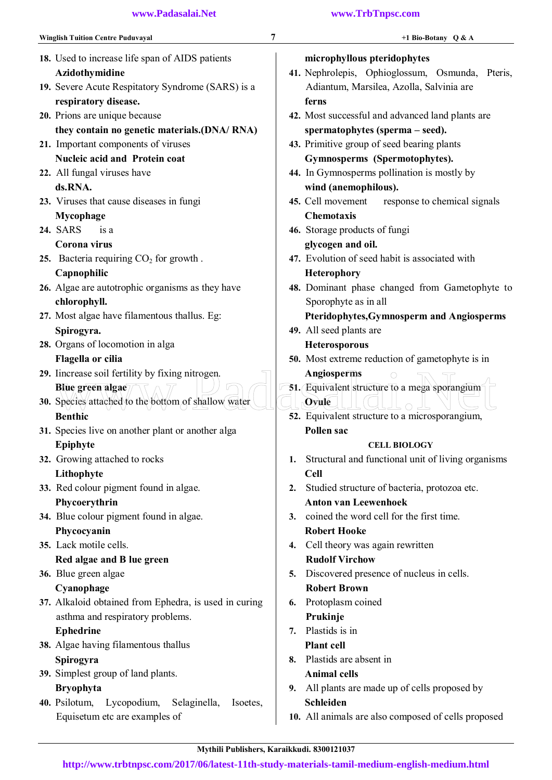| <b>Winglish Tuition Centre Puduvayal</b>                   | 7<br>+1 Bio-Botany Q & A                                 |
|------------------------------------------------------------|----------------------------------------------------------|
| 18. Used to increase life span of AIDS patients            | microphyllous pteridophytes                              |
| Azidothymidine                                             | 41. Nephrolepis, Ophioglossum, Osmunda, Pteris,          |
| 19. Severe Acute Respitatory Syndrome (SARS) is a          | Adiantum, Marsilea, Azolla, Salvinia are                 |
| respiratory disease.                                       | ferns                                                    |
| 20. Prions are unique because                              | 42. Most successful and advanced land plants are         |
| they contain no genetic materials.(DNA/RNA)                | spermatophytes (sperma – seed).                          |
| 21. Important components of viruses                        | 43. Primitive group of seed bearing plants               |
| <b>Nucleic acid and Protein coat</b>                       | Gymnosperms (Spermotophytes).                            |
| 22. All fungal viruses have                                | 44. In Gymnosperms pollination is mostly by              |
| ds.RNA.                                                    | wind (anemophilous).                                     |
| 23. Viruses that cause diseases in fungi                   | 45. Cell movement<br>response to chemical signals        |
| Mycophage                                                  | <b>Chemotaxis</b>                                        |
| <b>24. SARS</b><br>is a                                    | 46. Storage products of fungi                            |
| Corona virus                                               | glycogen and oil.                                        |
| 25. Bacteria requiring $CO2$ for growth.                   | 47. Evolution of seed habit is associated with           |
| Capnophilic                                                | <b>Heterophory</b>                                       |
| 26. Algae are autotrophic organisms as they have           | 48. Dominant phase changed from Gametophyte to           |
| chlorophyll.                                               | Sporophyte as in all                                     |
| 27. Most algae have filamentous thallus. Eg:               | Pteridophytes, Gymnosperm and Angiosperms                |
| Spirogyra.                                                 | 49. All seed plants are                                  |
| 28. Organs of locomotion in alga                           | <b>Heterosporous</b>                                     |
| Flagella or cilia                                          | <b>50.</b> Most extreme reduction of gametophyte is in   |
| 29. Increase soil fertility by fixing nitrogen,            | Angiosperms                                              |
| Blue green algae                                           | 51. Equivalent structure to a mega sporangium            |
| <b>30.</b> Species attached to the bottom of shallow water | Ovule                                                    |
| <b>Benthic</b>                                             | 52. Equivalent structure to a microsporangium,           |
| 31. Species live on another plant or another alga          | Pollen sac                                               |
| Epiphyte                                                   | <b>CELL BIOLOGY</b>                                      |
| 32. Growing attached to rocks                              | Structural and functional unit of living organisms<br>1. |
| Lithophyte                                                 | <b>Cell</b>                                              |
| 33. Red colour pigment found in algae.                     | Studied structure of bacteria, protozoa etc.<br>2.       |
| Phycoerythrin                                              | <b>Anton van Leewenhoek</b>                              |
| 34. Blue colour pigment found in algae.                    | coined the word cell for the first time.<br>3.           |
| Phycocyanin                                                | <b>Robert Hooke</b>                                      |
| 35. Lack motile cells.                                     | Cell theory was again rewritten<br>4.                    |
| Red algae and B lue green                                  | <b>Rudolf Virchow</b>                                    |
| 36. Blue green algae                                       | Discovered presence of nucleus in cells.<br>5.           |
| Cyanophage                                                 | <b>Robert Brown</b>                                      |
| 37. Alkaloid obtained from Ephedra, is used in curing      | Protoplasm coined<br>6.                                  |
| asthma and respiratory problems.                           | Prukinje                                                 |
| <b>Ephedrine</b>                                           | Plastids is in<br>7.                                     |
| 38. Algae having filamentous thallus                       | <b>Plant cell</b>                                        |
| Spirogyra                                                  | Plastids are absent in<br>8.                             |
| 39. Simplest group of land plants.                         | <b>Animal cells</b>                                      |
| <b>Bryophyta</b>                                           | All plants are made up of cells proposed by<br>9.        |
| 40. Psilotum, Lycopodium,<br>Selaginella,<br>Isoetes,      | Schleiden                                                |
| Equisetum etc are examples of                              | 10. All animals are also composed of cells proposed      |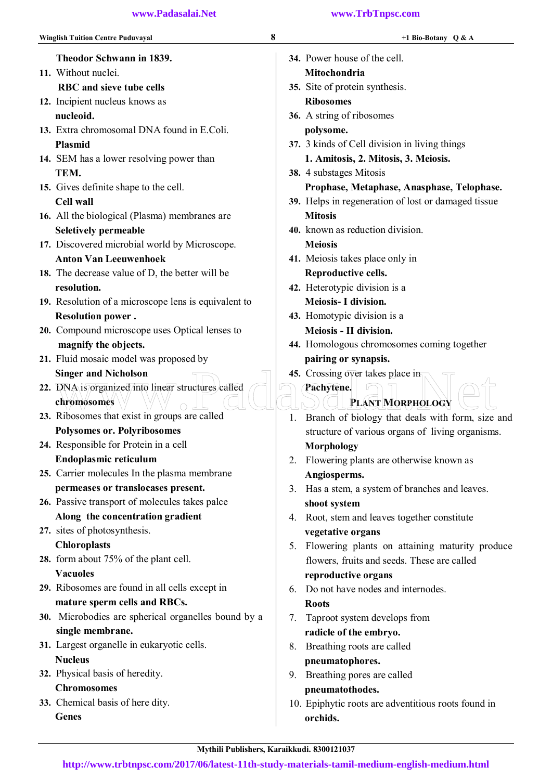| 8<br><b>Winglish Tuition Centre Puduvayal</b>                     |    | +1 Bio-Botany $Q & A$                               |
|-------------------------------------------------------------------|----|-----------------------------------------------------|
| Theodor Schwann in 1839.                                          |    | 34. Power house of the cell.                        |
| 11. Without nuclei.                                               |    | Mitochondria                                        |
| <b>RBC</b> and sieve tube cells                                   |    | 35. Site of protein synthesis.                      |
| 12. Incipient nucleus knows as                                    |    | <b>Ribosomes</b>                                    |
| nucleoid.                                                         |    | 36. A string of ribosomes                           |
| 13. Extra chromosomal DNA found in E.Coli.                        |    | polysome.                                           |
| <b>Plasmid</b>                                                    |    | 37. 3 kinds of Cell division in living things       |
| 14. SEM has a lower resolving power than                          |    | 1. Amitosis, 2. Mitosis, 3. Meiosis.                |
| TEM.                                                              |    | 38. 4 substages Mitosis                             |
| 15. Gives definite shape to the cell.                             |    | Prophase, Metaphase, Anasphase, Telophase.          |
| <b>Cell wall</b>                                                  |    | 39. Helps in regeneration of lost or damaged tissue |
| 16. All the biological (Plasma) membranes are                     |    | <b>Mitosis</b>                                      |
| <b>Seletively permeable</b>                                       |    | 40. known as reduction division.                    |
| 17. Discovered microbial world by Microscope.                     |    | <b>Meiosis</b>                                      |
| <b>Anton Van Leeuwenhoek</b>                                      |    | 41. Meiosis takes place only in                     |
| 18. The decrease value of D, the better will be                   |    | Reproductive cells.                                 |
| resolution.                                                       |    | 42. Heterotypic division is a                       |
| 19. Resolution of a microscope lens is equivalent to              |    | Meiosis- I division.                                |
| <b>Resolution power.</b>                                          |    | 43. Homotypic division is a                         |
| 20. Compound microscope uses Optical lenses to                    |    | Meiosis - II division.                              |
| magnify the objects.                                              |    | 44. Homologous chromosomes coming together          |
| 21. Fluid mosaic model was proposed by                            |    | pairing or synapsis.                                |
| <b>Singer and Nicholson</b>                                       |    | 45. Crossing over takes place in                    |
| 22. DNA is organized into linear structures called<br>chromosomes |    | Pachytene.<br>PLANT MORPHOLOGY                      |
| 23. Ribosomes that exist in groups are called                     | 1. | Branch of biology that deals with form, size and    |
| <b>Polysomes or. Polyribosomes</b>                                |    | structure of various organs of living organisms.    |
| 24. Responsible for Protein in a cell                             |    | Morphology                                          |
| Endoplasmic reticulum                                             | 2. | Flowering plants are otherwise known as             |
| 25. Carrier molecules In the plasma membrane                      |    | Angiosperms.                                        |
| permeases or translocases present.                                |    | 3. Has a stem, a system of branches and leaves.     |
| 26. Passive transport of molecules takes palce                    |    | shoot system                                        |
| Along the concentration gradient                                  | 4. | Root, stem and leaves together constitute           |
| 27. sites of photosynthesis.                                      |    | vegetative organs                                   |
| <b>Chloroplasts</b>                                               |    | 5. Flowering plants on attaining maturity produce   |
| 28. form about 75% of the plant cell.                             |    | flowers, fruits and seeds. These are called         |
| <b>Vacuoles</b>                                                   |    | reproductive organs                                 |
| 29. Ribosomes are found in all cells except in                    | 6. | Do not have nodes and internodes.                   |
| mature sperm cells and RBCs.                                      |    | <b>Roots</b>                                        |
| 30. Microbodies are spherical organelles bound by a               | 7. | Taproot system develops from                        |
| single membrane.                                                  |    | radicle of the embryo.                              |
| 31. Largest organelle in eukaryotic cells.                        |    | 8. Breathing roots are called                       |
| <b>Nucleus</b>                                                    |    | pneumatophores.                                     |
| 32. Physical basis of heredity.                                   |    | 9. Breathing pores are called                       |
| <b>Chromosomes</b>                                                |    | pneumatothodes.                                     |
| 33. Chemical basis of here dity.                                  |    | 10. Epiphytic roots are adventitious roots found in |
| <b>Genes</b>                                                      |    | orchids.                                            |
|                                                                   |    |                                                     |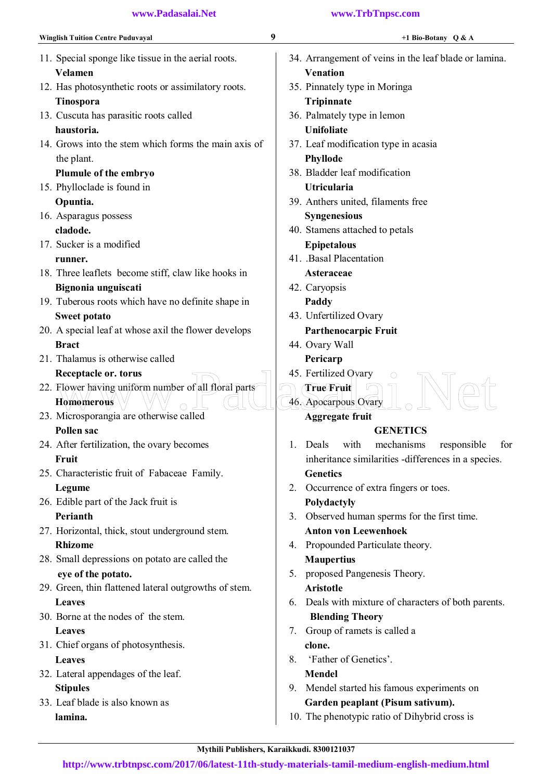| <b>Winglish Tuition Centre Puduvayal</b>              | 9<br>+1 Bio-Botany $Q & A$                            |
|-------------------------------------------------------|-------------------------------------------------------|
| 11. Special sponge like tissue in the aerial roots.   | 34. Arrangement of veins in the leaf blade or lamina. |
| Velamen                                               | <b>Venation</b>                                       |
| 12. Has photosynthetic roots or assimilatory roots.   | 35. Pinnately type in Moringa                         |
| Tinospora                                             | Tripinnate                                            |
| 13. Cuscuta has parasitic roots called                | 36. Palmately type in lemon                           |
| haustoria.                                            | <b>Unifoliate</b>                                     |
| 14. Grows into the stem which forms the main axis of  | 37. Leaf modification type in acasia                  |
| the plant.                                            | <b>Phyllode</b>                                       |
| Plumule of the embryo                                 | 38. Bladder leaf modification                         |
| 15. Phylloclade is found in                           | <b>Utricularia</b>                                    |
| Opuntia.                                              | 39. Anthers united, filaments free                    |
| 16. Asparagus possess                                 | <b>Syngenesious</b>                                   |
| cladode.                                              | 40. Stamens attached to petals                        |
| 17. Sucker is a modified                              | <b>Epipetalous</b>                                    |
| runner.                                               | 41. Basal Placentation                                |
| 18. Three leaflets become stiff, claw like hooks in   | Asteraceae                                            |
| Bignonia unguiscati                                   | 42. Caryopsis                                         |
| 19. Tuberous roots which have no definite shape in    | Paddy                                                 |
| <b>Sweet potato</b>                                   | 43. Unfertilized Ovary                                |
| 20. A special leaf at whose axil the flower develops  | <b>Parthenocarpic Fruit</b>                           |
| <b>Bract</b>                                          | 44. Ovary Wall                                        |
| 21. Thalamus is otherwise called                      | Pericarp                                              |
| Receptacle or. torus                                  | 45. Fertilized Ovary                                  |
| 22. Flower having uniform number of all floral parts  | <b>True Fruit</b>                                     |
| <b>Homomerous</b>                                     | 46. Apocarpous Ovary                                  |
| 23. Microsporangia are otherwise called               | <b>Aggregate fruit</b>                                |
| <b>Pollen sac</b>                                     | <b>GENETICS</b>                                       |
| 24. After fertilization, the ovary becomes            | mechanisms<br>with<br>responsible<br>Deals<br>for     |
| Fruit                                                 | inheritance similarities -differences in a species.   |
| 25. Characteristic fruit of Fabaceae Family.          | <b>Genetics</b>                                       |
| Legume                                                | 2. Occurrence of extra fingers or toes.               |
| 26. Edible part of the Jack fruit is                  | Polydactyly                                           |
| Perianth                                              | 3. Observed human sperms for the first time.          |
| 27. Horizontal, thick, stout underground stem.        | <b>Anton von Leewenhoek</b>                           |
| <b>Rhizome</b>                                        | 4. Propounded Particulate theory.                     |
| 28. Small depressions on potato are called the        | <b>Maupertius</b>                                     |
| eye of the potato.                                    | proposed Pangenesis Theory.<br>5.                     |
| 29. Green, thin flattened lateral outgrowths of stem. | <b>Aristotle</b>                                      |
| <b>Leaves</b>                                         | 6. Deals with mixture of characters of both parents.  |
| 30. Borne at the nodes of the stem.                   | <b>Blending Theory</b>                                |
| <b>Leaves</b>                                         | Group of ramets is called a<br>7.                     |
| 31. Chief organs of photosynthesis.                   | clone.                                                |
| <b>Leaves</b>                                         | 'Father of Genetics'.<br>8.                           |
| 32. Lateral appendages of the leaf.                   | <b>Mendel</b>                                         |
| <b>Stipules</b>                                       | Mendel started his famous experiments on<br>9.        |
| 33. Leaf blade is also known as                       | Garden peaplant (Pisum sativum).                      |
| lamina.                                               | 10. The phenotypic ratio of Dihybrid cross is         |
|                                                       |                                                       |

Mythili Publishers, Karaikkudi. 8300121037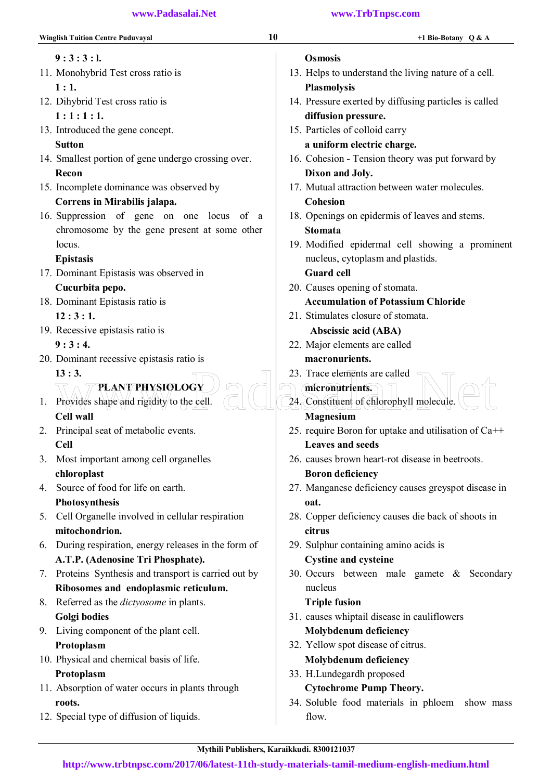| <b>Winglish Tuition Centre Puduvayal</b>              | 10<br>+1 Bio-Botany $Q & A$                           |
|-------------------------------------------------------|-------------------------------------------------------|
| $9:3:3:1$ .                                           | <b>Osmosis</b>                                        |
| 11. Monohybrid Test cross ratio is                    | 13. Helps to understand the living nature of a cell.  |
| 1:1.                                                  | <b>Plasmolysis</b>                                    |
| 12. Dihybrid Test cross ratio is                      | 14. Pressure exerted by diffusing particles is called |
| 1:1:1:1.                                              | diffusion pressure.                                   |
| 13. Introduced the gene concept.                      | 15. Particles of colloid carry                        |
| <b>Sutton</b>                                         | a uniform electric charge.                            |
| 14. Smallest portion of gene undergo crossing over.   | 16. Cohesion - Tension theory was put forward by      |
| Recon                                                 | Dixon and Joly.                                       |
| 15. Incomplete dominance was observed by              | 17. Mutual attraction between water molecules.        |
| Correns in Mirabilis jalapa.                          | Cohesion                                              |
| 16. Suppression of gene on one locus of a             | 18. Openings on epidermis of leaves and stems.        |
| chromosome by the gene present at some other          | <b>Stomata</b>                                        |
| locus.                                                | 19. Modified epidermal cell showing a prominent       |
| <b>Epistasis</b>                                      | nucleus, cytoplasm and plastids.                      |
| 17. Dominant Epistasis was observed in                | <b>Guard cell</b>                                     |
| Cucurbita pepo.                                       | 20. Causes opening of stomata.                        |
| 18. Dominant Epistasis ratio is                       | <b>Accumulation of Potassium Chloride</b>             |
| 12:3:1.                                               | 21. Stimulates closure of stomata.                    |
| 19. Recessive epistasis ratio is                      | Abscissic acid (ABA)                                  |
| 9:3:4.                                                | 22. Major elements are called                         |
| 20. Dominant recessive epistasis ratio is             | macronurients.                                        |
| 13:3.                                                 | 23. Trace elements are called                         |
| <b>PLANT/PHYSIOLOGY</b>                               | micronutrients.                                       |
| Provides shape and rigidity to the cell.<br>1.        | 24. Constituent of chlorophyll molecule.              |
| <b>Cell wall</b>                                      | Magnesium                                             |
| 2. Principal seat of metabolic events.                | 25. require Boron for uptake and utilisation of Ca++  |
| Cell                                                  | <b>Leaves and seeds</b>                               |
| 3. Most important among cell organelles               | 26. causes brown heart-rot disease in beetroots.      |
| chloroplast                                           | <b>Boron deficiency</b>                               |
| Source of food for life on earth.<br>4.               | 27. Manganese deficiency causes greyspot disease in   |
| Photosynthesis                                        | oat.                                                  |
| Cell Organelle involved in cellular respiration<br>5. | 28. Copper deficiency causes die back of shoots in    |
| mitochondrion.                                        | citrus                                                |
| 6. During respiration, energy releases in the form of | 29. Sulphur containing amino acids is                 |
| A.T.P. (Adenosine Tri Phosphate).                     | <b>Cystine and cysteine</b>                           |
| 7. Proteins Synthesis and transport is carried out by | 30. Occurs between male gamete & Secondary            |
| Ribosomes and endoplasmic reticulum.                  | nucleus                                               |
| 8. Referred as the <i>dictyosome</i> in plants.       | <b>Triple fusion</b>                                  |
| Golgi bodies                                          | 31. causes whiptail disease in cauliflowers           |
| 9. Living component of the plant cell.                | <b>Molybdenum deficiency</b>                          |
| Protoplasm                                            | 32. Yellow spot disease of citrus.                    |
| 10. Physical and chemical basis of life.              | <b>Molybdenum deficiency</b>                          |
| Protoplasm                                            | 33. H.Lundegardh proposed                             |
| 11. Absorption of water occurs in plants through      | <b>Cytochrome Pump Theory.</b>                        |
| roots.                                                | 34. Soluble food materials in phloem show mass        |
| 12. Special type of diffusion of liquids.             | flow.                                                 |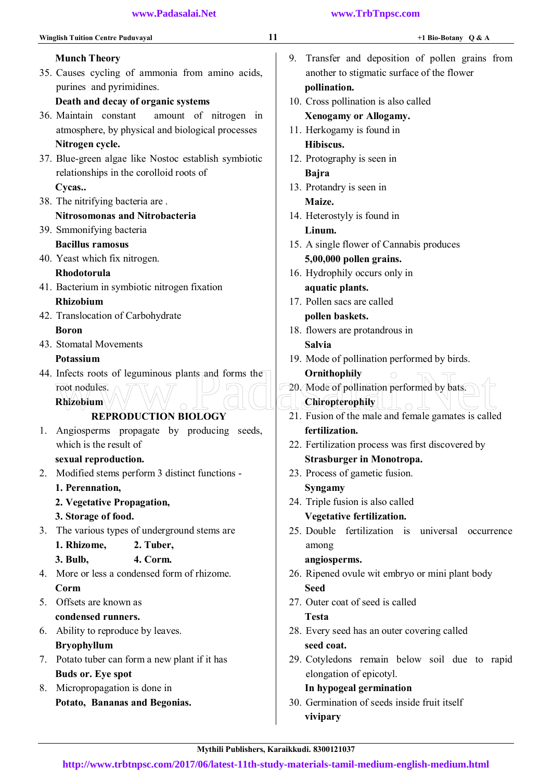| <b>Winglish Tuition Centre Puduvayal</b>                           | 11     | +1 Bio-Botany $Q & A$                               |
|--------------------------------------------------------------------|--------|-----------------------------------------------------|
| <b>Munch Theory</b>                                                | 9.     | Transfer and deposition of pollen grains from       |
| 35. Causes cycling of ammonia from amino acids,                    |        | another to stigmatic surface of the flower          |
| purines and pyrimidines.                                           |        | pollination.                                        |
| Death and decay of organic systems                                 |        | 10. Cross pollination is also called                |
| 36. Maintain constant<br>amount of nitrogen in                     |        | <b>Xenogamy or Allogamy.</b>                        |
| atmosphere, by physical and biological processes                   |        | 11. Herkogamy is found in                           |
| Nitrogen cycle.                                                    |        | Hibiscus.                                           |
| 37. Blue-green algae like Nostoc establish symbiotic               |        | 12. Protography is seen in                          |
| relationships in the corolloid roots of                            |        | <b>Bajra</b>                                        |
| Cycas                                                              |        | 13. Protandry is seen in                            |
| 38. The nitrifying bacteria are.                                   |        | Maize.                                              |
| <b>Nitrosomonas and Nitrobacteria</b>                              |        | 14. Heterostyly is found in                         |
| 39. Smmonifying bacteria                                           |        | Linum.                                              |
| <b>Bacillus ramosus</b>                                            |        | 15. A single flower of Cannabis produces            |
| 40. Yeast which fix nitrogen.                                      |        | 5,00,000 pollen grains.                             |
| Rhodotorula                                                        |        | 16. Hydrophily occurs only in                       |
| 41. Bacterium in symbiotic nitrogen fixation                       |        | aquatic plants.                                     |
| <b>Rhizobium</b>                                                   |        | 17. Pollen sacs are called                          |
| 42. Translocation of Carbohydrate                                  |        | pollen baskets.                                     |
| <b>Boron</b>                                                       |        | 18. flowers are protandrous in                      |
| 43. Stomatal Movements                                             |        | <b>Salvia</b>                                       |
| Potassium                                                          |        | 19. Mode of pollination performed by birds.         |
| 44. Infects roots of leguminous plants and forms the               |        | Ornithophily                                        |
| root nodules.                                                      |        | 20. Mode of pollination performed by bats.          |
| Rhizobium                                                          |        | Chiropterophily                                     |
| <b>REPRODUCTION BIOLOGY</b>                                        |        | 21. Fusion of the male and female gamates is called |
|                                                                    |        | fertilization.                                      |
| Angiosperms propagate by producing<br>1.<br>which is the result of | seeds, |                                                     |
|                                                                    |        | 22. Fertilization process was first discovered by   |
| sexual reproduction.                                               |        | <b>Strasburger in Monotropa.</b>                    |
| 2. Modified stems perform 3 distinct functions -                   |        | 23. Process of gametic fusion.                      |
| 1. Perennation,                                                    |        | Syngamy                                             |
| 2. Vegetative Propagation,                                         |        | 24. Triple fusion is also called                    |
| 3. Storage of food.                                                |        | Vegetative fertilization.                           |
| The various types of underground stems are<br>3.                   |        | 25. Double fertilization is universal occurrence    |
| 1. Rhizome,<br>2. Tuber,                                           |        | among                                               |
| 4. Corm.<br>3. Bulb,                                               |        | angiosperms.                                        |
| More or less a condensed form of rhizome.<br>4.                    |        | 26. Ripened ovule wit embryo or mini plant body     |
| Corm                                                               |        | <b>Seed</b>                                         |
| 5. Offsets are known as                                            |        | 27. Outer coat of seed is called                    |
| condensed runners.                                                 |        | <b>Testa</b>                                        |
| Ability to reproduce by leaves.<br>6.                              |        | 28. Every seed has an outer covering called         |
| <b>Bryophyllum</b>                                                 |        | seed coat.                                          |
| 7. Potato tuber can form a new plant if it has                     |        | 29. Cotyledons remain below soil due to rapid       |
| <b>Buds or. Eye spot</b>                                           |        | elongation of epicotyl.                             |
| 8. Micropropagation is done in                                     |        | In hypogeal germination                             |
| Potato, Bananas and Begonias.                                      |        | 30. Germination of seeds inside fruit itself        |
|                                                                    |        | vivipary                                            |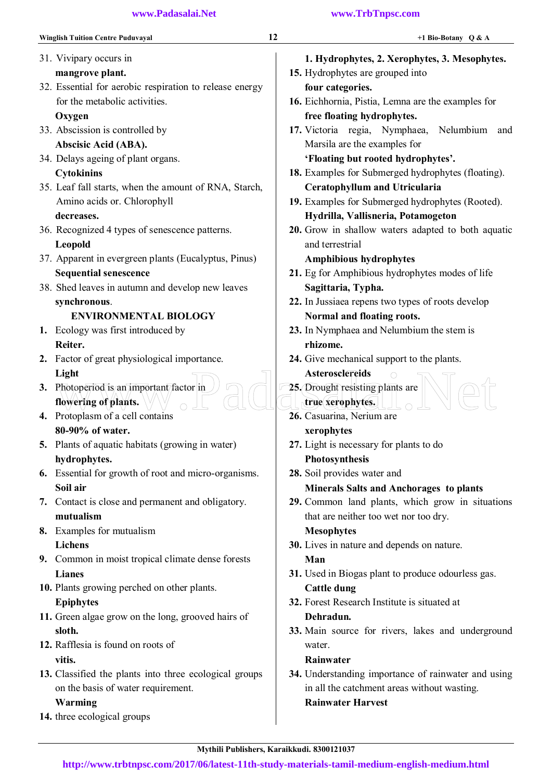| <b>Winglish Tuition Centre Puduvayal</b>                | 12 | +1 Bio-Botany $Q & A$                               |
|---------------------------------------------------------|----|-----------------------------------------------------|
| 31. Vivipary occurs in                                  |    | 1. Hydrophytes, 2. Xerophytes, 3. Mesophytes.       |
| mangrove plant.                                         |    | 15. Hydrophytes are grouped into                    |
| 32. Essential for aerobic respiration to release energy |    | four categories.                                    |
| for the metabolic activities.                           |    | 16. Eichhornia, Pistia, Lemna are the examples for  |
| Oxygen                                                  |    | free floating hydrophytes.                          |
| 33. Abscission is controlled by                         |    | 17. Victoria regia, Nymphaea,<br>Nelumbium<br>and   |
| Abscisic Acid (ABA).                                    |    | Marsila are the examples for                        |
| 34. Delays ageing of plant organs.                      |    | 'Floating but rooted hydrophytes'.                  |
| <b>Cytokinins</b>                                       |    | 18. Examples for Submerged hydrophytes (floating).  |
| 35. Leaf fall starts, when the amount of RNA, Starch,   |    | <b>Ceratophyllum and Utricularia</b>                |
| Amino acids or. Chlorophyll                             |    | 19. Examples for Submerged hydrophytes (Rooted).    |
| decreases.                                              |    | Hydrilla, Vallisneria, Potamogeton                  |
| 36. Recognized 4 types of senescence patterns.          |    | 20. Grow in shallow waters adapted to both aquatic  |
| Leopold                                                 |    | and terrestrial                                     |
| 37. Apparent in evergreen plants (Eucalyptus, Pinus)    |    | <b>Amphibious hydrophytes</b>                       |
| <b>Sequential senescence</b>                            |    | 21. Eg for Amphibious hydrophytes modes of life     |
| 38. Shed leaves in autumn and develop new leaves        |    | Sagittaria, Typha.                                  |
| synchronous.                                            |    | 22. In Jussiaea repens two types of roots develop   |
| <b>ENVIRONMENTAL BIOLOGY</b>                            |    | Normal and floating roots.                          |
| 1. Ecology was first introduced by                      |    | 23. In Nymphaea and Nelumbium the stem is           |
| Reiter.                                                 |    | rhizome.                                            |
| 2. Factor of great physiological importance.            |    | 24. Give mechanical support to the plants.          |
| Light                                                   |    | <b>Asterosclereids</b>                              |
| 3. Photoperiod is an important factor in                |    | 25. Drought resisting plants are                    |
| flowering of plants.                                    |    | true xerophytes.                                    |
| 4. Protoplasm of a cell contains                        |    | 26. Casuarina, Nerium are                           |
| 80-90% of water.                                        |    | xerophytes                                          |
| <b>5.</b> Plants of aquatic habitats (growing in water) |    | 27. Light is necessary for plants to do             |
| hydrophytes.                                            |    | Photosynthesis                                      |
| 6. Essential for growth of root and micro-organisms.    |    | 28. Soil provides water and                         |
| Soil air                                                |    | <b>Minerals Salts and Anchorages to plants</b>      |
| 7. Contact is close and permanent and obligatory.       |    | 29. Common land plants, which grow in situations    |
| mutualism                                               |    | that are neither too wet nor too dry.               |
| 8. Examples for mutualism                               |    | <b>Mesophytes</b>                                   |
| <b>Lichens</b>                                          |    | 30. Lives in nature and depends on nature.          |
| 9. Common in moist tropical climate dense forests       |    | Man                                                 |
| <b>Lianes</b>                                           |    | 31. Used in Biogas plant to produce odourless gas.  |
| 10. Plants growing perched on other plants.             |    | <b>Cattle dung</b>                                  |
| <b>Epiphytes</b>                                        |    | 32. Forest Research Institute is situated at        |
| 11. Green algae grow on the long, grooved hairs of      |    | Dehradun.                                           |
| sloth.                                                  |    | 33. Main source for rivers, lakes and underground   |
| 12. Rafflesia is found on roots of                      |    | water.                                              |
| vitis.                                                  |    | Rainwater                                           |
| 13. Classified the plants into three ecological groups  |    | 34. Understanding importance of rainwater and using |
| on the basis of water requirement.                      |    | in all the catchment areas without wasting.         |

#### Warming

14. three ecological groups

Rainwater Harvest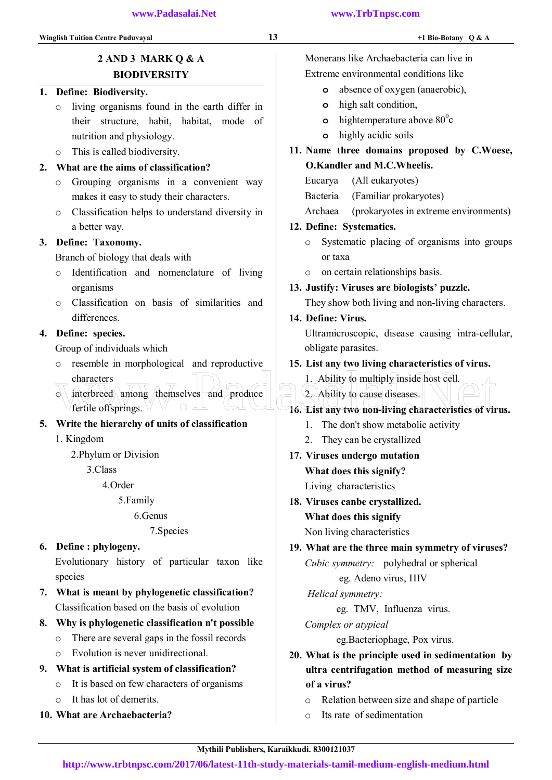#### 1. Define: Biodiversity.

- o living organisms found in the earth differ in their structure, habit, habitat, mode of nutrition and physiology.
- o This is called biodiversity.

#### 2. What are the aims of classification?

- o Grouping organisms in a convenient way makes it easy to study their characters.
- o Classification helps to understand diversity in a better way.

#### 3. Define: Taxonomy.

Branch of biology that deals with

- o Identification and nomenclature of living organisms
- o Classification on basis of similarities and differences.

#### 4. Define: species.

Group of individuals which

fertile offsprings.

o resemble in morphological and reproductive characters characters<br>
of interbreed among themselves and produce<br>
The entire offsprings.

 $\circ$  interbreed among themselves and produce

## 5. Write the hierarchy of units of classification

1. Kingdom

2.Phylum or Division

3.Class

4.Order

5.Family

## 6.Genus

7.Species

#### 6. Define : phylogeny.

Evolutionary history of particular taxon like species

- 7. What is meant by phylogenetic classification? Classification based on the basis of evolution
- 8. Why is phylogenetic classification n't possible
	- o There are several gaps in the fossil records
	- o Evolution is never unidirectional.
- 9. What is artificial system of classification?
	- o It is based on few characters of organisms
	- o It has lot of demerits.
- 10. What are Archaebacteria?

Monerans like Archaebacteria can live in Extreme environmental conditions like

- o absence of oxygen (anaerobic),
- o high salt condition,
- o hightemperature above  $80^{\circ}$ c
- o highly acidic soils
- 11. Name three domains proposed by C.Woese, O.Kandler and M.C.Wheelis.
	- Eucarya (All eukaryotes)
	- Bacteria (Familiar prokaryotes)
	- Archaea (prokaryotes in extreme environments)

#### 12. Define: Systematics.

- o Systematic placing of organisms into groups or taxa
- o on certain relationships basis.

## 13. Justify: Viruses are biologists' puzzle.

They show both living and non-living characters.

#### 14. Define: Virus.

Ultramicroscopic, disease causing intra-cellular, obligate parasites.

#### 15. List any two living characteristics of virus.

1. Ability to multiply inside host cell.

- 2. Ability to cause diseases.
- 16. List any two non-living characteristics of virus.
	- 1. The don't show metabolic activity
	- 2. They can be crystallized
- 17. Viruses undergo mutation What does this signify? Living characteristics
- 18. Viruses canbe crystallized. What does this signify

Non living characteristics

19. What are the three main symmetry of viruses?  *Cubic symmetry:* polyhedral or spherical

#### eg. Adeno virus, HIV

 *Helical symmetry:* 

eg. TMV, Influenza virus.

*Complex or atypical* 

eg.Bacteriophage, Pox virus.

- 20. What is the principle used in sedimentation by ultra centrifugation method of measuring size of a virus?
	- o Relation between size and shape of particle
	- o Its rate of sedimentation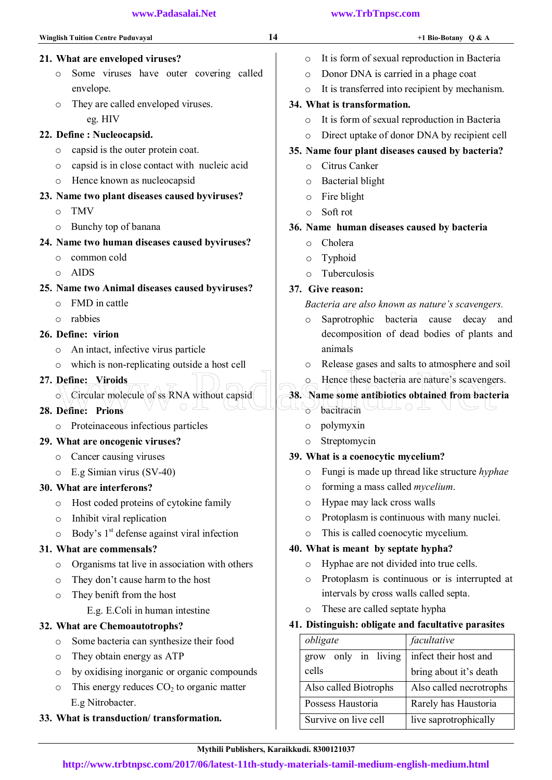- Winglish Tuition Centre Puduvayal 14 +1 Bio-Botany Q & A
- 21. What are enveloped viruses?
	- o Some viruses have outer covering called envelope.
	- o They are called enveloped viruses. eg. HIV

## 22. Define : Nucleocapsid.

- o capsid is the outer protein coat.
- o capsid is in close contact with nucleic acid
- o Hence known as nucleocapsid

## 23. Name two plant diseases caused byviruses?

- o TMV
- o Bunchy top of banana

## 24. Name two human diseases caused byviruses?

- o common cold
- o AIDS
- 25. Name two Animal diseases caused byviruses?
	- o FMD in cattle
	- o rabbies

## 26. Define: virion

- o An intact, infective virus particle
- o which is non-replicating outside a host cell

## 27. Define: Viroids

- $\circ$  Circular molecule of ss RNA without capsid Define: Viroids<br>
Octreular molecule of ss RNA without capsid<br>
Define: Prions<br>
Define: Prions
- 28. Define: Prions
	- o Proteinaceous infectious particles

## 29. What are oncogenic viruses?

- o Cancer causing viruses
- o E.g Simian virus (SV-40)

## 30. What are interferons?

- o Host coded proteins of cytokine family
- o Inhibit viral replication
- $\circ$  Body's 1<sup>st</sup> defense against viral infection

## 31. What are commensals?

- o Organisms tat live in association with others
- o They don't cause harm to the host
- o They benift from the host

## E.g. E.Coli in human intestine

## 32. What are Chemoautotrophs?

- o Some bacteria can synthesize their food
- o They obtain energy as ATP
- o by oxidising inorganic or organic compounds
- $\circ$  This energy reduces  $CO<sub>2</sub>$  to organic matter E.g Nitrobacter.
- 33. What is transduction/ transformation.
- o It is form of sexual reproduction in Bacteria o Donor DNA is carried in a phage coat
	-
- o It is transferred into recipient by mechanism.

## 34. What is transformation.

- o It is form of sexual reproduction in Bacteria
- o Direct uptake of donor DNA by recipient cell

## 35. Name four plant diseases caused by bacteria?

- o Citrus Canker
- o Bacterial blight
- o Fire blight
- o Soft rot

## 36. Name human diseases caused by bacteria

- o Cholera
- o Typhoid
- o Tuberculosis

## 37. Give reason:

## *Bacteria are also known as nature's scavengers.*

- o Saprotrophic bacteria cause decay and decomposition of dead bodies of plants and animals
- o Release gases and salts to atmosphere and soil
- Hence these bacteria are nature's scavengers.

## 38. Name some antibiotics obtained from bacteria

- $\rightarrow$  bacitracin  $\rightarrow$ 
	- o polymyxin
	- o Streptomycin

## 39. What is a coenocytic mycelium?

- o Fungi is made up thread like structure *hyphae*
- o forming a mass called *mycelium*.
- o Hypae may lack cross walls
- o Protoplasm is continuous with many nuclei.
- o This is called coenocytic mycelium.

## 40. What is meant by septate hypha?

- o Hyphae are not divided into true cells.
- o Protoplasm is continuous or is interrupted at intervals by cross walls called septa.
- o These are called septate hypha

## 41. Distinguish: obligate and facultative parasites

| obligate               | facultative             |
|------------------------|-------------------------|
| only in living<br>grow | infect their host and   |
| cells                  | bring about it's death  |
| Also called Biotrophs  | Also called necrotrophs |
| Possess Haustoria      | Rarely has Haustoria    |
| Survive on live cell   | live saprotrophically   |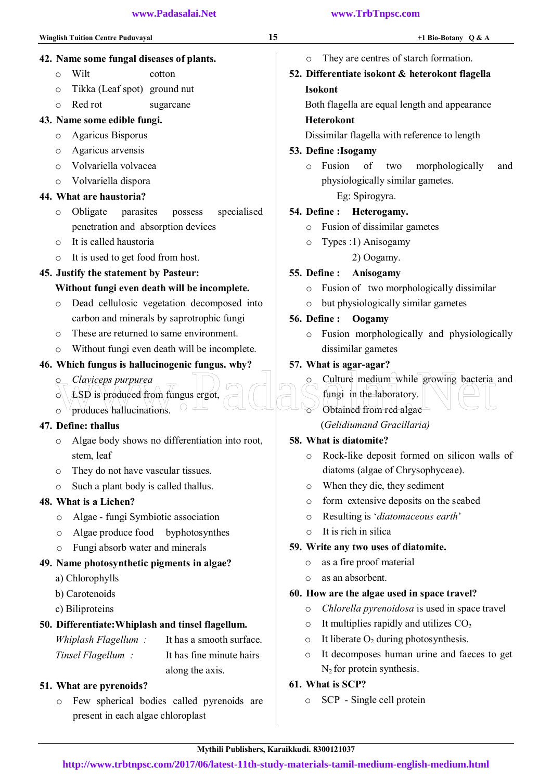43. Name some edible fungi. o Agaricus Bisporus o Agaricus arvensis o Volvariella volvacea o Volvariella dispora

44. What are haustoria?

o It is called haustoria

42. Name some fungal diseases of plants.

o Wilt cotton o Tikka (Leaf spot) ground nut o Red rot sugarcane

- o They are centres of starch formation.
- 52. Differentiate isokont & heterokont flagella Isokont

Both flagella are equal length and appearance

#### Heterokont

Dissimilar flagella with reference to length

#### 53. Define :Isogamy

o Fusion of two morphologically and physiologically similar gametes.

Eg: Spirogyra.

#### 54. Define : Heterogamy.

- o Fusion of dissimilar gametes
- o Types : 1) Anisogamy
	- 2) Oogamy.

#### 55. Define : Anisogamy

- o Fusion of two morphologically dissimilar
- o but physiologically similar gametes

#### 56. Define : Oogamy

o Fusion morphologically and physiologically dissimilar gametes

#### 57. What is agar-agar?

- Culture medium while growing bacteria and Claviceps purpurea<br>
Claviceps purpurea<br>
Subject of the Subject of the Subject of the Subject of the Subject of the Subject of the Subject of the Subject of the Subject of the Subject of the Subject of the Subject of the Su
	- fungi in the laboratory.
	- Obtained from red algae

## (*Gelidiumand Gracillaria)*

#### 58. What is diatomite?

- o Rock-like deposit formed on silicon walls of diatoms (algae of Chrysophyceae).
- o When they die, they sediment
- o form extensive deposits on the seabed
- o Resulting is '*diatomaceous earth*'
- o It is rich in silica

#### 59. Write any two uses of diatomite.

- o as a fire proof material
- o as an absorbent.

## 60. How are the algae used in space travel?

- o *Chlorella pyrenoidosa* is used in space travel
- $\circ$  It multiplies rapidly and utilizes  $CO<sub>2</sub>$
- $\circ$  It liberate  $O_2$  during photosynthesis.
- o It decomposes human urine and faeces to get  $N_2$  for protein synthesis.

## 61. What is SCP?

o SCP - Single cell protein

## 51. What are pyrenoids?

o Few spherical bodies called pyrenoids are present in each algae chloroplast

o Without fungi even death will be incomplete.

#### 46. Which fungus is hallucinogenic fungus. why?

o These are returned to same environment.

o Obligate parasites possess specialised

penetration and absorption devices

 Without fungi even death will be incomplete. o Dead cellulosic vegetation decomposed into carbon and minerals by saprotrophic fungi

o It is used to get food from host. 45. Justify the statement by Pasteur:

- o *Claviceps purpurea*
- $\circ$  LSD is produced from fungus ergot,
- $\circ$  produces hallucinations.

#### 47. Define: thallus

- o Algae body shows no differentiation into root, stem, leaf
- o They do not have vascular tissues.
- o Such a plant body is called thallus.

#### 48. What is a Lichen?

- o Algae fungi Symbiotic association
- o Algae produce food byphotosynthes
- o Fungi absorb water and minerals

#### 49. Name photosynthetic pigments in algae?

- a) Chlorophylls
- b) Carotenoids
- c) Biliproteins

#### 50. Differentiate:Whiplash and tinsel flagellum.

 *Whiplash Flagellum :* It has a smooth surface.

 *Tinsel Flagellum :* It has fine minute hairs along the axis.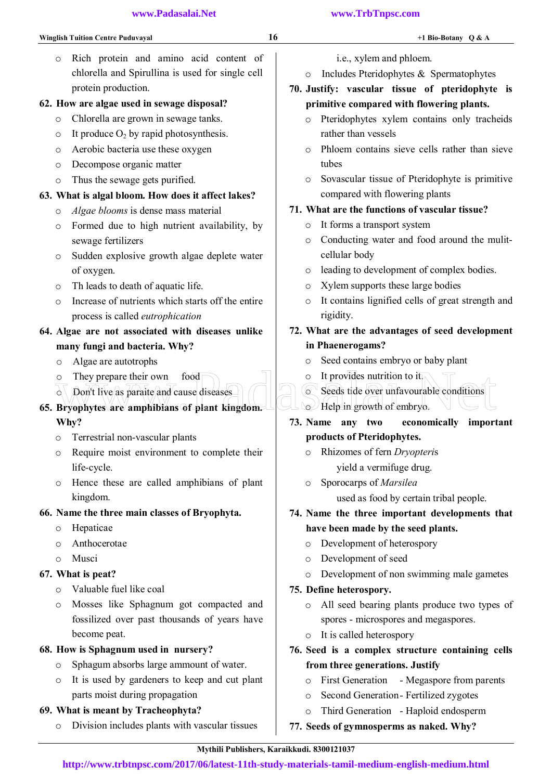o Rich protein and amino acid content of chlorella and Spirullina is used for single cell protein production.

### 62. How are algae used in sewage disposal?

- o Chlorella are grown in sewage tanks.
- $\circ$  It produce  $O_2$  by rapid photosynthesis.
- o Aerobic bacteria use these oxygen
- o Decompose organic matter
- o Thus the sewage gets purified.

### 63. What is algal bloom. How does it affect lakes?

- o *Algae blooms* is dense mass material
- o Formed due to high nutrient availability, by sewage fertilizers
- o Sudden explosive growth algae deplete water of oxygen.
- o Th leads to death of aquatic life.
- o Increase of nutrients which starts off the entire process is called *eutrophication*

## 64. Algae are not associated with diseases unlike many fungi and bacteria. Why?

- o Algae are autotrophs
- o They prepare their own food
- $\alpha$  Don't live as paraite and cause diseases
- 65. Bryophytes are amphibians of plant kingdom. Why? O They prepare their own food<br>
O It provides nutrition to it<br>
Bryophytes are amphibians of plant kingdom.<br>
They Help in growth of embryo.<br>
They are amphibians of plant kingdom.<br>
They are amphibians of the second it import
	- o Terrestrial non-vascular plants
	- o Require moist environment to complete their life-cycle.
	- o Hence these are called amphibians of plant kingdom.

## 66. Name the three main classes of Bryophyta.

- o Hepaticae
- o Anthocerotae
- o Musci

## 67. What is peat?

- o Valuable fuel like coal
- o Mosses like Sphagnum got compacted and fossilized over past thousands of years have become peat.

## 68. How is Sphagnum used in nursery?

- o Sphagum absorbs large ammount of water.
- o It is used by gardeners to keep and cut plant parts moist during propagation

## 69. What is meant by Tracheophyta?

o Division includes plants with vascular tissues

#### **www.Padasalai.Net www.TrbTnpsc.com**

- i.e., xylem and phloem.
- o Includes Pteridophytes & Spermatophytes

## 70. Justify: vascular tissue of pteridophyte is primitive compared with flowering plants.

- o Pteridophytes xylem contains only tracheids rather than vessels
- $\circ$  Phloem contains sieve cells rather than sieve tubes
- o Sovascular tissue of Pteridophyte is primitive compared with flowering plants

## 71. What are the functions of vascular tissue?

- o It forms a transport system
- o Conducting water and food around the mulitcellular body
- o leading to development of complex bodies.
- o Xylem supports these large bodies
- o It contains lignified cells of great strength and rigidity.
- 72. What are the advantages of seed development in Phaenerogams?
	- o Seed contains embryo or baby plant
	- $\circ$  It provides nutrition to  $\overline{t}$ .
	- o Seeds tide over unfavourable conditions o Help in growth of embryo.
- 73. Name any two economically important products of Pteridophytes.
	- o Rhizomes of fern *Dryopteri*s
	- yield a vermifuge drug. o Sporocarps of *Marsilea*

used as food by certain tribal people.

- 74. Name the three important developments that have been made by the seed plants.
	- o Development of heterospory
	- o Development of seed
	- o Development of non swimming male gametes

## 75. Define heterospory.

- o All seed bearing plants produce two types of spores - microspores and megaspores.
- o It is called heterospory
- 76. Seed is a complex structure containing cells from three generations. Justify
	- o First Generation Megaspore from parents
	- o Second Generation Fertilized zygotes
	- o Third Generation Haploid endosperm
- 77. Seeds of gymnosperms as naked. Why?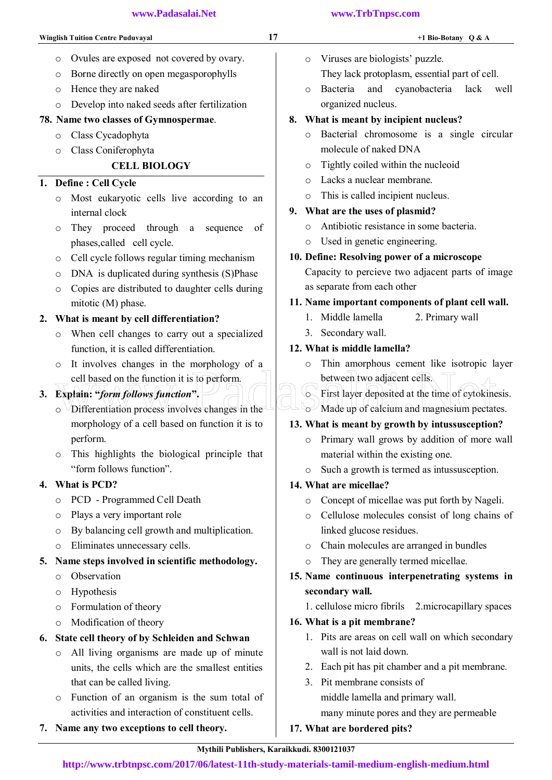- o Ovules are exposed not covered by ovary.
- o Borne directly on open megasporophylls
- o Hence they are naked
- o Develop into naked seeds after fertilization

## 78. Name two classes of Gymnospermae.

- o Class Cycadophyta
- o Class Coniferophyta

## CELL BIOLOGY

## 1. Define : Cell Cycle

- o Most eukaryotic cells live according to an internal clock
- o They proceed through a sequence of phases,called cell cycle.
- o Cell cycle follows regular timing mechanism
- o DNA is duplicated during synthesis (S)Phase
- o Copies are distributed to daughter cells during mitotic (M) phase.

## 2. What is meant by cell differentiation?

- o When cell changes to carry out a specialized function, it is called differentiation.
- o It involves changes in the morphology of a cell based on the function it is to perform.

## 3. Explain: "*form follows function*".

- o Differentiation process involves changes in the morphology of a cell based on function it is to perform. cell based on the function it is to perform.<br>
Explain: "form follows function".<br>
O Differentiation process involves changes in the Contract of the Made up of calcium and magnesium pectation
- o This highlights the biological principle that "form follows function".

## 4. What is PCD?

- o PCD Programmed Cell Death
- o Plays a very important role
- o By balancing cell growth and multiplication.
- o Eliminates unnecessary cells.

## 5. Name steps involved in scientific methodology.

- o Observation
- o Hypothesis
- o Formulation of theory
- o Modification of theory

## 6. State cell theory of by Schleiden and Schwan

- o All living organisms are made up of minute units, the cells which are the smallest entities that can be called living.
- o Function of an organism is the sum total of activities and interaction of constituent cells.
- 7. Name any two exceptions to cell theory.

## o Viruses are biologists' puzzle. They lack protoplasm, essential part of cell.

o Bacteria and cyanobacteria lack well organized nucleus.

## 8. What is meant by incipient nucleus?

- o Bacterial chromosome is a single circular molecule of naked DNA
- o Tightly coiled within the nucleoid
- o Lacks a nuclear membrane.
- o This is called incipient nucleus.

## 9. What are the uses of plasmid?

- o Antibiotic resistance in some bacteria.
- o Used in genetic engineering.

## 10. Define: Resolving power of a microscope Capacity to percieve two adjacent parts of image as separate from each other

## 11. Name important components of plant cell wall.

- 1. Middle lamella 2. Primary wall
- 3. Secondary wall.

## 12. What is middle lamella?

- o Thin amorphous cement like isotropic layer between two adjacent cells.
- o First layer deposited at the time of cytokinesis.

## $\sim$  Made up of calcium and magnesium pectates.

## 13. What is meant by growth by intussusception?

- o Primary wall grows by addition of more wall material within the existing one.
- o Such a growth is termed as intussusception.

## 14. What are micellae?

- o Concept of micellae was put forth by Nageli.
- o Cellulose molecules consist of long chains of linked glucose residues.
- o Chain molecules are arranged in bundles
- o They are generally termed micellae.
- 15. Name continuous interpenetrating systems in secondary wall.
	- 1. cellulose micro fibrils 2.microcapillary spaces

## 16. What is a pit membrane?

- 1. Pits are areas on cell wall on which secondary wall is not laid down.
- 2. Each pit has pit chamber and a pit membrane.
- 3. Pit membrane consists of middle lamella and primary wall. many minute pores and they are permeable

## 17. What are bordered pits?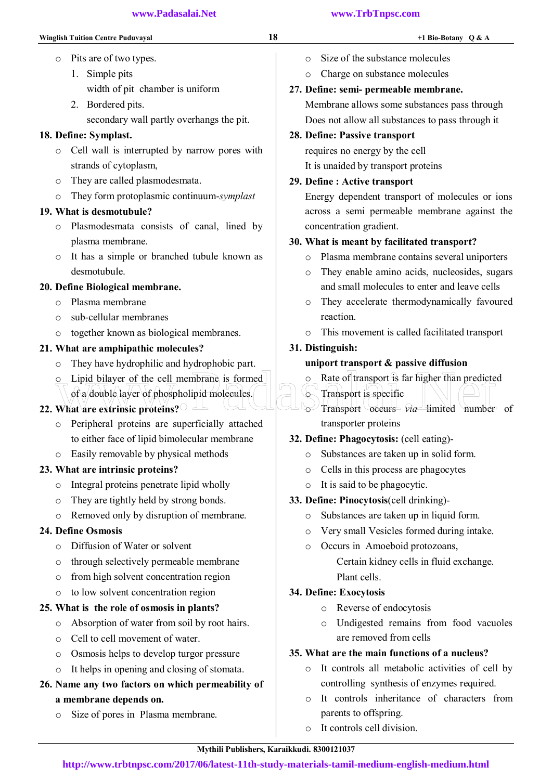- 1. Simple pits width of pit chamber is uniform
- 2. Bordered pits. secondary wall partly overhangs the pit.

## 18. Define: Symplast.

- o Cell wall is interrupted by narrow pores with strands of cytoplasm,
- o They are called plasmodesmata.
- o They form protoplasmic continuum-*symplast*

## 19. What is desmotubule?

- o Plasmodesmata consists of canal, lined by plasma membrane.
- o It has a simple or branched tubule known as desmotubule.

## 20. Define Biological membrane.

- o Plasma membrane
- o sub-cellular membranes
- o together known as biological membranes.

## 21. What are amphipathic molecules?

- o They have hydrophilic and hydrophobic part.
- o Lipid bilayer of the cell membrane is formed of a double layer of phospholipid molecules.

## 22. What are extrinsic proteins?

- o Peripheral proteins are superficially attached to either face of lipid bimolecular membrane
- o Easily removable by physical methods

## 23. What are intrinsic proteins?

- o Integral proteins penetrate lipid wholly
- o They are tightly held by strong bonds.
- o Removed only by disruption of membrane.

## 24. Define Osmosis

- o Diffusion of Water or solvent
- o through selectively permeable membrane
- o from high solvent concentration region
- o to low solvent concentration region

## 25. What is the role of osmosis in plants?

- o Absorption of water from soil by root hairs.
- o Cell to cell movement of water.
- o Osmosis helps to develop turgor pressure
- o It helps in opening and closing of stomata.

## 26. Name any two factors on which permeability of a membrane depends on.

o Size of pores in Plasma membrane.

- o Size of the substance molecules
- o Charge on substance molecules

## 27. Define: semi- permeable membrane.

Membrane allows some substances pass through Does not allow all substances to pass through it

## 28. Define: Passive transport

requires no energy by the cell It is unaided by transport proteins

## 29. Define : Active transport

Energy dependent transport of molecules or ions across a semi permeable membrane against the concentration gradient.

## 30. What is meant by facilitated transport?

- o Plasma membrane contains several uniporters
- o They enable amino acids, nucleosides, sugars and small molecules to enter and leave cells
- o They accelerate thermodynamically favoured reaction.
- o This movement is called facilitated transport

## 31. Distinguish:

## uniport transport & passive diffusion

- o Rate of transport is far higher than predicted
- **C** Transport is specific o Transport occurs *via* limited number of transporter proteins Constitution of a double layer of phospholipid molecules.<br>
What are extrinsic proteins?
	- 32. Define: Phagocytosis: (cell eating)
		- o Substances are taken up in solid form.
		- o Cells in this process are phagocytes
		- o It is said to be phagocytic.
	- 33. Define: Pinocytosis(cell drinking)
		- o Substances are taken up in liquid form.
		- o Very small Vesicles formed during intake.
		- o Occurs in Amoeboid protozoans, Certain kidney cells in fluid exchange. Plant cells.

## 34. Define: Exocytosis

- o Reverse of endocytosis
- o Undigested remains from food vacuoles are removed from cells

## 35. What are the main functions of a nucleus?

- o It controls all metabolic activities of cell by controlling synthesis of enzymes required.
- o It controls inheritance of characters from parents to offspring.
- o It controls cell division.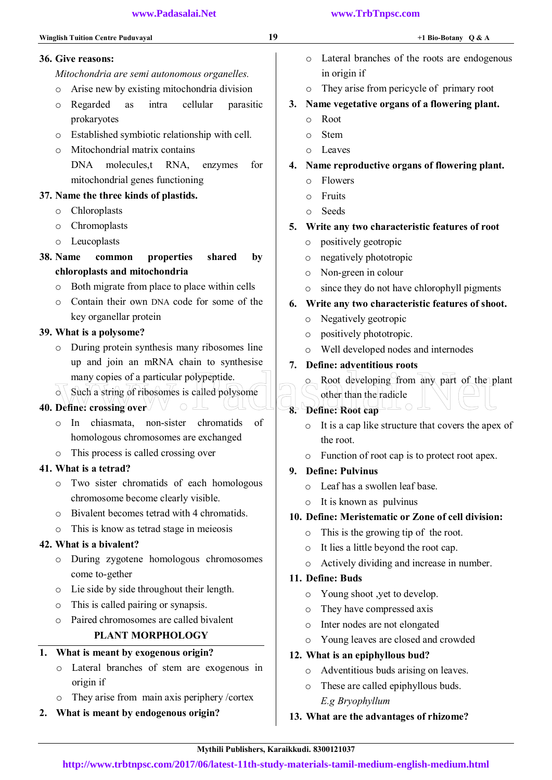36. Give reasons:

 *Mitochondria are semi autonomous organelles.*  o Arise new by existing mitochondria division o Regarded as intra cellular parasitic prokaryotes o Established symbiotic relationship with cell. o Mitochondrial matrix contains DNA molecules,t RNA, enzymes for mitochondrial genes functioning 37. Name the three kinds of plastids. o Chloroplasts o Chromoplasts o Leucoplasts 38. Name common properties shared by chloroplasts and mitochondria o Both migrate from place to place within cells o Contain their own DNA code for some of the key organellar protein 39. What is a polysome? o During protein synthesis many ribosomes line up and join an mRNA chain to synthesise many copies of a particular polypeptide.  $\circ$  Such a string of ribosomes is called polysome 40. Define: crossing over o In chiasmata, non-sister chromatids of homologous chromosomes are exchanged o This process is called crossing over 41. What is a tetrad? o Two sister chromatids of each homologous chromosome become clearly visible. o Bivalent becomes tetrad with 4 chromatids. o This is know as tetrad stage in meieosis 42. What is a bivalent? o During zygotene homologous chromosomes come to-gether o Lie side by side throughout their length. o This is called pairing or synapsis. o Paired chromosomes are called bivalent PLANT MORPHOLOGY 1. What is meant by exogenous origin? o Lateral branches of stem are exogenous in origin if o They arise from main axis periphery /cortex 2. What is meant by endogenous origin? o Lateral branches of the roots are endogenous in origin if o They arise from pericycle of primary root 3. Name vegetative organs of a flowering plant. o Root o Stem o Leaves 4. Name reproductive organs of flowering plant. o Flowers o Fruits o Seeds 5. Write any two characteristic features of root o positively geotropic o negatively phototropic o Non-green in colour o since they do not have chlorophyll pigments 6. Write any two characteristic features of shoot. o Negatively geotropic o positively phototropic. o Well developed nodes and internodes 7. Define: adventitious roots o Root developing from any part of the plant other than the radicle 8. Define: Root cap o It is a cap like structure that covers the apex of the root. o Function of root cap is to protect root apex. 9. Define: Pulvinus o Leaf has a swollen leaf base. o It is known as pulvinus 10. Define: Meristematic or Zone of cell division: o This is the growing tip of the root. o It lies a little beyond the root cap. o Actively dividing and increase in number. 11. Define: Buds o Young shoot ,yet to develop. o They have compressed axis o Inter nodes are not elongated o Young leaves are closed and crowded 12. What is an epiphyllous bud? o Adventitious buds arising on leaves. o These are called epiphyllous buds.  *E.g Bryophyllum*  13. What are the advantages of rhizome? many copies of a particular polypeptide.<br>
Such a string of ribosomes is called polysome<br>
Define: crossing over<br>  $\bullet$  Net than the radicle<br>
Define: Root cap

#### Mythili Publishers, Karaikkudi. 8300121037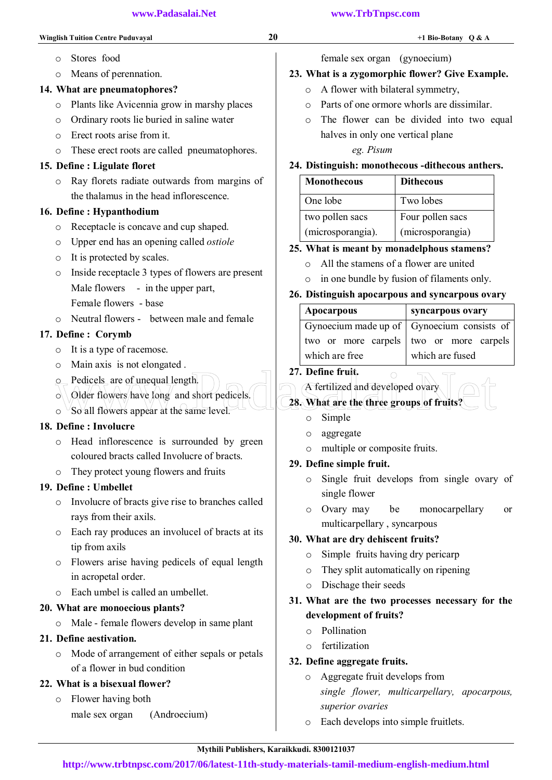#### 14. What are pneumatophores?

- o Plants like Avicennia grow in marshy places
- o Ordinary roots lie buried in saline water
- o Erect roots arise from it.
- o These erect roots are called pneumatophores.

#### 15. Define : Ligulate floret

o Ray florets radiate outwards from margins of the thalamus in the head inflorescence.

#### 16. Define : Hypanthodium

- o Receptacle is concave and cup shaped.
- o Upper end has an opening called *ostiole*
- o It is protected by scales.
- o Inside receptacle 3 types of flowers are present Male flowers - in the upper part,
	- Female flowers base
- o Neutral flowers between male and female

#### 17. Define : Corymb

- o It is a type of racemose.
- o Main axis is not elongated .
- o Pedicels are of unequal length.
- $\circ$  Older flowers have long and short pedicels.
- $\circ$  So all flowers appear at the same level.

#### 18. Define : Involucre

- o Head inflorescence is surrounded by green coloured bracts called Involucre of bracts.
- o They protect young flowers and fruits

#### 19. Define : Umbellet

- o Involucre of bracts give rise to branches called rays from their axils.
- o Each ray produces an involucel of bracts at its tip from axils
- o Flowers arise having pedicels of equal length in acropetal order.
- o Each umbel is called an umbellet.

#### 20. What are monoecious plants?

o Male - female flowers develop in same plant

#### 21. Define aestivation.

o Mode of arrangement of either sepals or petals of a flower in bud condition

#### 22. What is a bisexual flower?

o Flower having both male sex organ (Androecium) female sex organ (gynoecium)

#### 23. What is a zygomorphic flower? Give Example.

- o A flower with bilateral symmetry,
- $\circ$  Parts of one ormore whorls are dissimilar.
- o The flower can be divided into two equal halves in only one vertical plane

#### *eg. Pisum*

#### 24. Distinguish: monothecous -dithecous anthers.

| <b>Monothecous</b> | <b>Dithecous</b> |
|--------------------|------------------|
| One lobe           | Two lobes        |
| two pollen sacs    | Four pollen sacs |
| (microsporangia).  | (microsporangia) |

#### 25. What is meant by monadelphous stamens?

- o All the stamens of a flower are united
- o in one bundle by fusion of filaments only.

#### 26. Distinguish apocarpous and syncarpous ovary

| Apocarpous                                   | syncarpous ovary                        |
|----------------------------------------------|-----------------------------------------|
| Gynoecium made up of   Gynoecium consists of |                                         |
|                                              | two or more carpels two or more carpels |
| which are free                               | which are fused                         |

#### 27. Define fruit.

# A fertilized and developed ovary Online and Solid Englished.<br>
Older flowers have long and short pedicels.<br>
So all flowers appear at the same level.<br>
So Somple

#### 28. What are the three groups of fruits?

- o Simple
- o aggregate
- o multiple or composite fruits.

#### 29. Define simple fruit.

- o Single fruit develops from single ovary of single flower
- o Ovary may be monocarpellary or multicarpellary , syncarpous

#### 30. What are dry dehiscent fruits?

- o Simple fruits having dry pericarp
- o They split automatically on ripening
- o Dischage their seeds

#### 31. What are the two processes necessary for the development of fruits?

- o Pollination
- o fertilization

#### 32. Define aggregate fruits.

- o Aggregate fruit develops from *single flower, multicarpellary, apocarpous, superior ovaries*
- o Each develops into simple fruitlets.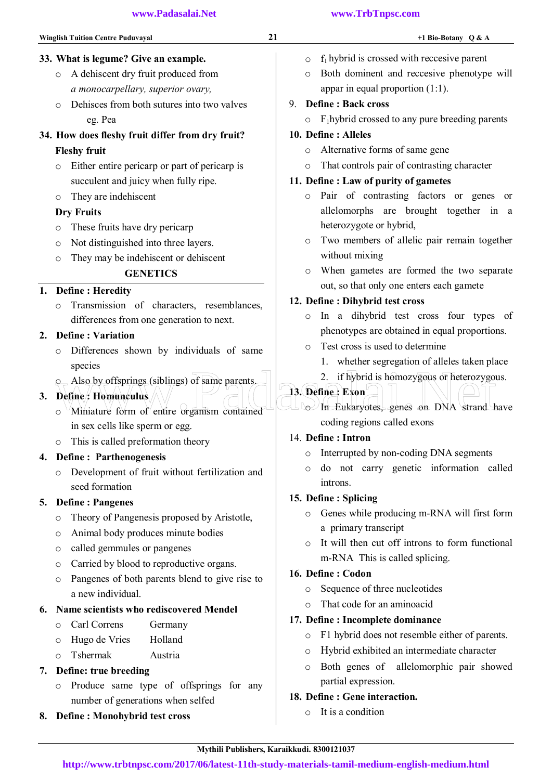## 33. What is legume? Give an example.

- o A dehiscent dry fruit produced from *a monocarpellary, superior ovary,*
- o Dehisces from both sutures into two valves eg. Pea

#### 34. How does fleshy fruit differ from dry fruit? Fleshy fruit

- o Either entire pericarp or part of pericarp is succulent and juicy when fully ripe.
- o They are indehiscent

## Dry Fruits

- o These fruits have dry pericarp
- o Not distinguished into three layers.
- o They may be indehiscent or dehiscent

## **GENETICS**

## 1. Define : Heredity

o Transmission of characters, resemblances, differences from one generation to next.

## 2. Define : Variation

- o Differences shown by individuals of same species
- o Also by offsprings (siblings) of same parents.

## 3. Define: Homunculus

- o Miniature form of entire organism contained in sex cells like sperm or egg.
- o This is called preformation theory

## 4. Define : Parthenogenesis

o Development of fruit without fertilization and seed formation

## 5. Define : Pangenes

- o Theory of Pangenesis proposed by Aristotle,
- o Animal body produces minute bodies
- o called gemmules or pangenes
- o Carried by blood to reproductive organs.
- o Pangenes of both parents blend to give rise to a new individual.

## 6. Name scientists who rediscovered Mendel

- o Carl Correns Germany
- o Hugo de Vries Holland
- o Tshermak Austria

## 7. Define: true breeding

- o Produce same type of offsprings for any number of generations when selfed
- 8. Define : Monohybrid test cross

## $\circ$  f<sub>1</sub> hybrid is crossed with reccesive parent

o Both dominent and reccesive phenotype will appar in equal proportion (1:1).

## 9. Define : Back cross

 $\circ$  F<sub>1</sub>hybrid crossed to any pure breeding parents

#### 10. Define : Alleles

- o Alternative forms of same gene
- o That controls pair of contrasting character

## 11. Define : Law of purity of gametes

- o Pair of contrasting factors or genes or allelomorphs are brought together in a heterozygote or hybrid,
- o Two members of allelic pair remain together without mixing
- o When gametes are formed the two separate out, so that only one enters each gamete

## 12. Define : Dihybrid test cross

- o In a dihybrid test cross four types of phenotypes are obtained in equal proportions.
- o Test cross is used to determine
	- 1. whether segregation of alleles taken place
	- 2. if hybrid is homozygous or heterozygous.

## 13. Define : Exon

o In Eukaryotes, genes on DNA strand have coding regions called exons Also by offsprings (siblings) of same parents.<br>
Define: Homanculus<br>
Miniature form of entire organism contained<br>
Miniature form of entire organism contained<br>
COMPLEXARYOTES, genes on DNA strand

## 14. Define : Intron

- o Interrupted by non-coding DNA segments
- o do not carry genetic information called introns.

## 15. Define : Splicing

- o Genes while producing m-RNA will first form a primary transcript
- o It will then cut off introns to form functional m-RNA This is called splicing.

## 16. Define : Codon

- o Sequence of three nucleotides
- o That code for an aminoacid

## 17. Define : Incomplete dominance

- o F1 hybrid does not resemble either of parents.
- o Hybrid exhibited an intermediate character
- o Both genes of allelomorphic pair showed partial expression.

## 18. Define : Gene interaction.

o It is a condition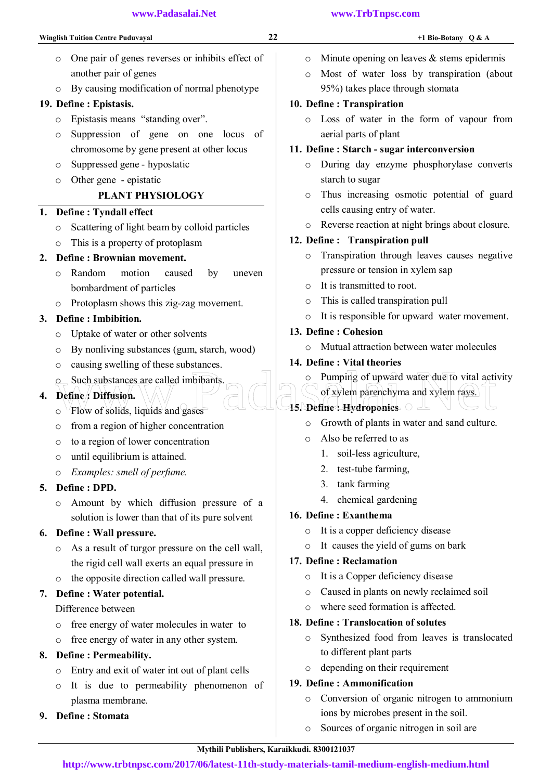- o One pair of genes reverses or inhibits effect of another pair of genes
- o By causing modification of normal phenotype

#### 19. Define : Epistasis.

- o Epistasis means "standing over".
- o Suppression of gene on one locus of chromosome by gene present at other locus
- o Suppressed gene hypostatic
- o Other gene epistatic

## PLANT PHYSIOLOGY

#### 1. Define : Tyndall effect

- o Scattering of light beam by colloid particles
- o This is a property of protoplasm

#### 2. Define : Brownian movement.

- o Random motion caused by uneven bombardment of particles
- o Protoplasm shows this zig-zag movement.

#### 3. Define : Imbibition.

- o Uptake of water or other solvents
- o By nonliving substances (gum, starch, wood)
- o causing swelling of these substances.
- o Such substances are called imbibants.

## 4. Define : Diffusion.

- $\circ$  Flow of solids, liquids and gases
- o from a region of higher concentration
- o to a region of lower concentration
- o until equilibrium is attained.
- o *Examples: smell of perfume.*

#### 5. Define : DPD.

o Amount by which diffusion pressure of a solution is lower than that of its pure solvent

#### 6. Define : Wall pressure.

- o As a result of turgor pressure on the cell wall, the rigid cell wall exerts an equal pressure in
- o the opposite direction called wall pressure.

#### 7. Define : Water potential.

Difference between

- o free energy of water molecules in water to
- o free energy of water in any other system.

#### 8. Define : Permeability.

- o Entry and exit of water int out of plant cells
- o It is due to permeability phenomenon of plasma membrane.
- 9. Define : Stomata

- $\circ$  Minute opening on leaves & stems epidermis
- o Most of water loss by transpiration (about 95%) takes place through stomata

#### 10. Define : Transpiration

o Loss of water in the form of vapour from aerial parts of plant

#### 11. Define : Starch - sugar interconversion

- o During day enzyme phosphorylase converts starch to sugar
- o Thus increasing osmotic potential of guard cells causing entry of water.
- o Reverse reaction at night brings about closure.

#### 12. Define : Transpiration pull

- o Transpiration through leaves causes negative pressure or tension in xylem sap
- o It is transmitted to root.
- o This is called transpiration pull
- o It is responsible for upward water movement.

#### 13. Define : Cohesion

- o Mutual attraction between water molecules
- 14. Define : Vital theories
- $\circ$  Pumping of upward water due to vital activity Such substances are called imbibants.<br>
O Such substances are called imbibants.<br>
O Flow of solids, liquids and gases<br>
O Flow of solids, liquids and gases<br>
O Growth of plants in water and send subvey
	- of xylem parenchyma and xylem rays.
	- 15. Define: Hydroponics  $\circ \triangle$ 
		- o Growth of plants in water and sand culture.
		- o Also be referred to as
			- 1. soil-less agriculture,
			- 2. test-tube farming,
			- 3. tank farming
			- 4. chemical gardening

#### 16. Define : Exanthema

- o It is a copper deficiency disease
- o It causes the yield of gums on bark

#### 17. Define : Reclamation

- o It is a Copper deficiency disease
- o Caused in plants on newly reclaimed soil
- o where seed formation is affected.

#### 18. Define : Translocation of solutes

- o Synthesized food from leaves is translocated to different plant parts
- o depending on their requirement

#### 19. Define : Ammonification

- o Conversion of organic nitrogen to ammonium ions by microbes present in the soil.
- o Sources of organic nitrogen in soil are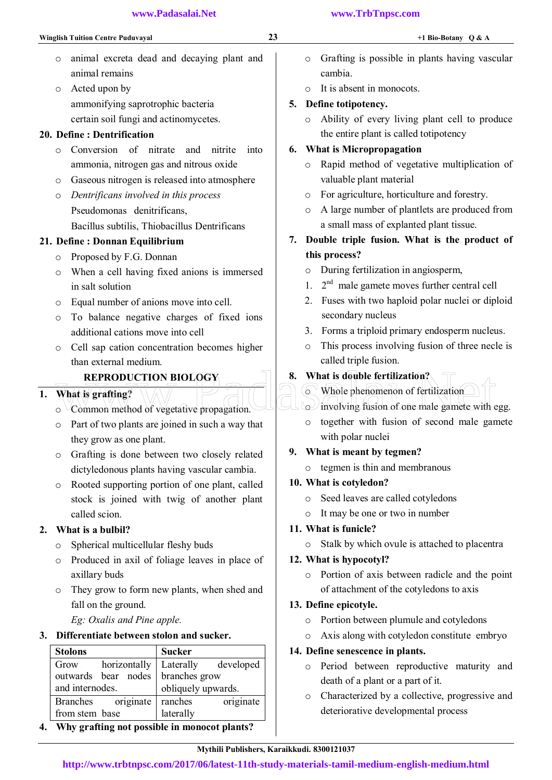- o animal excreta dead and decaying plant and animal remains
- o Acted upon by ammonifying saprotrophic bacteria certain soil fungi and actinomycetes.

#### 20. Define : Dentrification

- o Conversion of nitrate and nitrite into ammonia, nitrogen gas and nitrous oxide
- o Gaseous nitrogen is released into atmosphere
- o *Dentrificans involved in this process*  Pseudomonas denitrificans, Bacillus subtilis, Thiobacillus Dentrificans

#### 21. Define : Donnan Equilibrium

- o Proposed by F.G. Donnan
- o When a cell having fixed anions is immersed in salt solution
- o Equal number of anions move into cell.
- o To balance negative charges of fixed ions additional cations move into cell
- o Cell sap cation concentration becomes higher than external medium.

#### REPRODUCTION BIOLOGY

#### 1. What is grafting?

- $\circ$   $\vee$ Common method of vegetative propagation.
- o Part of two plants are joined in such a way that they grow as one plant.
- o Grafting is done between two closely related dictyledonous plants having vascular cambia.
- o Rooted supporting portion of one plant, called stock is joined with twig of another plant called scion.

#### 2. What is a bulbil?

- o Spherical multicellular fleshy buds
- o Produced in axil of foliage leaves in place of axillary buds
- o They grow to form new plants, when shed and fall on the ground.

*Eg: Oxalis and Pine apple.* 

## 3. Differentiate between stolon and sucker.

| <b>Stolons</b>                    | <b>Sucker</b>          |
|-----------------------------------|------------------------|
| horizontally<br>Grow              | developed<br>Laterally |
| outwards bear nodes branches grow |                        |
| and internodes.                   | obliquely upwards.     |
| Branches originate                | originate<br>ranches   |
| from stem base                    | laterally              |

4. Why grafting not possible in monocot plants?

#### **www.Padasalai.Net www.TrbTnpsc.com**

- o Grafting is possible in plants having vascular cambia.
- o It is absent in monocots.

## 5. Define totipotency.

o Ability of every living plant cell to produce the entire plant is called totipotency

## 6. What is Micropropagation

- o Rapid method of vegetative multiplication of valuable plant material
- o For agriculture, horticulture and forestry.
- o A large number of plantlets are produced from a small mass of explanted plant tissue.
- 7. Double triple fusion. What is the product of this process?
	- o During fertilization in angiosperm,
	- 1.  $2<sup>nd</sup>$  male gamete moves further central cell
	- 2. Fuses with two haploid polar nuclei or diploid secondary nucleus
	- 3. Forms a triploid primary endosperm nucleus.
	- o This process involving fusion of three necle is called triple fusion.
- 8. What is double fertilization?
- o Whole phenomenon of fertilization REPRODUCTION BIOLOGY<br>
What is double fertilization?<br>
Common method of vegetative propagation.<br>
Common method of vegetative propagation.<br>
Common method of vegetative propagation.<br>
Common method of vegetative propagation.

 $\sim$  involving fusion of one male gamete with egg.

o together with fusion of second male gamete with polar nuclei

## 9. What is meant by tegmen?

o tegmen is thin and membranous

#### 10. What is cotyledon?

- o Seed leaves are called cotyledons
- o It may be one or two in number

## 11. What is funicle?

o Stalk by which ovule is attached to placentra

## 12. What is hypocotyl?

o Portion of axis between radicle and the point of attachment of the cotyledons to axis

## 13. Define epicotyle.

- o Portion between plumule and cotyledons
- o Axis along with cotyledon constitute embryo

## 14. Define senescence in plants.

- o Period between reproductive maturity and death of a plant or a part of it.
- o Characterized by a collective, progressive and deteriorative developmental process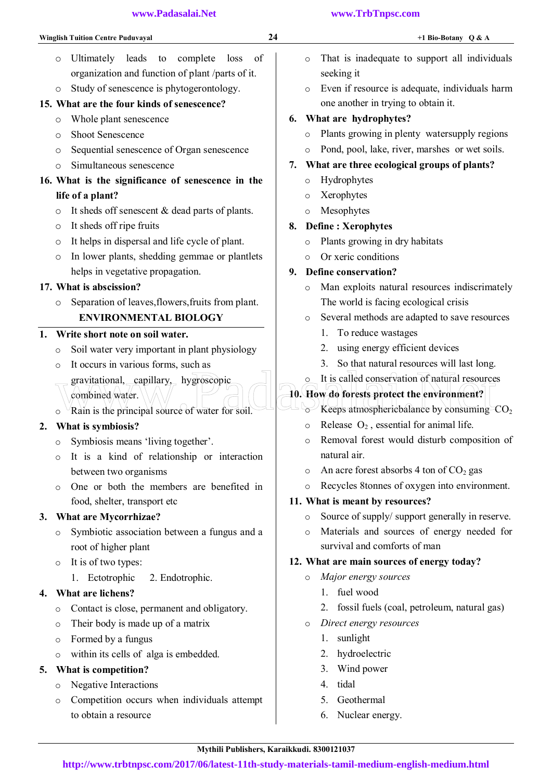| www.Padasalai.Net |  |  |  |
|-------------------|--|--|--|
|                   |  |  |  |

- o Ultimately leads to complete loss of organization and function of plant /parts of it.
- o Study of senescence is phytogerontology.

### 15. What are the four kinds of senescence?

- o Whole plant senescence
- o Shoot Senescence
- o Sequential senescence of Organ senescence
- o Simultaneous senescence

## 16. What is the significance of senescence in the life of a plant?

- o It sheds off senescent & dead parts of plants.
- o It sheds off ripe fruits
- o It helps in dispersal and life cycle of plant.
- o In lower plants, shedding gemmae or plantlets helps in vegetative propagation.

#### 17. What is abscission?

o Separation of leaves,flowers,fruits from plant. ENVIRONMENTAL BIOLOGY

#### 1. Write short note on soil water.

- o Soil water very important in plant physiology
- o It occurs in various forms, such as
- gravitational, capillary, hygroscopic combined water. gravitational, capillary, hygroscopic of this called conservation of natural resource<br>
combined water.<br>
Rain is the principal source of water for soil.<br>
Principal source of water for soil.
- o Rain is the principal source of water for soil.

## 2. What is symbiosis?

- o Symbiosis means 'living together'.
- o It is a kind of relationship or interaction between two organisms
- o One or both the members are benefited in food, shelter, transport etc

#### 3. What are Mycorrhizae?

- o Symbiotic association between a fungus and a root of higher plant
- o It is of two types:
	- 1. Ectotrophic 2. Endotrophic.

#### 4. What are lichens?

- o Contact is close, permanent and obligatory.
- o Their body is made up of a matrix
- o Formed by a fungus
- o within its cells of alga is embedded.

#### 5. What is competition?

- o Negative Interactions
- o Competition occurs when individuals attempt to obtain a resource
- o That is inadequate to support all individuals seeking it
- o Even if resource is adequate, individuals harm one another in trying to obtain it.

### 6. What are hydrophytes?

- o Plants growing in plenty watersupply regions
- o Pond, pool, lake, river, marshes or wet soils.

#### 7. What are three ecological groups of plants?

- o Hydrophytes
- o Xerophytes
- o Mesophytes

### 8. Define : Xerophytes

- o Plants growing in dry habitats
- o Or xeric conditions

#### 9. Define conservation?

- o Man exploits natural resources indiscrimately The world is facing ecological crisis
- o Several methods are adapted to save resources
	- 1. To reduce wastages
	- 2. using energy efficient devices
	- 3. So that natural resources will last long.
- o It is called conservation of natural resources

## 10. How do forests protect the environment?

- $\sim$  Keeps atmosphericbalance by consuming  $CO<sub>2</sub>$
- $\circ$  Release  $O_2$ , essential for animal life.
- o Removal forest would disturb composition of natural air.
- $\circ$  An acre forest absorbs 4 ton of CO<sub>2</sub> gas
- o Recycles 8tonnes of oxygen into environment.

#### 11. What is meant by resources?

- o Source of supply/ support generally in reserve.
- o Materials and sources of energy needed for survival and comforts of man

#### 12. What are main sources of energy today?

- o *Major energy sources* 
	- 1. fuel wood
	- 2. fossil fuels (coal, petroleum, natural gas)
- o *Direct energy resources* 
	- 1. sunlight
	- 2. hydroelectric
	- 3. Wind power
	- 4. tidal
	- 5. Geothermal
	- 6. Nuclear energy.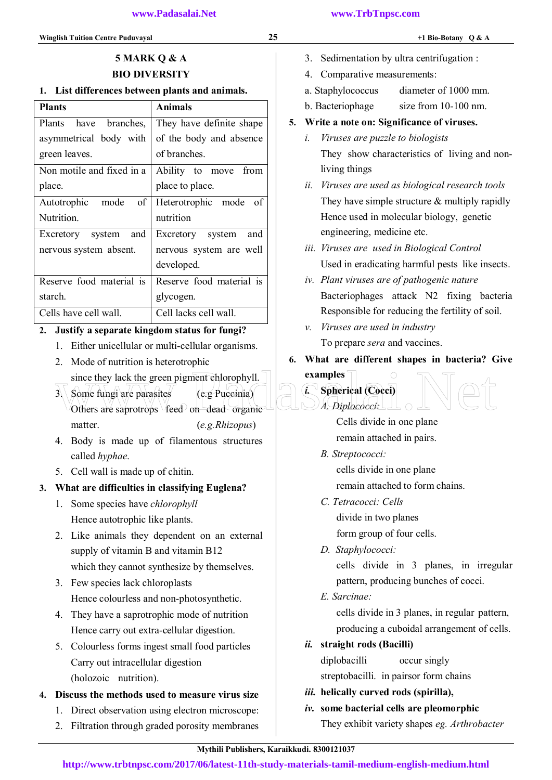- 3. Sedimentation by ultra centrifugation :
- 4. Comparative measurements:
- a. Staphylococcus diameter of 1000 mm.
- b. Bacteriophage size from 10-100 nm.

## 5. Write a note on: Significance of viruses.

- *i. Viruses are puzzle to biologists*  They show characteristics of living and non living things
- *ii. Viruses are used as biological research tools*  They have simple structure & multiply rapidly Hence used in molecular biology, genetic engineering, medicine etc.
- *iii. Viruses are used in Biological Control*  Used in eradicating harmful pests like insects.
- *iv. Plant viruses are of pathogenic nature*  Bacteriophages attack N2 fixing bacteria Responsible for reducing the fertility of soil.
- *v. Viruses are used in industry*  To prepare *sera* and vaccines.
- 6. What are different shapes in bacteria? Give examples

# *i.* Spherical (Cocci)

Cells divide in one plane remain attached in pairs.

*B. Streptococci:* 

*A. Diplococci:* 

 cells divide in one plane remain attached to form chains.

- *C. Tetracocci: Cells*  divide in two planes form group of four cells.
- *D. Staphylococci:*

 cells divide in 3 planes, in irregular pattern, producing bunches of cocci.

*E. Sarcinae:* 

 cells divide in 3 planes, in regular pattern, producing a cuboidal arrangement of cells.

*ii.* straight rods (Bacilli)

 diplobacilli occur singly streptobacilli. in pairsor form chains

- *iii.* helically curved rods (spirilla),
- *iv.* some bacterial cells are pleomorphic They exhibit variety shapes *eg. Arthrobacter*

## 5 MARK Q & A BIO DIVERSITY

## 1. List differences between plants and animals.

| <b>Plants</b>             | Animals                  |
|---------------------------|--------------------------|
| Plants have branches,     | They have definite shape |
| asymmetrical body with    | of the body and absence  |
| green leaves.             | of branches              |
| Non motile and fixed in a | Ability to move from     |
| place.                    | place to place.          |
| Autotrophic mode<br>of    | Heterotrophic mode<br>of |
| Nutrition.                | mutrition                |
| Excretory system and      | Excretory system<br>and  |
| nervous system absent.    | nervous system are well  |
|                           | developed.               |
| Reserve food material is  | Reserve food material is |
| starch.                   | glycogen.                |
| Cells have cell wall      | Cell lacks cell wall     |

## 2. Justify a separate kingdom status for fungi?

- 1. Either unicellular or multi-cellular organisms.
- 2. Mode of nutrition is heterotrophic
	- since they lack the green pigment chlorophyll.
- $3.$  Some fungi are parasites  $(e.g. Puceinia)$ Others are saprotrops  $\sqrt{\text{feed}}$  on dead organic matter. (*e.g.Rhizopus*) since they lack the green pigment chlorophyll.<br>
3 Some fungi are parasites<br>
Others are saprotrops feed on dead organic Cocci A. Diplococci:
- 4. Body is made up of filamentous structures called *hyphae*.
- 5. Cell wall is made up of chitin.

## 3. What are difficulties in classifying Euglena?

- 1. Some species have *chlorophyll* Hence autotrophic like plants.
- 2. Like animals they dependent on an external supply of vitamin B and vitamin B12 which they cannot synthesize by themselves.
- 3. Few species lack chloroplasts Hence colourless and non-photosynthetic.
- 4. They have a saprotrophic mode of nutrition Hence carry out extra-cellular digestion.
- 5. Colourless forms ingest small food particles Carry out intracellular digestion (holozoic nutrition).
- 4. Discuss the methods used to measure virus size
	- 1. Direct observation using electron microscope:
	- 2. Filtration through graded porosity membranes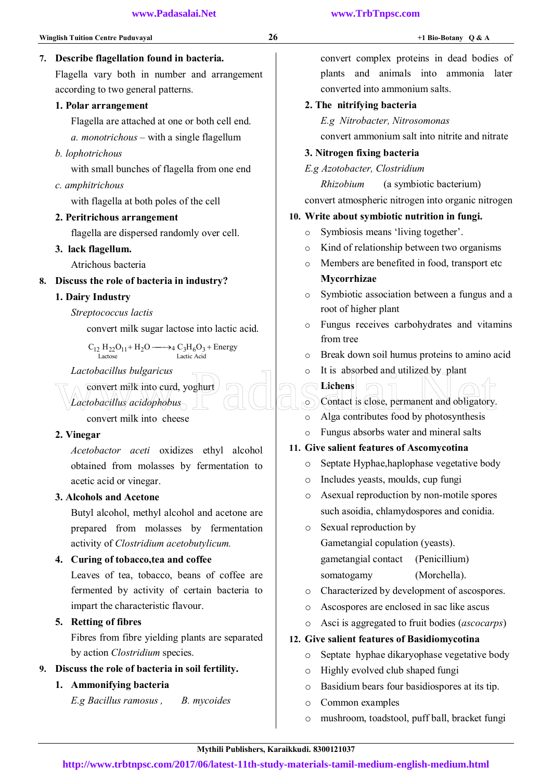## 7. Describe flagellation found in bacteria.

Flagella vary both in number and arrangement according to two general patterns.

#### 1. Polar arrangement

Flagella are attached at one or both cell end.

*a. monotrichous* – with a single flagellum

*b. lophotrichous* 

with small bunches of flagella from one end

*c. amphitrichous* 

with flagella at both poles of the cell

## 2. Peritrichous arrangement

flagella are dispersed randomly over cell.

3. lack flagellum.

Atrichous bacteria

## 8. Discuss the role of bacteria in industry?

## 1. Dairy Industry

*Streptococcus lactis*

convert milk sugar lactose into lactic acid.

 $C_{12} H_{22} O_{11} + H_2 O \longrightarrow 4 C_3 H_6 O_3 +$  Energy Lactic Acid Lactose

## *Lactobacillus bulgaricus*

convert milk into curd, yoghurt

convert milk into cheese

*Lactobacillus acidophobus* 

## 2. Vinegar

*Acetobactor aceti* oxidizes ethyl alcohol obtained from molasses by fermentation to acetic acid or vinegar.

## 3. Alcohols and Acetone

Butyl alcohol, methyl alcohol and acetone are prepared from molasses by fermentation activity of *Clostridium acetobutylicum.*

## 4. Curing of tobacco,tea and coffee

Leaves of tea, tobacco, beans of coffee are fermented by activity of certain bacteria to impart the characteristic flavour.

## 5. Retting of fibres

Fibres from fibre yielding plants are separated by action *Clostridium* species.

## 9. Discuss the role of bacteria in soil fertility.

## 1. Ammonifying bacteria

 *E.g Bacillus ramosus , B. mycoides* 

convert complex proteins in dead bodies of plants and animals into ammonia later converted into ammonium salts.

## 2. The nitrifying bacteria

 *E.g Nitrobacter, Nitrosomonas* 

convert ammonium salt into nitrite and nitrate

## 3. Nitrogen fixing bacteria

*E.g Azotobacter, Clostridium* 

 *Rhizobium* (a symbiotic bacterium) convert atmospheric nitrogen into organic nitrogen

## 10. Write about symbiotic nutrition in fungi.

- o Symbiosis means 'living together'.
- o Kind of relationship between two organisms
- o Members are benefited in food, transport etc Mycorrhizae
- o Symbiotic association between a fungus and a root of higher plant
- o Fungus receives carbohydrates and vitamins from tree
- o Break down soil humus proteins to amino acid
- o It is absorbed and utilized by plant
- Lichens o Contact is close, permanent and obligatory. Lactobacillus bulgaricus<br>
Convert milk into curd, yoghurt<br>
Cactobacillus acidophobus<br>
convert milk into cheese<br>
o Alga contributes food by photosynthesis
	- o Alga contributes food by photosynthesis
	- o Fungus absorbs water and mineral salts

## 11. Give salient features of Ascomycotina

- o Septate Hyphae,haplophase vegetative body
- o Includes yeasts, moulds, cup fungi
- o Asexual reproduction by non-motile spores such asoidia, chlamydospores and conidia.
- o Sexual reproduction by

 Gametangial copulation (yeasts). gametangial contact (Penicillium)

somatogamy (Morchella).

- o Characterized by development of ascospores.
- o Ascospores are enclosed in sac like ascus
- o Asci is aggregated to fruit bodies (*ascocarps*)

## 12. Give salient features of Basidiomycotina

- o Septate hyphae dikaryophase vegetative body
- o Highly evolved club shaped fungi
- o Basidium bears four basidiospores at its tip.
- o Common examples
- o mushroom, toadstool, puff ball, bracket fungi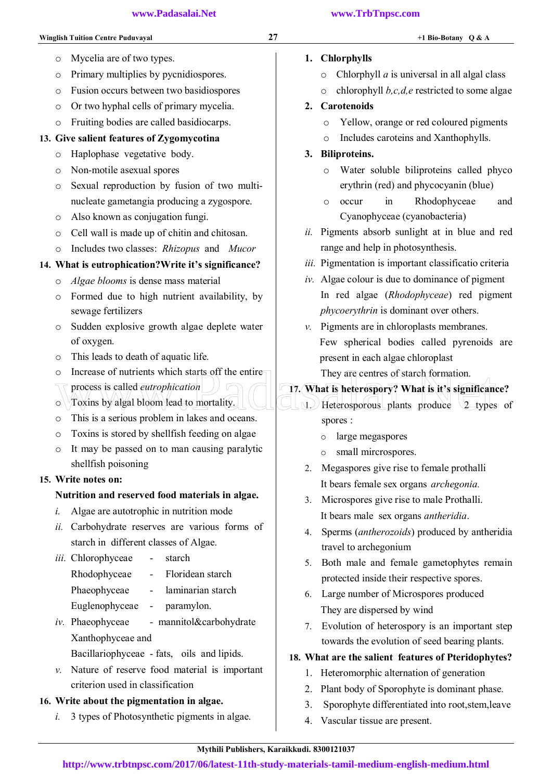## 1. Chlorphylls

- o Chlorphyll *a* is universal in all algal class
- o chlorophyll *b,c,d,e* restricted to some algae

## 2. Carotenoids

- o Yellow, orange or red coloured pigments
- o Includes caroteins and Xanthophylls.

## 3. Biliproteins.

- o Water soluble biliproteins called phyco erythrin (red) and phycocyanin (blue)
- o occur in Rhodophyceae and Cyanophyceae (cyanobacteria)
- *ii.* Pigments absorb sunlight at in blue and red range and help in photosynthesis.
- *iii.* Pigmentation is important classificatio criteria
- *iv.* Algae colour is due to dominance of pigment In red algae (*Rhodophyceae*) red pigment *phycoerythrin* is dominant over others.
- *v.* Pigments are in chloroplasts membranes. Few spherical bodies called pyrenoids are present in each algae chloroplast They are centres of starch formation.

# 17. What is heterospory? What is it's significance? O Increase of nutrients which starts off the entire<br>
They are centres of starch formation.<br>
O Toxins by algal bloom lead to mortality.<br>
O Toxins by algal bloom lead to mortality.<br>
O Toxins is a serious problem in lakes and

 $1.$  Heterosporous plants produce 2 types of

spores :

- o large megaspores
- o small mircrospores.
- 2. Megaspores give rise to female prothalli It bears female sex organs *archegonia.*
- 3. Microspores give rise to male Prothalli. It bears male sex organs *antheridia*.
- 4. Sperms (*antherozoids*) produced by antheridia travel to archegonium
- 5. Both male and female gametophytes remain protected inside their respective spores.
- 6. Large number of Microspores produced They are dispersed by wind
- 7. Evolution of heterospory is an important step towards the evolution of seed bearing plants.

# 18. What are the salient features of Pteridophytes?

- 1. Heteromorphic alternation of generation
- 2. Plant body of Sporophyte is dominant phase.
- 3. Sporophyte differentiated into root,stem,leave
- 4. Vascular tissue are present.
- o Mycelia are of two types.
- o Primary multiplies by pycnidiospores.
- o Fusion occurs between two basidiospores
- o Or two hyphal cells of primary mycelia.
- o Fruiting bodies are called basidiocarps.

## 13. Give salient features of Zygomycotina

- o Haplophase vegetative body.
- o Non-motile asexual spores
- o Sexual reproduction by fusion of two multinucleate gametangia producing a zygospore.
- o Also known as conjugation fungi.
- o Cell wall is made up of chitin and chitosan.
- o Includes two classes: *Rhizopus* and *Mucor*

## 14. What is eutrophication?Write it's significance?

- o *Algae blooms* is dense mass material
- o Formed due to high nutrient availability, by sewage fertilizers
- o Sudden explosive growth algae deplete water of oxygen.
- o This leads to death of aquatic life.
- o Increase of nutrients which starts off the entire
- process is called *eutrophication*
- $\circ$   $\forall$  Toxins by algal bloom lead to mortality.
- o This is a serious problem in lakes and oceans.
- o Toxins is stored by shellfish feeding on algae
- o It may be passed on to man causing paralytic shellfish poisoning

## 15. Write notes on:

## Nutrition and reserved food materials in algae.

- *i.* Algae are autotrophic in nutrition mode
- *ii.* Carbohydrate reserves are various forms of starch in different classes of Algae.
- *iii.* Chlorophyceae starch Rhodophyceae - Floridean starch
	- Phaeophyceae laminarian starch
	- Euglenophyceae paramylon.
- *iv.* Phaeophyceae mannitol&carbohydrate Xanthophyceae and
	- Bacillariophyceae fats, oils and lipids.
- *v.* Nature of reserve food material is important criterion used in classification

# 16. Write about the pigmentation in algae.

*i.* 3 types of Photosynthetic pigments in algae.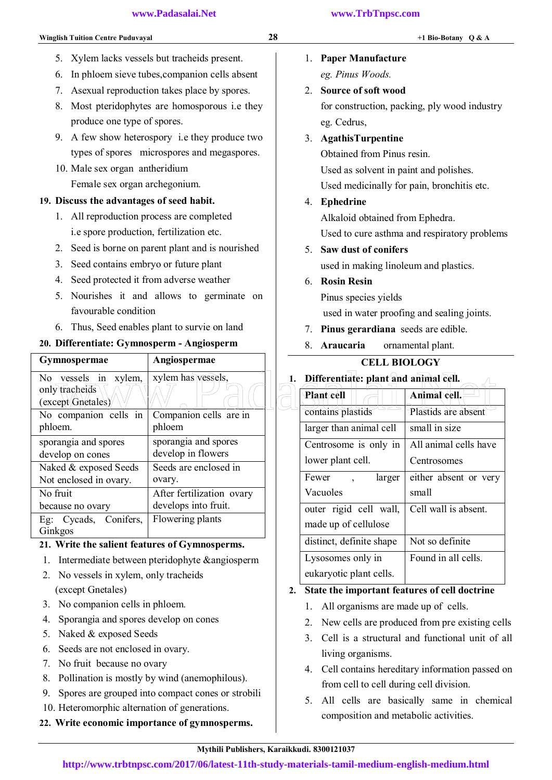- 6. In phloem sieve tubes,companion cells absent
- 7. Asexual reproduction takes place by spores.
- 8. Most pteridophytes are homosporous i.e they produce one type of spores.
- 9. A few show heterospory i.e they produce two types of spores microspores and megaspores.
- 10. Male sex organ antheridium Female sex organ archegonium.

### 19. Discuss the advantages of seed habit.

- 1. All reproduction process are completed i.e spore production, fertilization etc.
- 2. Seed is borne on parent plant and is nourished
- 3. Seed contains embryo or future plant
- 4. Seed protected it from adverse weather
- 5. Nourishes it and allows to germinate on favourable condition
- 6. Thus, Seed enables plant to survie on land

## 20. Differentiate: Gymnosperm - Angiosperm

| <b>Gymnospermae</b>                 | Angiospermae              | <b>CELL BIOLOGY</b>                      |                       |
|-------------------------------------|---------------------------|------------------------------------------|-----------------------|
| No vessels in xylem,                | xylem has vessels,        | 1. Differentiate: plant and animal cell. |                       |
| only tracheids<br>(except Gnetales) |                           | <b>Plant cell</b>                        | Animal cell.          |
| No companion cells in               | Companion cells are in    | contains plastids                        | Plastids are absent   |
| phloem.                             | phloem                    | larger than animal cell                  | small in size         |
| sporangia and spores                | sporangia and spores      | Centrosome is only in                    | All animal cells have |
| develop on cones                    | develop in flowers        | lower plant cell.                        | Centrosomes           |
| Naked & exposed Seeds               | Seeds are enclosed in     |                                          |                       |
| Not enclosed in ovary.              | ovary.                    | Fewer<br>larger                          | either absent or ver  |
| No fruit                            | After fertilization ovary | Vacuoles                                 | small                 |
| because no ovary                    | develops into fruit.      | outer rigid cell wall,                   | Cell wall is absent.  |
| Conifers,<br>Eg: Cycads,            | Flowering plants          | made up of cellulose                     |                       |
| Ginkgos                             |                           |                                          |                       |

## 21. Write the salient features of Gymnosperms.

- 1. Intermediate between pteridophyte &angiosperm
- 2. No vessels in xylem, only tracheids (except Gnetales)
- 3. No companion cells in phloem.
- 4. Sporangia and spores develop on cones
- 5. Naked & exposed Seeds
- 6. Seeds are not enclosed in ovary.
- 7. No fruit because no ovary
- 8. Pollination is mostly by wind (anemophilous).
- 9. Spores are grouped into compact cones or strobili
- 10. Heteromorphic alternation of generations.
- 22. Write economic importance of gymnosperms.
- 1. Paper Manufacture  *eg. Pinus Woods.*
- 2. Source of soft wood

 for construction, packing, ply wood industry eg. Cedrus,

3. AgathisTurpentine

Obtained from Pinus resin. Used as solvent in paint and polishes. Used medicinally for pain, bronchitis etc.

#### 4. Ephedrine

Alkaloid obtained from Ephedra.

Used to cure asthma and respiratory problems

5. Saw dust of conifers

used in making linoleum and plastics.

- 6. Rosin Resin
	- Pinus species yields

used in water proofing and sealing joints.

- 7. Pinus gerardiana seeds are edible.
- 8. Araucaria ornamental plant.

## CELL BIOLOGY

| Plant cell               | Animal cell.          |
|--------------------------|-----------------------|
| contains plastids        | Plastids are absent   |
| larger than animal cell  | small in size         |
| Centrosome is only in    | All animal cells have |
| lower plant cell.        | Centrosomes           |
| Fewer<br>larger          | either absent or very |
| Vacuoles                 | small                 |
| outer rigid cell wall,   | Cell wall is absent.  |
| made up of cellulose     |                       |
| distinct, definite shape | Not so definite       |
| Lysosomes only in        | Found in all cells.   |
| eukaryotic plant cells.  |                       |

#### 2. State the important features of cell doctrine

- 1. All organisms are made up of cells.
- 2. New cells are produced from pre existing cells
- 3. Cell is a structural and functional unit of all living organisms.
- 4. Cell contains hereditary information passed on from cell to cell during cell division.
- 5. All cells are basically same in chemical composition and metabolic activities.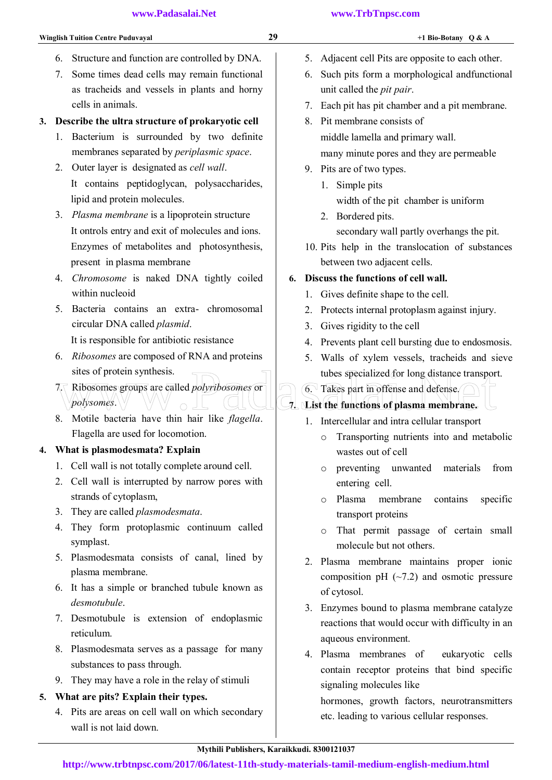- 6. Structure and function are controlled by DNA.
- 7. Some times dead cells may remain functional as tracheids and vessels in plants and horny cells in animals.

## 3. Describe the ultra structure of prokaryotic cell

- 1. Bacterium is surrounded by two definite membranes separated by *periplasmic space*.
- 2. Outer layer is designated as *cell wall*. It contains peptidoglycan, polysaccharides, lipid and protein molecules.
- 3. *Plasma membrane* is a lipoprotein structure It ontrols entry and exit of molecules and ions. Enzymes of metabolites and photosynthesis, present in plasma membrane
- 4. *Chromosome* is naked DNA tightly coiled within nucleoid
- 5. Bacteria contains an extra- chromosomal circular DNA called *plasmid*. It is responsible for antibiotic resistance
- 6. *Ribosomes* are composed of RNA and proteins sites of protein synthesis.
- 7. Ribosomes groups are called *polyribosomes* or *polysomes*. sites of protein synthesis.<br>
T. Ribosomes groups are called *polyribosomes* or<br> *Polysomes*.<br> *Polysomes*.<br> *Polysomes*.<br> *Polysomes.*<br> *Polysomes.*<br> *Polysomes.*<br> *Polysomes.*<br> *Polysomes.*<br> *Polysomes.*<br> *Polysomes.*<br> *P*
- 8. Motile bacteria have thin hair like *flagella*. Flagella are used for locomotion.

## 4. What is plasmodesmata? Explain

- 1. Cell wall is not totally complete around cell.
- 2. Cell wall is interrupted by narrow pores with strands of cytoplasm,
- 3. They are called *plasmodesmata*.
- 4. They form protoplasmic continuum called symplast.
- 5. Plasmodesmata consists of canal, lined by plasma membrane.
- 6. It has a simple or branched tubule known as *desmotubule*.
- 7. Desmotubule is extension of endoplasmic reticulum.
- 8. Plasmodesmata serves as a passage for many substances to pass through.
- 9. They may have a role in the relay of stimuli

# 5. What are pits? Explain their types.

4. Pits are areas on cell wall on which secondary wall is not laid down.

- 5. Adjacent cell Pits are opposite to each other.
- 6. Such pits form a morphological andfunctional unit called the *pit pair*.
- 7. Each pit has pit chamber and a pit membrane.
- 8. Pit membrane consists of middle lamella and primary wall. many minute pores and they are permeable
- 9. Pits are of two types.
	- 1. Simple pits width of the pit chamber is uniform
	- 2. Bordered pits. secondary wall partly overhangs the pit.
- 10. Pits help in the translocation of substances between two adjacent cells.

## 6. Discuss the functions of cell wall.

- 1. Gives definite shape to the cell.
- 2. Protects internal protoplasm against injury.
- 3. Gives rigidity to the cell
- 4. Prevents plant cell bursting due to endosmosis.
- 5. Walls of xylem vessels, tracheids and sieve tubes specialized for long distance transport.

## 6. Takes part in offense and defense.

## 7. List the functions of plasma membrane.

- 1. Intercellular and intra cellular transport
	- o Transporting nutrients into and metabolic wastes out of cell
	- o preventing unwanted materials from entering cell.
	- o Plasma membrane contains specific transport proteins
	- o That permit passage of certain small molecule but not others.
- 2. Plasma membrane maintains proper ionic composition pH  $(-7.2)$  and osmotic pressure of cytosol.
- 3. Enzymes bound to plasma membrane catalyze reactions that would occur with difficulty in an aqueous environment.
- 4. Plasma membranes of eukaryotic cells contain receptor proteins that bind specific signaling molecules like

hormones, growth factors, neurotransmitters etc. leading to various cellular responses.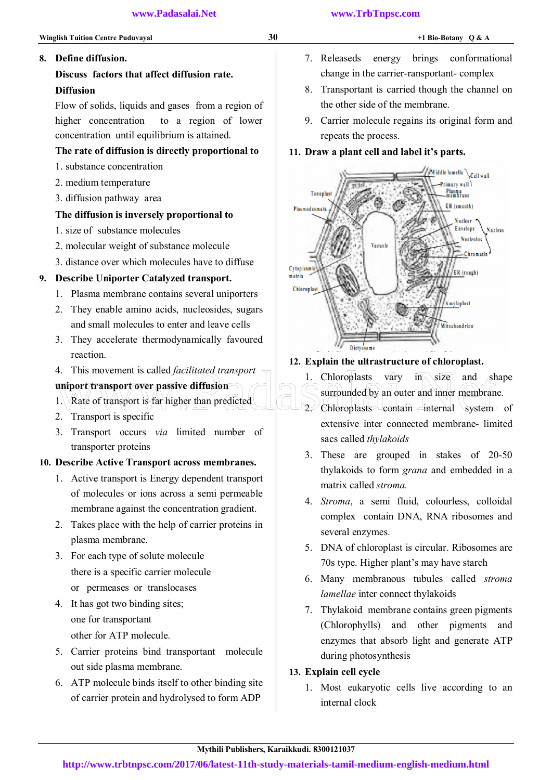## 8. Define diffusion.

## Discuss factors that affect diffusion rate. Diffusion

Flow of solids, liquids and gases from a region of higher concentration to a region of lower concentration until equilibrium is attained.

## The rate of diffusion is directly proportional to

- 1. substance concentration
- 2. medium temperature
- 3. diffusion pathway area

## The diffusion is inversely proportional to

- 1. size of substance molecules
- 2. molecular weight of substance molecule
- 3. distance over which molecules have to diffuse

## 9. Describe Uniporter Catalyzed transport.

- 1. Plasma membrane contains several uniporters
- 2. They enable amino acids, nucleosides, sugars and small molecules to enter and leave cells
- 3. They accelerate thermodynamically favoured reaction.
- 4. This movement is called *facilitated transport*

## uniport transport over passive diffusion

- 1. Rate of transport is far higher than predicted
- 2. Transport is specific
- 3. Transport occurs *via* limited number of transporter proteins

## 10. Describe Active Transport across membranes.

- 1. Active transport is Energy dependent transport of molecules or ions across a semi permeable membrane against the concentration gradient.
- 2. Takes place with the help of carrier proteins in plasma membrane.
- 3. For each type of solute molecule there is a specific carrier molecule or permeases or translocases
- 4. It has got two binding sites; one for transportant other for ATP molecule.
- 5. Carrier proteins bind transportant molecule out side plasma membrane.
- 6. ATP molecule binds itself to other binding site of carrier protein and hydrolysed to form ADP
- 7. Releaseds energy brings conformational change in the carrier-ransportant- complex
- 8. Transportant is carried though the channel on the other side of the membrane.
- 9. Carrier molecule regains its original form and repeats the process.

## 11. Draw a plant cell and label it's parts.



## 12. Explain the ultrastructure of chloroplast.

- 1. Chloroplasts vary  $\overline{m}$  size and shape surrounded by an outer and inner membrane. 4. This movement is called *facilitated transport*<br>
uniport transport over passive diffusion<br>
1. Rate of transport is far higher than predicted<br>
2. Transport is specific<br>
2. Transport is specific
	- $2$ . Chloroplasts contain internal system of extensive inter connected membrane- limited sacs called *thylakoids*
	- 3. These are grouped in stakes of 20-50 thylakoids to form *grana* and embedded in a matrix called *stroma.*
	- 4. *Stroma*, a semi fluid, colourless, colloidal complex contain DNA, RNA ribosomes and several enzymes.
	- 5. DNA of chloroplast is circular. Ribosomes are 70s type. Higher plant's may have starch
	- 6. Many membranous tubules called *stroma lamellae* inter connect thylakoids
	- 7. Thylakoid membrane contains green pigments (Chlorophylls) and other pigments and enzymes that absorb light and generate ATP during photosynthesis

## 13. Explain cell cycle

1. Most eukaryotic cells live according to an internal clock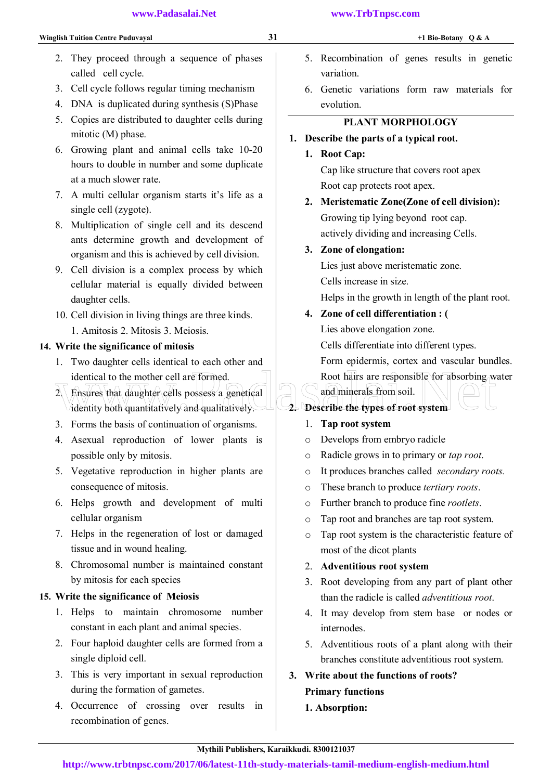- 2. They proceed through a sequence of phases called cell cycle.
- 3. Cell cycle follows regular timing mechanism
- 4. DNA is duplicated during synthesis (S)Phase
- 5. Copies are distributed to daughter cells during mitotic (M) phase.
- 6. Growing plant and animal cells take 10-20 hours to double in number and some duplicate at a much slower rate.
- 7. A multi cellular organism starts it's life as a single cell (zygote).
- 8. Multiplication of single cell and its descend ants determine growth and development of organism and this is achieved by cell division.
- 9. Cell division is a complex process by which cellular material is equally divided between daughter cells.
- 10. Cell division in living things are three kinds. 1. Amitosis 2. Mitosis 3. Meiosis.

## 14. Write the significance of mitosis

- 1. Two daughter cells identical to each other and identical to the mother cell are formed.
- 2. Ensures that daughter cells possess a genetical identity both quantitatively and qualitatively. identical to the mother cell are formed.<br>
2 Ensures that daughter cells possess a genetical<br>
identity both quantitatively and qualitatively.<br>
2. Describe the types of root system<br>
2. Describe the types of root system<br>
2. D
- 3. Forms the basis of continuation of organisms.
- 4. Asexual reproduction of lower plants is possible only by mitosis.
- 5. Vegetative reproduction in higher plants are consequence of mitosis.
- 6. Helps growth and development of multi cellular organism
- 7. Helps in the regeneration of lost or damaged tissue and in wound healing.
- 8. Chromosomal number is maintained constant by mitosis for each species

## 15. Write the significance of Meiosis

- 1. Helps to maintain chromosome number constant in each plant and animal species.
- 2. Four haploid daughter cells are formed from a single diploid cell.
- 3. This is very important in sexual reproduction during the formation of gametes.
- 4. Occurrence of crossing over results in recombination of genes.
- 5. Recombination of genes results in genetic variation.
- 6. Genetic variations form raw materials for evolution.

## PLANT MORPHOLOGY

## 1. Describe the parts of a typical root.

1. Root Cap:

Cap like structure that covers root apex Root cap protects root apex.

2. Meristematic Zone(Zone of cell division): Growing tip lying beyond root cap. actively dividing and increasing Cells.

## 3. Zone of elongation:

Lies just above meristematic zone. Cells increase in size. Helps in the growth in length of the plant root.

## 4. Zone of cell differentiation : (

Lies above elongation zone.

Cells differentiate into different types.

Form epidermis, cortex and vascular bundles.

Root hairs are responsible for absorbing water

 $2$  Describe the types of root system  $\vdash$ 

and minerals from soil.

- 1. Tap root system
- o Develops from embryo radicle
- o Radicle grows in to primary or *tap root*.
- o It produces branches called *secondary roots.*
- o These branch to produce *tertiary roots*.
- o Further branch to produce fine *rootlets*.
- o Tap root and branches are tap root system.
- o Tap root system is the characteristic feature of most of the dicot plants

## 2. Adventitious root system

- 3. Root developing from any part of plant other than the radicle is called *adventitious root*.
- 4. It may develop from stem base or nodes or internodes.
- 5. Adventitious roots of a plant along with their branches constitute adventitious root system.

## 3. Write about the functions of roots? Primary functions

## 1. Absorption: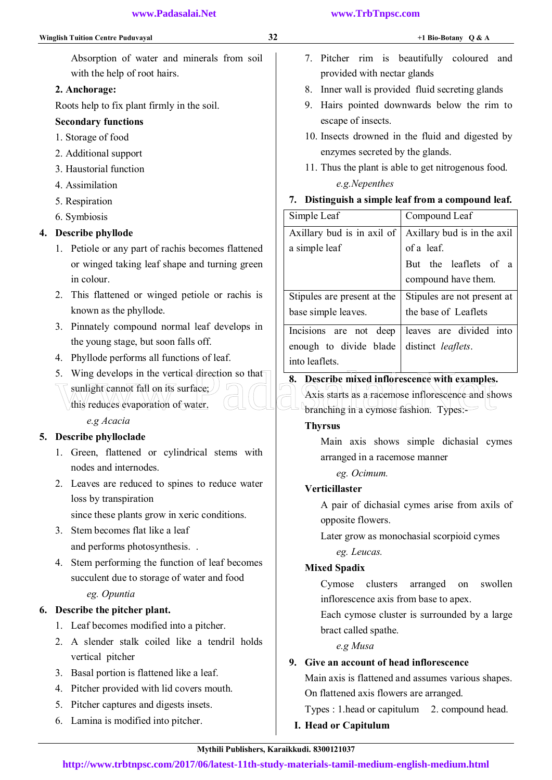Absorption of water and minerals from soil with the help of root hairs.

## 2. Anchorage:

Roots help to fix plant firmly in the soil.

## Secondary functions

- 1. Storage of food
- 2. Additional support
- 3. Haustorial function
- 4. Assimilation
- 5. Respiration
- 6. Symbiosis

## 4. Describe phyllode

- 1. Petiole or any part of rachis becomes flattened or winged taking leaf shape and turning green in colour.
- 2. This flattened or winged petiole or rachis is known as the phyllode.
- 3. Pinnately compound normal leaf develops in the young stage, but soon falls off.
- 4. Phyllode performs all functions of leaf.
- 5. Wing develops in the vertical direction so that
	- $\sqrt{\sinh(\hat{\theta})}$  sunlight cannot fall on its surface;
		- this reduces evaporation of water.

## *e.g Acacia*

## 5. Describe phylloclade

- 1. Green, flattened or cylindrical stems with nodes and internodes.
- 2. Leaves are reduced to spines to reduce water loss by transpiration

since these plants grow in xeric conditions.

- 3. Stem becomes flat like a leaf and performs photosynthesis. .
- 4. Stem performing the function of leaf becomes succulent due to storage of water and food *eg. Opuntia*

## 6. Describe the pitcher plant.

- 1. Leaf becomes modified into a pitcher.
- 2. A slender stalk coiled like a tendril holds vertical pitcher
- 3. Basal portion is flattened like a leaf.
- 4. Pitcher provided with lid covers mouth.
- 5. Pitcher captures and digests insets.
- 6. Lamina is modified into pitcher.
- 7. Pitcher rim is beautifully coloured and provided with nectar glands
- 8. Inner wall is provided fluid secreting glands
- 9. Hairs pointed downwards below the rim to escape of insects.
- 10. Insects drowned in the fluid and digested by enzymes secreted by the glands.
- 11. Thus the plant is able to get nitrogenous food.  *e.g.Nepenthes*

## 7. Distinguish a simple leaf from a compound leaf.

| Simple Leaf                 | Compound Leaf               |
|-----------------------------|-----------------------------|
| Axillary bud is in axil of  | Axillary bud is in the axil |
| a simple leaf               | of a leaf.                  |
|                             | But the leaflets of a       |
|                             | compound have them.         |
| Stipules are present at the | Stipules are not present at |
| base simple leaves.         | the base of Leaflets        |
| Incisions are not deep      | leaves are divided into     |
| enough to divide blade      | distinct <i>leaflets</i> .  |
| into leaflets.              |                             |
|                             |                             |

## 8. Describe mixed inflorescence with examples.

Axis starts as a racemose inflorescence and shows branching in a cymose fashion. Types:- 5. Wing develops in the vertical direction so that<br>
Sunlight cannot fall on its surface.<br>
This reduces evaporation of water.<br>
Contained in a cymose fashion. Types:

#### **Thyrsus**

Main axis shows simple dichasial cymes arranged in a racemose manner

 *eg. Ocimum.* 

## Verticillaster

A pair of dichasial cymes arise from axils of opposite flowers.

Later grow as monochasial scorpioid cymes

*eg. Leucas.* 

## Mixed Spadix

Cymose clusters arranged on swollen inflorescence axis from base to apex.

Each cymose cluster is surrounded by a large bract called spathe.

#### *e.g Musa*

## 9. Give an account of head inflorescence

Main axis is flattened and assumes various shapes. On flattened axis flowers are arranged.

Types : 1.head or capitulum 2. compound head.

I. Head or Capitulum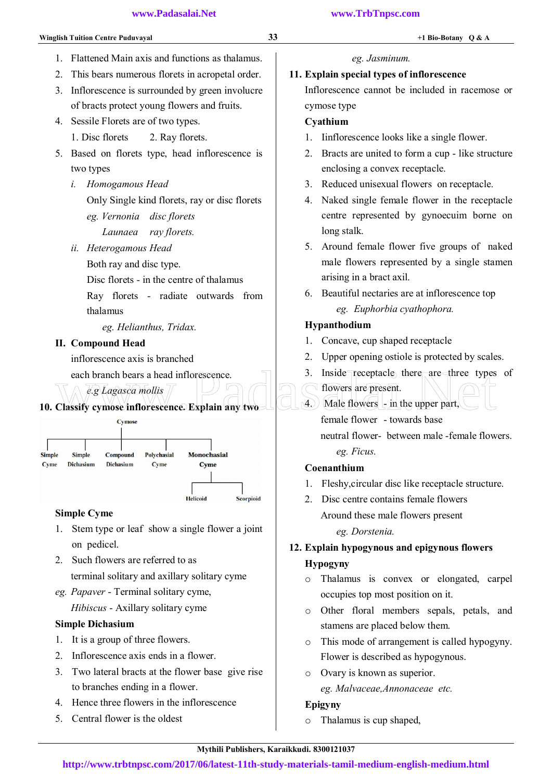- 1. Flattened Main axis and functions as thalamus.
- 2. This bears numerous florets in acropetal order.
- 3. Inflorescence is surrounded by green involucre of bracts protect young flowers and fruits.
- 4. Sessile Florets are of two types.
	- 1. Disc florets 2. Ray florets.
- 5. Based on florets type, head inflorescence is two types
	- *i. Homogamous Head*  Only Single kind florets, ray or disc florets *eg. Vernonia disc florets Launaea ray florets.*
	- *ii. Heterogamous Head* 
		- Both ray and disc type.

Disc florets - in the centre of thalamus

Ray florets - radiate outwards from thalamus

 *eg. Helianthus, Tridax.* 

### II. Compound Head

inflorescence axis is branched

each branch bears a head inflorescence.

 *e.g Lagasca mollis*





## Simple Cyme

- 1. Stem type or leaf show a single flower a joint on pedicel.
- 2. Such flowers are referred to as terminal solitary and axillary solitary cyme
- *eg. Papaver*  Terminal solitary cyme, *Hibiscus* - Axillary solitary cyme

## Simple Dichasium

- 1. It is a group of three flowers.
- 2. Inflorescence axis ends in a flower.
- 3. Two lateral bracts at the flower base give rise to branches ending in a flower.
- 4. Hence three flowers in the inflorescence
- 5. Central flower is the oldest

# *eg. Jasminum.*

## 11. Explain special types of inflorescence

Inflorescence cannot be included in racemose or cymose type

## Cyathium

- 1. Iinflorescence looks like a single flower.
- 2. Bracts are united to form a cup like structure enclosing a convex receptacle.
- 3. Reduced unisexual flowers on receptacle.
- 4. Naked single female flower in the receptacle centre represented by gynoecuim borne on long stalk.
- 5. Around female flower five groups of naked male flowers represented by a single stamen arising in a bract axil.
- 6. Beautiful nectaries are at inflorescence top *eg. Euphorbia cyathophora.*

## Hypanthodium

- 1. Concave, cup shaped receptacle
- 2. Upper opening ostiole is protected by scales.
- 3. Inside $\epsilon$  receptacle there are three types of
- flowers are present.
- $(4)$  Male flowers  $\frac{1}{2}$  in the upper part, female flower - towards base explanation and influence entities.<br>
Classify cymose influences explain any two definition of the second terms of the second terms of the second state of the second state of the second state of the second state of the seco

neutral flower- between male -female flowers. *eg. Ficus.* 

## Coenanthium

- 1. Fleshy,circular disc like receptacle structure.
- 2. Disc centre contains female flowers Around these male flowers present

*eg. Dorstenia.* 

## 12. Explain hypogynous and epigynous flowers Hypogyny

- o Thalamus is convex or elongated, carpel occupies top most position on it.
- o Other floral members sepals, petals, and stamens are placed below them.
- o This mode of arrangement is called hypogyny. Flower is described as hypogynous.
- o Ovary is known as superior.  *eg. Malvaceae,Annonaceae etc.*

## Epigyny

o Thalamus is cup shaped,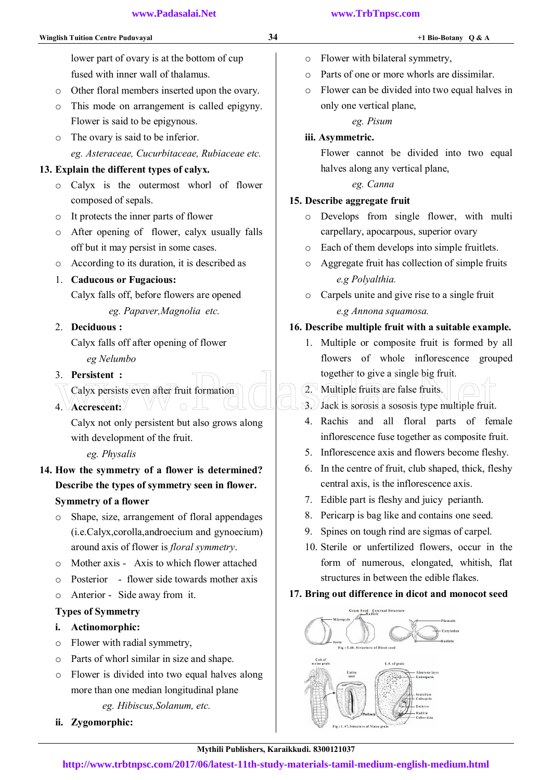- o Flower with bilateral symmetry,
- o Parts of one or more whorls are dissimilar.
- o Flower can be divided into two equal halves in only one vertical plane,

*eg. Pisum* 

#### iii. Asymmetric.

Flower cannot be divided into two equal halves along any vertical plane,

#### *eg. Canna*

#### 15. Describe aggregate fruit

- o Develops from single flower, with multi carpellary, apocarpous, superior ovary
- o Each of them develops into simple fruitlets.
- o Aggregate fruit has collection of simple fruits  *e.g Polyalthia.*
- o Carpels unite and give rise to a single fruit  *e.g Annona squamosa.*

#### 16. Describe multiple fruit with a suitable example.

1. Multiple or composite fruit is formed by all flowers of whole inflorescence grouped together to give a single big fruit.

## 2. Multiple fruits are false fruits.

- 3. Jack is sorosis a sososis type multiple fruit. 3. Persistent :<br>
Calyx persists/even after/fruit formation<br>
4. Vaccrescent: Calyx not only persistent but also group along<br>
4. Rachis and all floral parts of fer-
	- 4. Rachis and all floral parts of female inflorescence fuse together as composite fruit.
	- 5. Inflorescence axis and flowers become fleshy.
	- 6. In the centre of fruit, club shaped, thick, fleshy central axis, is the inflorescence axis.
	- 7. Edible part is fleshy and juicy perianth.
	- 8. Pericarp is bag like and contains one seed.
	- 9. Spines on tough rind are sigmas of carpel.
	- 10. Sterile or unfertilized flowers, occur in the form of numerous, elongated, whitish, flat structures in between the edible flakes.

## 17. Bring out difference in dicot and monocot seed



#### **http://www.trbtnpsc.com/2017/06/latest-11th-study-materials-tamil-medium-english-medium.html**

 lower part of ovary is at the bottom of cup fused with inner wall of thalamus.

- o Other floral members inserted upon the ovary.
- o This mode on arrangement is called epigyny. Flower is said to be epigynous.
- o The ovary is said to be inferior. *eg. Asteraceae, Cucurbitaceae, Rubiaceae etc.*

## 13. Explain the different types of calyx.

- o Calyx is the outermost whorl of flower composed of sepals.
- o It protects the inner parts of flower
- o After opening of flower, calyx usually falls off but it may persist in some cases.
- o According to its duration, it is described as

## 1. Caducous or Fugacious:

Calyx falls off, before flowers are opened

 *eg. Papaver,Magnolia etc.* 

### 2. Deciduous :

 Calyx falls off after opening of flower  *eg Nelumbo* 

#### 3. Persistent :

- Calyx persists even after fruit formation
- 4. Accrescent:

Calyx not only persistent but also grows along with development of the fruit.

#### *eg. Physalis*

14. How the symmetry of a flower is determined? Describe the types of symmetry seen in flower.

## Symmetry of a flower

- o Shape, size, arrangement of floral appendages (i.e.Calyx,corolla,androecium and gynoecium) around axis of flower is *floral symmetry*.
- o Mother axis Axis to which flower attached
- o Posterior flower side towards mother axis
- o Anterior Side away from it.

## Types of Symmetry

- i. Actinomorphic:
- o Flower with radial symmetry,
- o Parts of whorl similar in size and shape.
- o Flower is divided into two equal halves along more than one median longitudinal plane *eg. Hibiscus,Solanum, etc.*
- ii. Zygomorphic: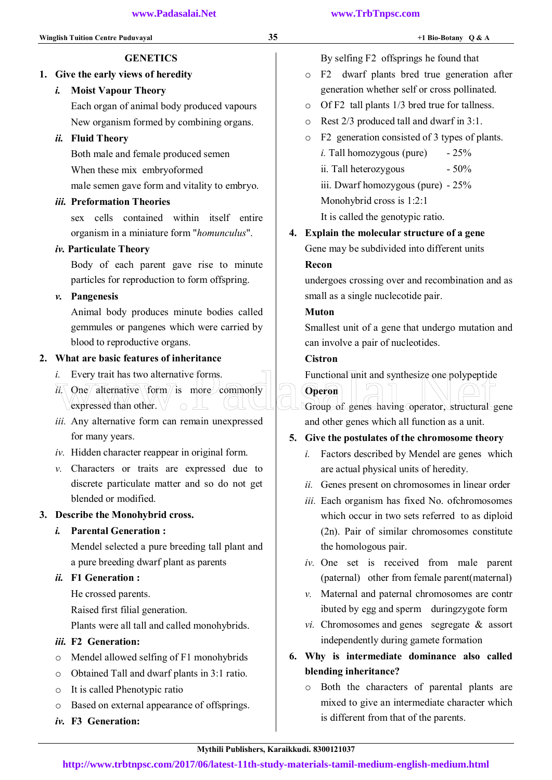## By selfing F2 offsprings he found that

- o F2 dwarf plants bred true generation after generation whether self or cross pollinated.
- o Of F2 tall plants 1/3 bred true for tallness.
- o Rest 2/3 produced tall and dwarf in 3:1.
- o F2 generation consisted of 3 types of plants.
	- *i*. Tall homozygous (pure)  $-25\%$
	- ii. Tall heterozygous  $-50\%$
	- iii. Dwarf homozygous (pure) 25%
	- Monohybrid cross is 1:2:1
	- It is called the genotypic ratio.
- 4. Explain the molecular structure of a gene Gene may be subdivided into different units

#### Recon

undergoes crossing over and recombination and as small as a single nuclecotide pair.

#### Muton

Smallest unit of a gene that undergo mutation and can involve a pair of nucleotides.

#### **Cistron**

Functional unit and synthesize one polypeptide



Group of genes having operator, structural gene and other genes which all function as a unit.

#### 5. Give the postulates of the chromosome theory

- *i.* Factors described by Mendel are genes which are actual physical units of heredity.
- *ii.* Genes present on chromosomes in linear order
- *iii.* Each organism has fixed No. ofchromosomes which occur in two sets referred to as diploid (2n). Pair of similar chromosomes constitute the homologous pair.
- *iv.* One set is received from male parent (paternal) other from female parent(maternal)
- *v.* Maternal and paternal chromosomes are contr ibuted by egg and sperm duringzygote form
- *vi.* Chromosomes and genes segregate & assort independently during gamete formation
- 6. Why is intermediate dominance also called blending inheritance?
	- o Both the characters of parental plants are mixed to give an intermediate character which is different from that of the parents.

## **GENETICS**

1. Give the early views of heredity

#### *i.* Moist Vapour Theory

Each organ of animal body produced vapours New organism formed by combining organs.

#### *ii.* Fluid Theory

Both male and female produced semen When these mix embryoformed male semen gave form and vitality to embryo.

#### *iii.* Preformation Theories

sex cells contained within itself entire organism in a miniature form "*homunculus*".

#### *iv.* Particulate Theory

Body of each parent gave rise to minute particles for reproduction to form offspring.

#### *v.* Pangenesis

Animal body produces minute bodies called gemmules or pangenes which were carried by blood to reproductive organs.

#### 2. What are basic features of inheritance

- *i.* Every trait has two alternative forms.
- $i\overline{i}$ . One alternative form is more commonly expressed than other.  $\overrightarrow{n}$ . Every trait has two alternative forms.<br>  $\overrightarrow{n}$ . The differentive  $\overrightarrow{form}$  is more commonly<br>
expressed than other.
- *iii.* Any alternative form can remain unexpressed for many years.
- *iv.* Hidden character reappear in original form.
- *v.* Characters or traits are expressed due to discrete particulate matter and so do not get blended or modified.

#### 3. Describe the Monohybrid cross.

#### *i.* Parental Generation :

Mendel selected a pure breeding tall plant and a pure breeding dwarf plant as parents

#### *ii.* F1 Generation :

He crossed parents.

Raised first filial generation.

Plants were all tall and called monohybrids.

#### *iii.* F2 Generation:

- o Mendel allowed selfing of F1 monohybrids
- o Obtained Tall and dwarf plants in 3:1 ratio.
- o It is called Phenotypic ratio
- o Based on external appearance of offsprings.
- *iv.* F3 Generation: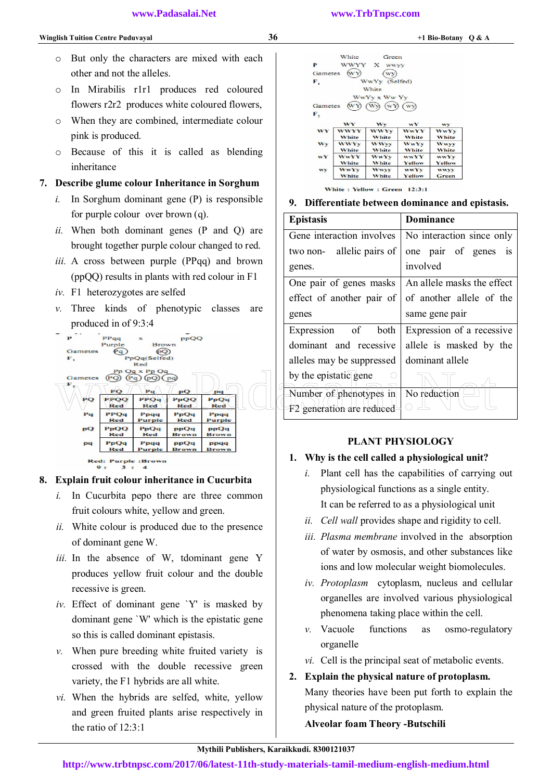- o But only the characters are mixed with each other and not the alleles.
- o In Mirabilis r1r1 produces red coloured flowers r2r2 produces white coloured flowers,
- o When they are combined, intermediate colour pink is produced.
- o Because of this it is called as blending inheritance

#### 7. Describe glume colour Inheritance in Sorghum

- *i.* In Sorghum dominant gene (P) is responsible for purple colour over brown (q).
- *ii.* When both dominant genes (P and Q) are brought together purple colour changed to red.
- *iii.* A cross between purple (PPqq) and brown (ppQQ) results in plants with red colour in F1
- *iv.* F1 heterozygotes are selfed
- *v.* Three kinds of phenotypic classes are produced in of 9:3:4



#### 8. Explain fruit colour inheritance in Cucurbita

- *i.* In Cucurbita pepo there are three common fruit colours white, yellow and green.
- *ii.* White colour is produced due to the presence of dominant gene W.
- *iii.* In the absence of W, tdominant gene Y produces yellow fruit colour and the double recessive is green.
- *iv.* Effect of dominant gene `Y' is masked by dominant gene `W' which is the epistatic gene so this is called dominant epistasis.
- *v.* When pure breeding white fruited variety is crossed with the double recessive green variety, the F1 hybrids are all white.
- *vi.* When the hybrids are selfed, white, yellow and green fruited plants arise respectively in the ratio of 12:3:1

|         | White        | Green                                         |              |              |
|---------|--------------|-----------------------------------------------|--------------|--------------|
| P       |              | WWYY X wwv                                    |              |              |
| Gametes | wý           |                                               |              |              |
| F.      |              | WwYy (Selfed)                                 |              |              |
|         |              | White                                         |              |              |
|         |              | WwYy x Ww Yy                                  |              |              |
| Gametes |              | $(\overline{wy}(\overline{wy}(\overline{wy})$ |              |              |
| F,      |              |                                               |              |              |
|         | WY           | Wy                                            | wY           | wy           |
| WY      | WWYY         | <b>WWYY</b>                                   | <b>WwYY</b>  | <b>WWYY</b>  |
|         | White        | White                                         | White        | <b>White</b> |
| WY      | <b>WWY</b> y | <b>WWW</b>                                    | <b>WwYv</b>  | Www          |
|         | <b>White</b> | <b>White</b>                                  | <b>White</b> | White        |
| wY      | <b>WwYY</b>  | <b>WwYy</b>                                   | <b>WWYY</b>  | <b>WWYY</b>  |
|         | <b>White</b> | White                                         | Yellow       | Yellow       |
| wy      | <b>WWYY</b>  | <b>Wwyy</b>                                   | <b>WWYY</b>  | WWVY         |
|         | White        | White                                         | Yellow       | Green        |
|         |              |                                               |              |              |

White: Yellow: Green 12:3:1

#### 9. Differentiate between dominance and epistasis.

| <b>Epistasis</b>             | <b>Dominance</b>           |
|------------------------------|----------------------------|
| Gene interaction involves    | No interaction since only  |
| allelic pairs of<br>two non- | one pair of genes<br>1S    |
| genes.                       | involved                   |
| One pair of genes masks      | An allele masks the effect |
| effect of another pair of    | of another allele of the   |
| genes                        | same gene pair             |
| Expression of both           | Expression of a recessive  |
| dominant and recessive       | allele is masked by the    |
| alleles may be suppressed    | dominant allele            |
| by the epistatic gene        |                            |
| Number of phenotypes in      | No reduction               |
| F2 generation are reduced    |                            |

#### PLANT PHYSIOLOGY

#### 1. Why is the cell called a physiological unit?

- *i.* Plant cell has the capabilities of carrying out physiological functions as a single entity. It can be referred to as a physiological unit
- *ii. Cell wall* provides shape and rigidity to cell.
- *iii. Plasma membrane* involved in the absorption of water by osmosis, and other substances like ions and low molecular weight biomolecules.
- *iv. Protoplasm* cytoplasm, nucleus and cellular organelles are involved various physiological phenomena taking place within the cell.
- *v.* Vacuole functions as osmo-regulatory organelle
- *vi.* Cell is the principal seat of metabolic events.

## 2. Explain the physical nature of protoplasm. Many theories have been put forth to explain the physical nature of the protoplasm.

#### Alveolar foam Theory -Butschili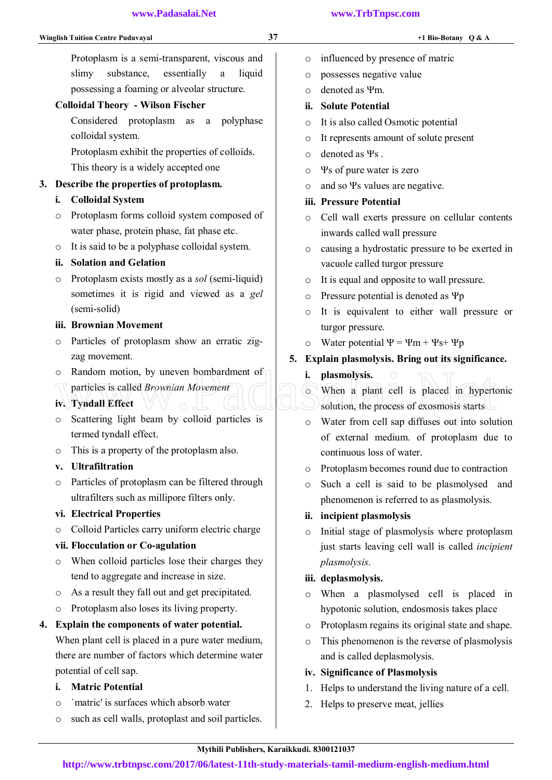Protoplasm is a semi-transparent, viscous and slimy substance, essentially a liquid possessing a foaming or alveolar structure.

#### Colloidal Theory - Wilson Fischer

Considered protoplasm as a polyphase colloidal system.

Protoplasm exhibit the properties of colloids. This theory is a widely accepted one

#### 3. Describe the properties of protoplasm.

- i. Colloidal System
- o Protoplasm forms colloid system composed of water phase, protein phase, fat phase etc.
- o It is said to be a polyphase colloidal system.

#### ii. Solation and Gelation

o Protoplasm exists mostly as a *sol* (semi-liquid) sometimes it is rigid and viewed as a *gel*  (semi-solid)

#### iii. Brownian Movement

- o Particles of protoplasm show an erratic zigzag movement.
- o Random motion, by uneven bombardment of
- particles is called *Brownian Movement* iv. Tyndall Effect
- o Scattering light beam by colloid particles is termed tyndall effect.
- o This is a property of the protoplasm also.
- v. Ultrafiltration
- o Particles of protoplasm can be filtered through ultrafilters such as millipore filters only.

#### vi. Electrical Properties

o Colloid Particles carry uniform electric charge

#### vii. Flocculation or Co-agulation

- o When colloid particles lose their charges they tend to aggregate and increase in size.
- o As a result they fall out and get precipitated.
- o Protoplasm also loses its living property.

#### 4. Explain the components of water potential.

When plant cell is placed in a pure water medium, there are number of factors which determine water potential of cell sap.

#### i. Matric Potential

- o `matric' is surfaces which absorb water
- o such as cell walls, protoplast and soil particles.
- o influenced by presence of matric
- o possesses negative value
- o denoted as Ψm.
- ii. Solute Potential
- o It is also called Osmotic potential
- o It represents amount of solute present
- o denoted as Ψs .
- o Ψs of pure water is zero
- o and so Ψs values are negative.
- iii. Pressure Potential
- o Cell wall exerts pressure on cellular contents inwards called wall pressure
- o causing a hydrostatic pressure to be exerted in vacuole called turgor pressure
- o It is equal and opposite to wall pressure.
- o Pressure potential is denoted as Ψp
- o It is equivalent to either wall pressure or turgor pressure.
- o Water potential Ψ = Ψm + Ψs+ Ψp
- 5. Explain plasmolysis. Bring out its significance.
	- i. plasmolysis.
- o When a plant cell is placed in hypertonic solution, the process of exosmosis starts Communisty is called *Brownian Movement*<br>
iv. Tyndall Effect<br>
Scattering light beam by colloid particles is<br>
Communisty solution, the process of exosmosis starts<br>
Communisty solution, the process of exosmosis starts<br>
Commu
	- o Water from cell sap diffuses out into solution of external medium. of protoplasm due to continuous loss of water.
	- o Protoplasm becomes round due to contraction
	- o Such a cell is said to be plasmolysed and phenomenon is referred to as plasmolysis.

#### ii. incipient plasmolysis

o Initial stage of plasmolysis where protoplasm just starts leaving cell wall is called *incipient plasmolysis*.

#### iii. deplasmolysis.

- o When a plasmolysed cell is placed in hypotonic solution, endosmosis takes place
- o Protoplasm regains its original state and shape.
- o This phenomenon is the reverse of plasmolysis and is called deplasmolysis.

#### iv. Significance of Plasmolysis

- 1. Helps to understand the living nature of a cell.
- 2. Helps to preserve meat, jellies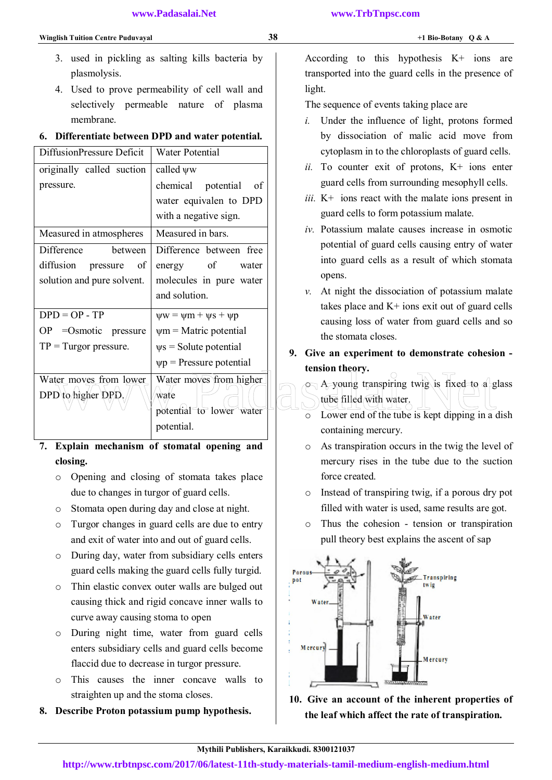- 3. used in pickling as salting kills bacteria by plasmolysis.
- 4. Used to prove permeability of cell wall and selectively permeable nature of plasma membrane.

#### 6. Differentiate between DPD and water potential.

| DiffusionPressure Deficit                    | Water Potential                                             | cytoplasm in to the chloroplasts of guard co                                                                                         |
|----------------------------------------------|-------------------------------------------------------------|--------------------------------------------------------------------------------------------------------------------------------------|
| originally called suction                    | called $\psi w$                                             | ii. To counter exit of protons, $K^+$ ions $\epsilon$                                                                                |
| pressure.                                    | chemical<br>potential<br>of                                 | guard cells from surrounding mesophyll ce                                                                                            |
|                                              | water equivalen to DPD                                      | <i>iii.</i> K <sup>+</sup> ions react with the malate ions present                                                                   |
|                                              | with a negative sign.                                       | guard cells to form potassium malate.                                                                                                |
| Measured in atmospheres                      | Measured in bars.                                           | iv. Potassium malate causes increase in osm                                                                                          |
| Difference<br>between                        | Difference between free                                     | potential of guard cells causing entry of w                                                                                          |
| diffusion<br>of<br>pressure                  | of<br>energy<br>water                                       | into guard cells as a result of which stor                                                                                           |
| solution and pure solvent.                   | molecules in pure water                                     | opens.                                                                                                                               |
|                                              | and solution.                                               | At night the dissociation of potassium ma<br>$\nu$ .                                                                                 |
| $DPD = OP - TP$                              | $\psi w = \psi m + \psi s + \psi p$                         | takes place and $K$ + ions exit out of guard                                                                                         |
| $OP = Osmotic$ pressure                      | $\psi$ m = Matric potential                                 | causing loss of water from guard cells and                                                                                           |
| $TP = Turgor pressure.$                      | $\psi$ s = Solute potential                                 | the stomata closes.                                                                                                                  |
|                                              | $\psi p$ = Pressure potential                               | 9. Give an experiment to demonstrate cohesion<br>tension theory.                                                                     |
| Water moves from lower<br>DPD to higher DPD. | Water moves from higher<br>wate<br>potential to lower water | $\circ$ A young transpiring twig is fixed to a g<br>tube filled with water.<br>Lower end of the tube is kept dipping in a<br>$\circ$ |
|                                              | potential.                                                  | containing mercury.                                                                                                                  |

## 7. Explain mechanism of stomatal opening and closing.

- o Opening and closing of stomata takes place due to changes in turgor of guard cells.
- o Stomata open during day and close at night.
- o Turgor changes in guard cells are due to entry and exit of water into and out of guard cells.
- o During day, water from subsidiary cells enters guard cells making the guard cells fully turgid.
- o Thin elastic convex outer walls are bulged out causing thick and rigid concave inner walls to curve away causing stoma to open
- o During night time, water from guard cells enters subsidiary cells and guard cells become flaccid due to decrease in turgor pressure.
- o This causes the inner concave walls to straighten up and the stoma closes.
- 8. Describe Proton potassium pump hypothesis.

According to this hypothesis K+ ions are transported into the guard cells in the presence of light.

The sequence of events taking place are

- *i.* Under the influence of light, protons formed by dissociation of malic acid move from cytoplasm in to the chloroplasts of guard cells.
- *ii.* To counter exit of protons, K+ ions enter guard cells from surrounding mesophyll cells.
- *iii.* K+ ions react with the malate ions present in guard cells to form potassium malate.
- *iv.* Potassium malate causes increase in osmotic potential of guard cells causing entry of water into guard cells as a result of which stomata opens.
- *v.* At night the dissociation of potassium malate takes place and  $K<sup>+</sup>$  ions exit out of guard cells causing loss of water from guard cells and so the stomata closes.
- 9. Give an experiment to demonstrate cohesion tension theory.
	- $\circ$  A young transpiring twig is fixed to a glass tube filled with water.
		- o Lower end of the tube is kept dipping in a dish containing mercury.
	- o As transpiration occurs in the twig the level of mercury rises in the tube due to the suction force created.
	- o Instead of transpiring twig, if a porous dry pot filled with water is used, same results are got.
	- o Thus the cohesion tension or transpiration pull theory best explains the ascent of sap



10. Give an account of the inherent properties of the leaf which affect the rate of transpiration.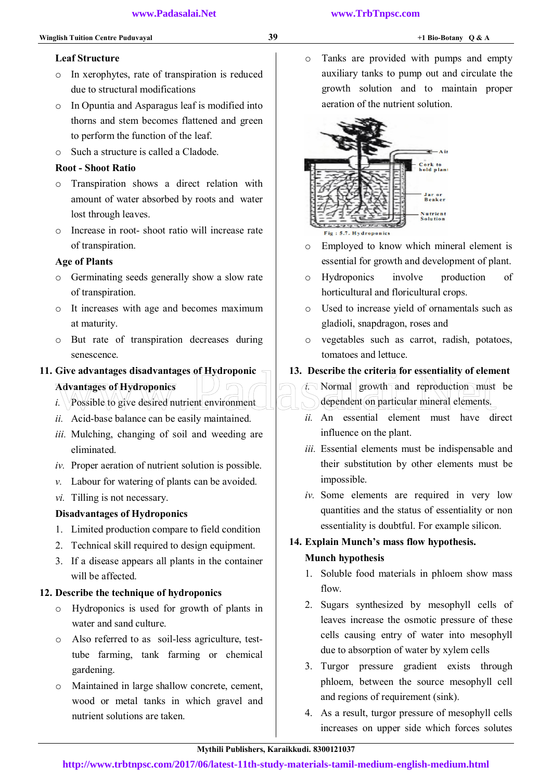#### Leaf Structure

- o In xerophytes, rate of transpiration is reduced due to structural modifications
- o In Opuntia and Asparagus leaf is modified into thorns and stem becomes flattened and green to perform the function of the leaf.
- o Such a structure is called a Cladode.

#### Root - Shoot Ratio

- o Transpiration shows a direct relation with amount of water absorbed by roots and water lost through leaves.
- o Increase in root- shoot ratio will increase rate of transpiration.

#### Age of Plants

- o Germinating seeds generally show a slow rate of transpiration.
- o It increases with age and becomes maximum at maturity.
- o But rate of transpiration decreases during senescence.

#### 11. Give advantages disadvantages of Hydroponic

- Advantages of Hydroponics
- *i.* Possible to give desired nutrient environment.
- *ii.* Acid-base balance can be easily maintained.
- *iii.* Mulching, changing of soil and weeding are eliminated.
- *iv.* Proper aeration of nutrient solution is possible.
- *v.* Labour for watering of plants can be avoided.
- *vi.* Tilling is not necessary.

#### Disadvantages of Hydroponics

- 1. Limited production compare to field condition
- 2. Technical skill required to design equipment.
- 3. If a disease appears all plants in the container will be affected.

#### 12. Describe the technique of hydroponics

- o Hydroponics is used for growth of plants in water and sand culture.
- o Also referred to as soil-less agriculture, testtube farming, tank farming or chemical gardening.
- o Maintained in large shallow concrete, cement, wood or metal tanks in which gravel and nutrient solutions are taken.

o Tanks are provided with pumps and empty auxiliary tanks to pump out and circulate the growth solution and to maintain proper aeration of the nutrient solution.



- o Employed to know which mineral element is essential for growth and development of plant.
- o Hydroponics involve production of horticultural and floricultural crops.
- o Used to increase yield of ornamentals such as gladioli, snapdragon, roses and
- o vegetables such as carrot, radish, potatoes, tomatoes and lettuce.

#### 13. Describe the criteria for essentiality of element

- *i.* Normal growth and reproduction must be dependent on particular mineral elements. Give advantages disadvantages of Hydroponic 13. Describe the criteria for essentiality of elements.<br>
Advantages of Hydroponics<br>
i. Acid-base balance can be easily maintained. <br>
ii. An essential element must have diverse th
	- *ii.* An essential element must have direct influence on the plant.
	- *iii.* Essential elements must be indispensable and their substitution by other elements must be impossible.
	- *iv.* Some elements are required in very low quantities and the status of essentiality or non essentiality is doubtful. For example silicon.

#### 14. Explain Munch's mass flow hypothesis.

#### Munch hypothesis

- 1. Soluble food materials in phloem show mass flow.
- 2. Sugars synthesized by mesophyll cells of leaves increase the osmotic pressure of these cells causing entry of water into mesophyll due to absorption of water by xylem cells
- 3. Turgor pressure gradient exists through phloem, between the source mesophyll cell and regions of requirement (sink).
- 4. As a result, turgor pressure of mesophyll cells increases on upper side which forces solutes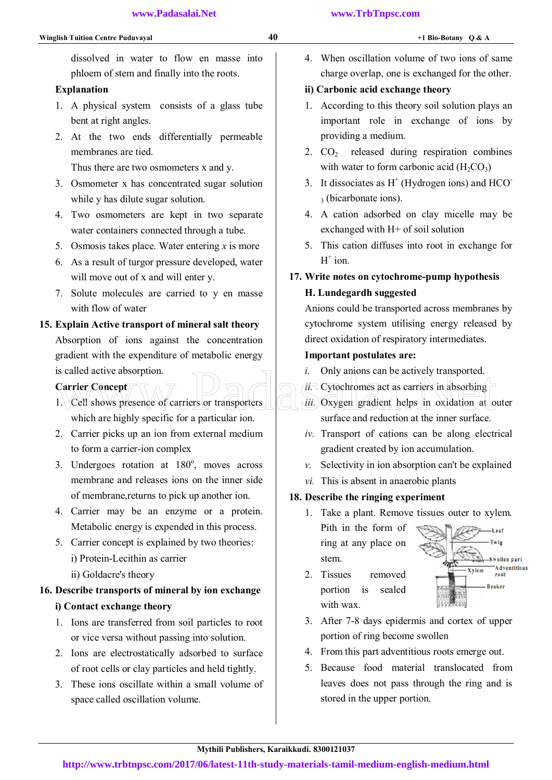dissolved in water to flow en masse into phloem of stem and finally into the roots.

## Explanation

- 1. A physical system consists of a glass tube bent at right angles.
- 2. At the two ends differentially permeable membranes are tied.

Thus there are two osmometers x and y.

- 3. Osmometer x has concentrated sugar solution while y has dilute sugar solution.
- 4. Two osmometers are kept in two separate water containers connected through a tube.
- 5. Osmosis takes place. Water entering *x* is more
- 6. As a result of turgor pressure developed, water will move out of x and will enter y.
- 7. Solute molecules are carried to y en masse with flow of water

## 15. Explain Active transport of mineral salt theory Absorption of ions against the concentration gradient with the expenditure of metabolic energy is called active absorption.

## Carrier Concept

- 1. Cell shows presence of carriers or transporters which are highly specific for a particular ion. is called active absorption.<br>
Carrier Concept<br>
1. Cell shows presence of carriers or transporters<br>  $\begin{array}{c}\n\text{First: } \text{Cycotonimes act as carriers in absorbing} \\
\text{First: } \text{Cycotonimes act as carriers in absorbing} \\
\text{which are highly specific for a particular ion.}\n\end{array}$
- 2. Carrier picks up an ion from external medium to form a carrier-ion complex
- 3. Undergoes rotation at 180°, moves across membrane and releases ions on the inner side of membrane,returns to pick up another ion.
- 4. Carrier may be an enzyme or a protein. Metabolic energy is expended in this process.
- 5. Carrier concept is explained by two theories: i) Protein-Lecithin as carrier ii) Goldacre's theory

## 16. Describe transports of mineral by ion exchange i) Contact exchange theory

- 1. Ions are transferred from soil particles to root or vice versa without passing into solution.
- 2. Ions are electrostatically adsorbed to surface of root cells or clay particles and held tightly.
- 3. These ions oscillate within a small volume of space called oscillation volume.

4. When oscillation volume of two ions of same charge overlap, one is exchanged for the other.

## ii) Carbonic acid exchange theory

- 1. According to this theory soil solution plays an important role in exchange of ions by providing a medium.
- 2.  $CO<sub>2</sub>$  released during respiration combines with water to form carbonic acid  $(H_2CO_3)$
- 3. It dissociates as  $H<sup>+</sup>$  (Hydrogen ions) and HCO 3 (bicarbonate ions).
- 4. A cation adsorbed on clay micelle may be exchanged with H+ of soil solution
- 5. This cation diffuses into root in exchange for  $H^+$  ion.

## 17. Write notes on cytochrome-pump hypothesis H. Lundegardh suggested

Anions could be transported across membranes by cytochrome system utilising energy released by direct oxidation of respiratory intermediates.

## Important postulates are:

- *i.* Only anions can be actively transported.
- *ii.* Cytochromes act as carriers in absorbing
- *iii.* Oxygen gradient helps in oxidation at outer surface and reduction at the inner surface.
- *iv.* Transport of cations can be along electrical gradient created by ion accumulation.
- *v.* Selectivity in ion absorption can't be explained
- *vi.* This is absent in anaerobic plants

## 18. Describe the ringing experiment

- 1. Take a plant. Remove tissues outer to xylem. Pith in the form of ring at any place on stem.
- 2. Tissues removed portion is sealed with wax.



- 3. After 7-8 days epidermis and cortex of upper portion of ring become swollen
- 4. From this part adventitious roots emerge out.
- 5. Because food material translocated from leaves does not pass through the ring and is stored in the upper portion.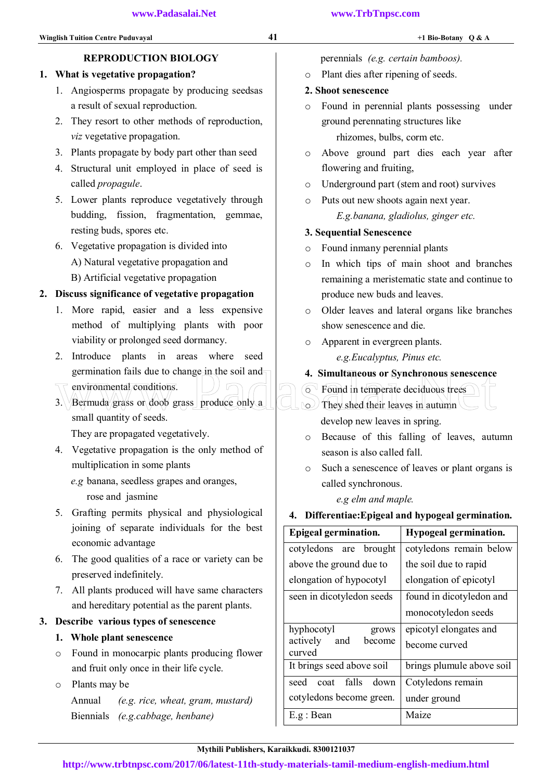### perennials *(e.g. certain bamboos).*

o Plant dies after ripening of seeds.

## 2. Shoot senescence

o Found in perennial plants possessing under ground perennating structures like rhizomes, bulbs, corm etc.

o Above ground part dies each year after flowering and fruiting,

- o Underground part (stem and root) survives
- o Puts out new shoots again next year. *E.g.banana, gladiolus, ginger etc.*

### 3. Sequential Senescence

- o Found inmany perennial plants
- o In which tips of main shoot and branches remaining a meristematic state and continue to produce new buds and leaves.
- o Older leaves and lateral organs like branches show senescence and die.
- o Apparent in evergreen plants.

*e.g.Eucalyptus, Pinus etc.* 

- 4. Simultaneous or Synchronous senescence
- o Found in temperate deciduous trees
- $\circ$  They shed their leaves in autumn develop new leaves in spring.
- o Because of this falling of leaves, autumn season is also called fall.
- o Such a senescence of leaves or plant organs is called synchronous.

 *e.g elm and maple.* 

## 4. Differentiae:Epigeal and hypogeal germination.

| <b>Epigeal germination.</b>         | Hypogeal germination.     |
|-------------------------------------|---------------------------|
| cotyledons are brought              | cotyledons remain below   |
| above the ground due to             | the soil due to rapid     |
| elongation of hypocotyl             | elongation of epicotyl    |
| seen in dicotyledon seeds           | found in dicotyledon and  |
|                                     | monocotyledon seeds       |
| hyphocotyl<br>grows                 | epicotyl elongates and    |
| actively<br>and<br>become<br>curved | become curved             |
| It brings seed above soil           | brings plumule above soil |
| falls down<br>seed<br>coat          | Cotyledons remain         |
| cotyledons become green.            | under ground              |
| E.g : Bean                          | Maize                     |

## REPRODUCTION BIOLOGY

## 1. What is vegetative propagation?

- 1. Angiosperms propagate by producing seedsas a result of sexual reproduction.
- 2. They resort to other methods of reproduction, *viz* vegetative propagation.
- 3. Plants propagate by body part other than seed
- 4. Structural unit employed in place of seed is called *propagule*.
- 5. Lower plants reproduce vegetatively through budding, fission, fragmentation, gemmae, resting buds, spores etc.
- 6. Vegetative propagation is divided into A) Natural vegetative propagation and B) Artificial vegetative propagation

## 2. Discuss significance of vegetative propagation

- 1. More rapid, easier and a less expensive method of multiplying plants with poor viability or prolonged seed dormancy.
- 2. Introduce plants in areas where seed germination fails due to change in the soil and
- environmental conditions.
- 3. Bermuda grass or doob grass produce only a small quantity of seeds. germination fails due to change in the soil and<br>
They shed their leaves in spring<br>
3. Bermuda grass or doop grass produce only a<br>
small quantity of seeds.<br>
Accelon new leaves in spring

They are propagated vegetatively.

- 4. Vegetative propagation is the only method of multiplication in some plants
	- *e.g* banana, seedless grapes and oranges,
		- rose and jasmine
- 5. Grafting permits physical and physiological joining of separate individuals for the best economic advantage
- 6. The good qualities of a race or variety can be preserved indefinitely.
- 7. All plants produced will have same characters and hereditary potential as the parent plants.

## 3. Describe various types of senescence

- 1. Whole plant senescence
- o Found in monocarpic plants producing flower and fruit only once in their life cycle.
- o Plants may be

Annual *(e.g. rice, wheat, gram, mustard)* Biennials *(e.g.cabbage, henbane)*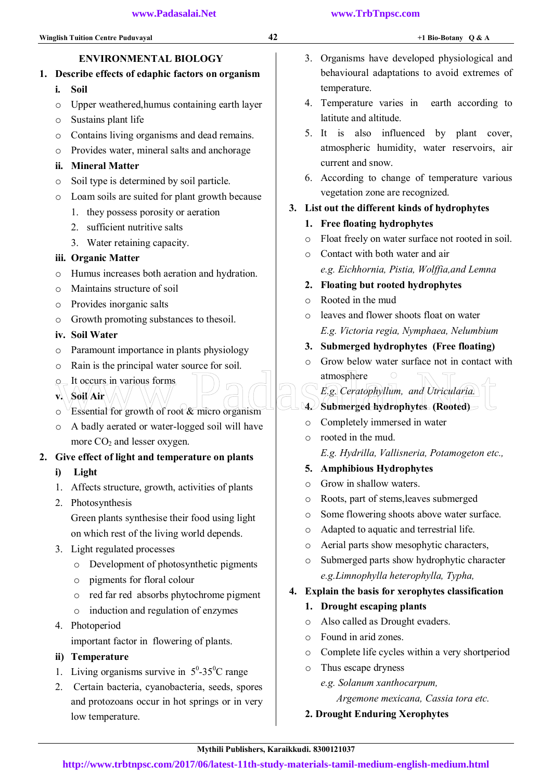## ENVIRONMENTAL BIOLOGY

## 1. Describe effects of edaphic factors on organism

- i. Soil
- o Upper weathered,humus containing earth layer
- o Sustains plant life
- o Contains living organisms and dead remains.
- o Provides water, mineral salts and anchorage
- ii. Mineral Matter
- o Soil type is determined by soil particle.
- o Loam soils are suited for plant growth because
	- 1. they possess porosity or aeration
	- 2. sufficient nutritive salts
	- 3. Water retaining capacity.

## iii. Organic Matter

- o Humus increases both aeration and hydration.
- o Maintains structure of soil
- o Provides inorganic salts
- o Growth promoting substances to thesoil.

## iv. Soil Water

- o Paramount importance in plants physiology
- o Rain is the principal water source for soil.
- o It occurs in various forms
- v. Soil Air
- $\circ$  Essential for growth of root  $\&$  micro organism The Soul Air Constitution of the Certain Sulfer of Soul Air Collection of the Certain Sulfer of the Certain Sulfer of the Certain Sulfer of the Certain Sulfer of the Certain Sulfer of the Certain Submerged hydrophytes (Roo
- o A badly aerated or water-logged soil will have more  $CO<sub>2</sub>$  and lesser oxygen.

## 2. Give effect of light and temperature on plants

- i) Light
- 1. Affects structure, growth, activities of plants
- 2. Photosynthesis

 Green plants synthesise their food using light on which rest of the living world depends.

- 3. Light regulated processes
	- o Development of photosynthetic pigments
	- o pigments for floral colour
	- o red far red absorbs phytochrome pigment
	- o induction and regulation of enzymes
- 4. Photoperiod

important factor in flowering of plants.

- ii) Temperature
- 1. Living organisms survive in  $5^{\circ}$ -35<sup>o</sup>C range
- 2. Certain bacteria, cyanobacteria, seeds, spores and protozoans occur in hot springs or in very low temperature.
- 3. Organisms have developed physiological and behavioural adaptations to avoid extremes of temperature.
- 4. Temperature varies in earth according to latitute and altitude.
- 5. It is also influenced by plant cover, atmospheric humidity, water reservoirs, air current and snow.
- 6. According to change of temperature various vegetation zone are recognized.

## 3. List out the different kinds of hydrophytes

- 1. Free floating hydrophytes
- o Float freely on water surface not rooted in soil.
- o Contact with both water and air  *e.g. Eichhornia, Pistia, Wolffia,and Lemna*
- 2. Floating but rooted hydrophytes
- o Rooted in the mud
- o leaves and flower shoots float on water *E.g. Victoria regia, Nymphaea, Nelumbium*
- 3. Submerged hydrophytes (Free floating)
- o Grow below water surface not in contact with atmosphere
	- *E.g. Ceratophyllum, and Utricularia.*
- 4. Submerged hydrophytes (Rooted)
- o Completely immersed in water
- o rooted in the mud. *E.g. Hydrilla, Vallisneria, Potamogeton etc.,*
- 5. Amphibious Hydrophytes
- o Grow in shallow waters.
- o Roots, part of stems,leaves submerged
- o Some flowering shoots above water surface.
- o Adapted to aquatic and terrestrial life.
- o Aerial parts show mesophytic characters,
- o Submerged parts show hydrophytic character  *e.g.Limnophylla heterophylla, Typha,*

## 4. Explain the basis for xerophytes classification

- 1. Drought escaping plants
- o Also called as Drought evaders.
- o Found in arid zones.
- o Complete life cycles within a very shortperiod
- o Thus escape dryness
	- *e.g. Solanum xanthocarpum,* 
		- *Argemone mexicana, Cassia tora etc.*
- 2. Drought Enduring Xerophytes